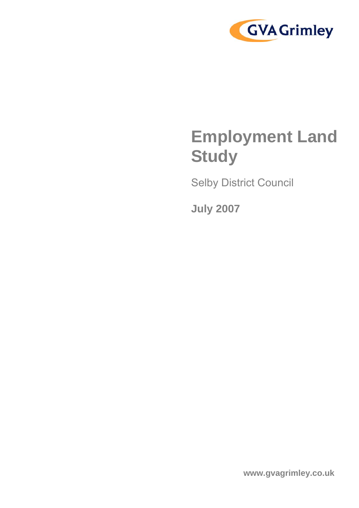

# **Employment Land Study**

Selby District Council

**July 2007**

**www.gvagrimley.co.uk**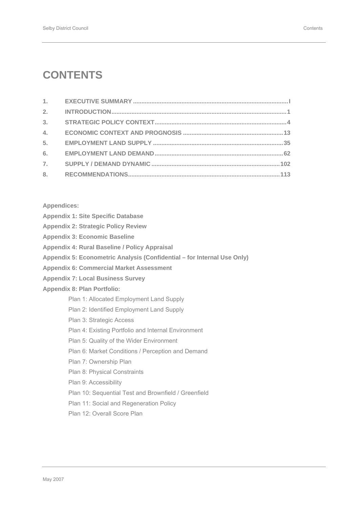## **CONTENTS**

| 2.               |  |
|------------------|--|
| 3 <sub>1</sub>   |  |
| 4.               |  |
| 5.               |  |
| 6.               |  |
| $\overline{7}$ . |  |
| 8.               |  |

### **Appendices:**

|  |  |  |  | <b>Appendix 1: Site Specific Database</b> |
|--|--|--|--|-------------------------------------------|
|--|--|--|--|-------------------------------------------|

- **Appendix 2: Strategic Policy Review**
- **Appendix 3: Economic Baseline**
- **Appendix 4: Rural Baseline / Policy Appraisal**
- **Appendix 5: Econometric Analysis (Confidential for Internal Use Only)**
- **Appendix 6: Commercial Market Assessment**
- **Appendix 7: Local Business Survey**

### **Appendix 8: Plan Portfolio:**

- Plan 1: Allocated Employment Land Supply
- Plan 2: Identified Employment Land Supply
- Plan 3: Strategic Access
- Plan 4: Existing Portfolio and Internal Environment
- Plan 5: Quality of the Wider Environment
- Plan 6: Market Conditions / Perception and Demand
- Plan 7: Ownership Plan
- Plan 8: Physical Constraints
- Plan 9: Accessibility
- Plan 10: Sequential Test and Brownfield / Greenfield
- Plan 11: Social and Regeneration Policy
- Plan 12: Overall Score Plan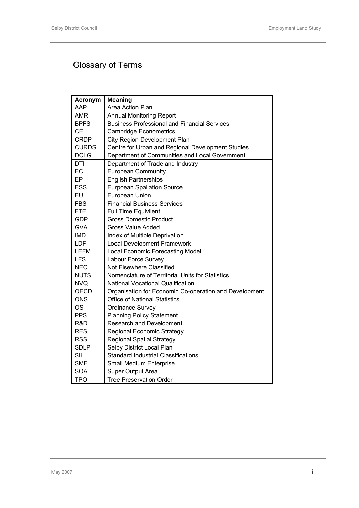## Glossary of Terms

| <b>Acronym</b> | <b>Meaning</b>                                         |
|----------------|--------------------------------------------------------|
| AAP            | Area Action Plan                                       |
| <b>AMR</b>     | <b>Annual Monitoring Report</b>                        |
| <b>BPFS</b>    | <b>Business Professional and Financial Services</b>    |
| <b>CE</b>      | <b>Cambridge Econometrics</b>                          |
| <b>CRDP</b>    | City Region Development Plan                           |
| <b>CURDS</b>   | Centre for Urban and Regional Development Studies      |
| <b>DCLG</b>    | Department of Communities and Local Government         |
| <b>DTI</b>     | Department of Trade and Industry                       |
| EC             | <b>European Community</b>                              |
| EP             | <b>English Partnerships</b>                            |
| <b>ESS</b>     | <b>Eurpoean Spallation Source</b>                      |
| EU             | European Union                                         |
| <b>FBS</b>     | <b>Financial Business Services</b>                     |
| <b>FTE</b>     | <b>Full Time Equivilent</b>                            |
| <b>GDP</b>     | <b>Gross Domestic Product</b>                          |
| <b>GVA</b>     | <b>Gross Value Added</b>                               |
| <b>IMD</b>     | Index of Multiple Deprivation                          |
| LDF            | Local Development Framework                            |
| <b>LEFM</b>    | <b>Local Economic Forecasting Model</b>                |
| <b>LFS</b>     | <b>Labour Force Survey</b>                             |
| <b>NEC</b>     | Not Elsewhere Classified                               |
| <b>NUTS</b>    | Nomenclature of Territorial Units for Statistics       |
| <b>NVQ</b>     | <b>National Vocational Qualification</b>               |
| <b>OECD</b>    | Organisation for Economic Co-operation and Development |
| <b>ONS</b>     | <b>Office of National Statistics</b>                   |
| <b>OS</b>      | <b>Ordinance Survey</b>                                |
| <b>PPS</b>     | <b>Planning Policy Statement</b>                       |
| R&D            | <b>Research and Development</b>                        |
| <b>RES</b>     | <b>Regional Economic Strategy</b>                      |
| <b>RSS</b>     | <b>Regional Spatial Strategy</b>                       |
| <b>SDLP</b>    | Selby District Local Plan                              |
| <b>SIL</b>     | <b>Standard Industrial Classifications</b>             |
| <b>SME</b>     | Small Medium Enterprise                                |
| <b>SOA</b>     | Super Output Area                                      |
| <b>TPO</b>     | <b>Tree Preservation Order</b>                         |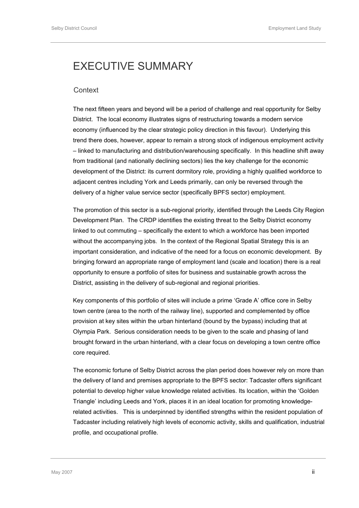## <span id="page-3-0"></span>EXECUTIVE SUMMARY

### **Context**

The next fifteen years and beyond will be a period of challenge and real opportunity for Selby District. The local economy illustrates signs of restructuring towards a modern service economy (influenced by the clear strategic policy direction in this favour). Underlying this trend there does, however, appear to remain a strong stock of indigenous employment activity – linked to manufacturing and distribution/warehousing specifically. In this headline shift away from traditional (and nationally declining sectors) lies the key challenge for the economic development of the District: its current dormitory role, providing a highly qualified workforce to adjacent centres including York and Leeds primarily, can only be reversed through the delivery of a higher value service sector (specifically BPFS sector) employment.

The promotion of this sector is a sub-regional priority, identified through the Leeds City Region Development Plan. The CRDP identifies the existing threat to the Selby District economy linked to out commuting – specifically the extent to which a workforce has been imported without the accompanying jobs. In the context of the Regional Spatial Strategy this is an important consideration, and indicative of the need for a focus on economic development. By bringing forward an appropriate range of employment land (scale and location) there is a real opportunity to ensure a portfolio of sites for business and sustainable growth across the District, assisting in the delivery of sub-regional and regional priorities.

Key components of this portfolio of sites will include a prime 'Grade A' office core in Selby town centre (area to the north of the railway line), supported and complemented by office provision at key sites within the urban hinterland (bound by the bypass) including that at Olympia Park. Serious consideration needs to be given to the scale and phasing of land brought forward in the urban hinterland, with a clear focus on developing a town centre office core required.

The economic fortune of Selby District across the plan period does however rely on more than the delivery of land and premises appropriate to the BPFS sector: Tadcaster offers significant potential to develop higher value knowledge related activities. Its location, within the 'Golden Triangle' including Leeds and York, places it in an ideal location for promoting knowledgerelated activities. This is underpinned by identified strengths within the resident population of Tadcaster including relatively high levels of economic activity, skills and qualification, industrial profile, and occupational profile.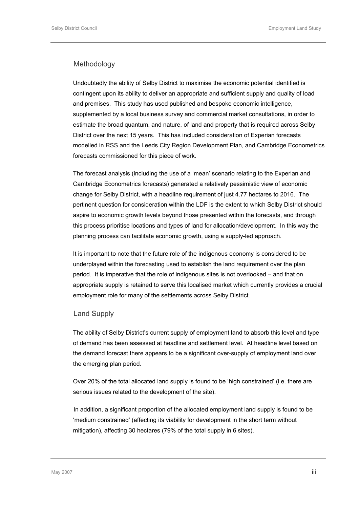### Methodology

Undoubtedly the ability of Selby District to maximise the economic potential identified is contingent upon its ability to deliver an appropriate and sufficient supply and quality of load and premises. This study has used published and bespoke economic intelligence, supplemented by a local business survey and commercial market consultations, in order to estimate the broad quantum, and nature, of land and property that is required across Selby District over the next 15 years. This has included consideration of Experian forecasts modelled in RSS and the Leeds City Region Development Plan, and Cambridge Econometrics forecasts commissioned for this piece of work.

The forecast analysis (including the use of a 'mean' scenario relating to the Experian and Cambridge Econometrics forecasts) generated a relatively pessimistic view of economic change for Selby District, with a headline requirement of just 4.77 hectares to 2016. The pertinent question for consideration within the LDF is the extent to which Selby District should aspire to economic growth levels beyond those presented within the forecasts, and through this process prioritise locations and types of land for allocation/development. In this way the planning process can facilitate economic growth, using a supply-led approach.

It is important to note that the future role of the indigenous economy is considered to be underplayed within the forecasting used to establish the land requirement over the plan period. It is imperative that the role of indigenous sites is not overlooked – and that on appropriate supply is retained to serve this localised market which currently provides a crucial employment role for many of the settlements across Selby District.

### Land Supply

The ability of Selby District's current supply of employment land to absorb this level and type of demand has been assessed at headline and settlement level. At headline level based on the demand forecast there appears to be a significant over-supply of employment land over the emerging plan period.

Over 20% of the total allocated land supply is found to be 'high constrained' (i.e. there are serious issues related to the development of the site).

In addition, a significant proportion of the allocated employment land supply is found to be 'medium constrained' (affecting its viability for development in the short term without mitigation), affecting 30 hectares (79% of the total supply in 6 sites).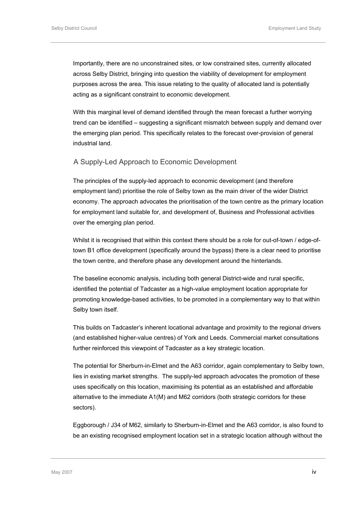Importantly, there are no unconstrained sites, or low constrained sites, currently allocated across Selby District, bringing into question the viability of development for employment purposes across the area. This issue relating to the quality of allocated land is potentially acting as a significant constraint to economic development.

With this marginal level of demand identified through the mean forecast a further worrying trend can be identified – suggesting a significant mismatch between supply and demand over the emerging plan period. This specifically relates to the forecast over-provision of general industrial land.

### A Supply-Led Approach to Economic Development

The principles of the supply-led approach to economic development (and therefore employment land) prioritise the role of Selby town as the main driver of the wider District economy. The approach advocates the prioritisation of the town centre as the primary location for employment land suitable for, and development of, Business and Professional activities over the emerging plan period.

Whilst it is recognised that within this context there should be a role for out-of-town / edge-oftown B1 office development (specifically around the bypass) there is a clear need to prioritise the town centre, and therefore phase any development around the hinterlands.

The baseline economic analysis, including both general District-wide and rural specific, identified the potential of Tadcaster as a high-value employment location appropriate for promoting knowledge-based activities, to be promoted in a complementary way to that within Selby town itself.

This builds on Tadcaster's inherent locational advantage and proximity to the regional drivers (and established higher-value centres) of York and Leeds. Commercial market consultations further reinforced this viewpoint of Tadcaster as a key strategic location.

The potential for Sherburn-in-Elmet and the A63 corridor, again complementary to Selby town, lies in existing market strengths. The supply-led approach advocates the promotion of these uses specifically on this location, maximising its potential as an established and affordable alternative to the immediate A1(M) and M62 corridors (both strategic corridors for these sectors).

Eggborough / J34 of M62, similarly to Sherburn-in-Elmet and the A63 corridor, is also found to be an existing recognised employment location set in a strategic location although without the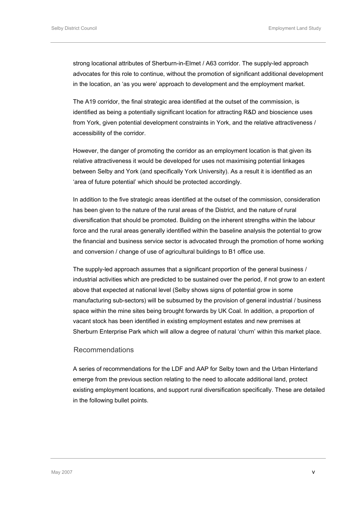strong locational attributes of Sherburn-in-Elmet / A63 corridor. The supply-led approach advocates for this role to continue, without the promotion of significant additional development in the location, an 'as you were' approach to development and the employment market.

The A19 corridor, the final strategic area identified at the outset of the commission, is identified as being a potentially significant location for attracting R&D and bioscience uses from York, given potential development constraints in York, and the relative attractiveness / accessibility of the corridor.

However, the danger of promoting the corridor as an employment location is that given its relative attractiveness it would be developed for uses not maximising potential linkages between Selby and York (and specifically York University). As a result it is identified as an 'area of future potential' which should be protected accordingly.

In addition to the five strategic areas identified at the outset of the commission, consideration has been given to the nature of the rural areas of the District, and the nature of rural diversification that should be promoted. Building on the inherent strengths within the labour force and the rural areas generally identified within the baseline analysis the potential to grow the financial and business service sector is advocated through the promotion of home working and conversion / change of use of agricultural buildings to B1 office use.

The supply-led approach assumes that a significant proportion of the general business / industrial activities which are predicted to be sustained over the period, if not grow to an extent above that expected at national level (Selby shows signs of potential grow in some manufacturing sub-sectors) will be subsumed by the provision of general industrial / business space within the mine sites being brought forwards by UK Coal. In addition, a proportion of vacant stock has been identified in existing employment estates and new premises at Sherburn Enterprise Park which will allow a degree of natural 'churn' within this market place.

### Recommendations

A series of recommendations for the LDF and AAP for Selby town and the Urban Hinterland emerge from the previous section relating to the need to allocate additional land, protect existing employment locations, and support rural diversification specifically. These are detailed in the following bullet points.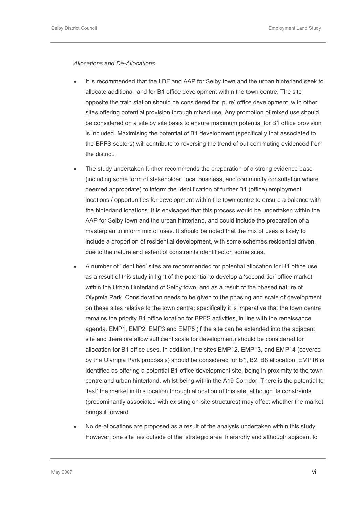### *Allocations and De-Allocations*

- It is recommended that the LDF and AAP for Selby town and the urban hinterland seek to allocate additional land for B1 office development within the town centre. The site opposite the train station should be considered for 'pure' office development, with other sites offering potential provision through mixed use. Any promotion of mixed use should be considered on a site by site basis to ensure maximum potential for B1 office provision is included. Maximising the potential of B1 development (specifically that associated to the BPFS sectors) will contribute to reversing the trend of out-commuting evidenced from the district.
- The study undertaken further recommends the preparation of a strong evidence base (including some form of stakeholder, local business, and community consultation where deemed appropriate) to inform the identification of further B1 (office) employment locations / opportunities for development within the town centre to ensure a balance with the hinterland locations. It is envisaged that this process would be undertaken within the AAP for Selby town and the urban hinterland, and could include the preparation of a masterplan to inform mix of uses. It should be noted that the mix of uses is likely to include a proportion of residential development, with some schemes residential driven, due to the nature and extent of constraints identified on some sites.
- A number of 'identified' sites are recommended for potential allocation for B1 office use as a result of this study in light of the potential to develop a 'second tier' office market within the Urban Hinterland of Selby town, and as a result of the phased nature of Olypmia Park. Consideration needs to be given to the phasing and scale of development on these sites relative to the town centre; specifically it is imperative that the town centre remains the priority B1 office location for BPFS activities, in line with the renaissance agenda. EMP1, EMP2, EMP3 and EMP5 (if the site can be extended into the adjacent site and therefore allow sufficient scale for development) should be considered for allocation for B1 office uses. In addition, the sites EMP12, EMP13, and EMP14 (covered by the Olympia Park proposals) should be considered for B1, B2, B8 allocation. EMP16 is identified as offering a potential B1 office development site, being in proximity to the town centre and urban hinterland, whilst being within the A19 Corridor. There is the potential to 'test' the market in this location through allocation of this site, although its constraints (predominantly associated with existing on-site structures) may affect whether the market brings it forward.
- No de-allocations are proposed as a result of the analysis undertaken within this study. However, one site lies outside of the 'strategic area' hierarchy and although adjacent to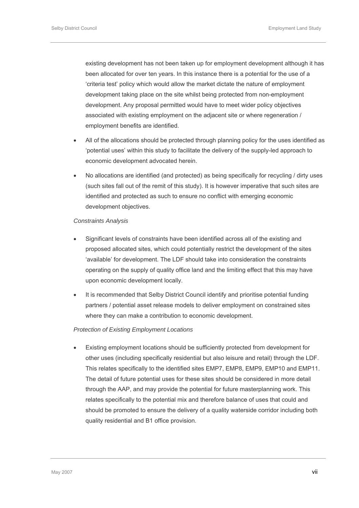existing development has not been taken up for employment development although it has been allocated for over ten years. In this instance there is a potential for the use of a 'criteria test' policy which would allow the market dictate the nature of employment development taking place on the site whilst being protected from non-employment development. Any proposal permitted would have to meet wider policy objectives associated with existing employment on the adjacent site or where regeneration / employment benefits are identified.

- All of the allocations should be protected through planning policy for the uses identified as 'potential uses' within this study to facilitate the delivery of the supply-led approach to economic development advocated herein.
- No allocations are identified (and protected) as being specifically for recycling / dirty uses (such sites fall out of the remit of this study). It is however imperative that such sites are identified and protected as such to ensure no conflict with emerging economic development objectives.

#### *Constraints Analysis*

- Significant levels of constraints have been identified across all of the existing and proposed allocated sites, which could potentially restrict the development of the sites 'available' for development. The LDF should take into consideration the constraints operating on the supply of quality office land and the limiting effect that this may have upon economic development locally.
- It is recommended that Selby District Council identify and prioritise potential funding partners / potential asset release models to deliver employment on constrained sites where they can make a contribution to economic development.

### *Protection of Existing Employment Locations*

• Existing employment locations should be sufficiently protected from development for other uses (including specifically residential but also leisure and retail) through the LDF. This relates specifically to the identified sites EMP7, EMP8, EMP9, EMP10 and EMP11. The detail of future potential uses for these sites should be considered in more detail through the AAP, and may provide the potential for future masterplanning work. This relates specifically to the potential mix and therefore balance of uses that could and should be promoted to ensure the delivery of a quality waterside corridor including both quality residential and B1 office provision.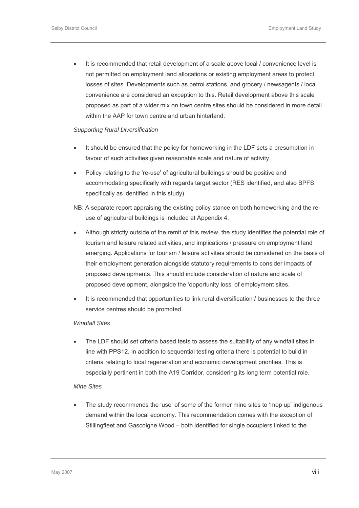• It is recommended that retail development of a scale above local / convenience level is not permitted on employment land allocations or existing employment areas to protect losses of sites. Developments such as petrol stations, and grocery / newsagents / local convenience are considered an exception to this. Retail development above this scale proposed as part of a wider mix on town centre sites should be considered in more detail within the AAP for town centre and urban hinterland.

### *Supporting Rural Diversification*

- It should be ensured that the policy for homeworking in the LDF sets a presumption in favour of such activities given reasonable scale and nature of activity.
- Policy relating to the 're-use' of agricultural buildings should be positive and accommodating specifically with regards target sector (RES identified, and also BPFS specifically as identified in this study).
- NB: A separate report appraising the existing policy stance on both homeworking and the reuse of agricultural buildings is included at Appendix 4.
- Although strictly outside of the remit of this review, the study identifies the potential role of tourism and leisure related activities, and implications / pressure on employment land emerging. Applications for tourism / leisure activities should be considered on the basis of their employment generation alongside statutory requirements to consider impacts of proposed developments. This should include consideration of nature and scale of proposed development, alongside the 'opportunity loss' of employment sites.
- It is recommended that opportunities to link rural diversification / businesses to the three service centres should be promoted.

### *Windfall Sites*

• The LDF should set criteria based tests to assess the suitability of any windfall sites in line with PPS12. In addition to sequential testing criteria there is potential to build in criteria relating to local regeneration and economic development priorities. This is especially pertinent in both the A19 Corridor, considering its long term potential role.

### *Mine Sites*

The study recommends the 'use' of some of the former mine sites to 'mop up' indigenous demand within the local economy. This recommendation comes with the exception of Stillingfleet and Gascoigne Wood – both identified for single occupiers linked to the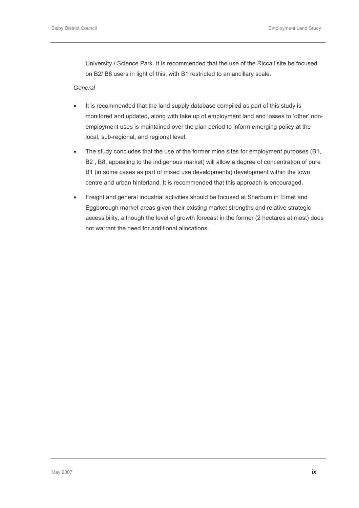University / Science Park. It is recommended that the use of the Riccall site be focused on B2/ B8 users in light of this, with B1 restricted to an ancillary scale.

### *General*

- It is recommended that the land supply database compiled as part of this study is monitored and updated, along with take up of employment land and losses to 'other' nonemployment uses is maintained over the plan period to inform emerging policy at the local, sub-regional, and regional level.
- The study concludes that the use of the former mine sites for employment purposes (B1, B2 , B8, appealing to the indigenous market) will allow a degree of concentration of pure B1 (in some cases as part of mixed use developments) development within the town centre and urban hinterland. It is recommended that this approach is encouraged.
- Freight and general industrial activities should be focused at Sherburn in Elmet and Eggborough market areas given their existing market strengths and relative strategic accessibility, although the level of growth forecast in the former (2 hectares at most) does not warrant the need for additional allocations.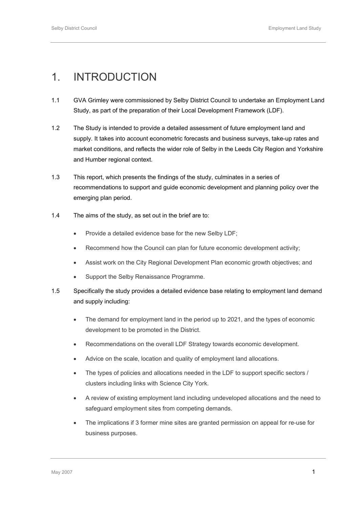## <span id="page-11-0"></span>1. INTRODUCTION

- 1.1 GVA Grimley were commissioned by Selby District Council to undertake an Employment Land Study, as part of the preparation of their Local Development Framework (LDF).
- 1.2 The Study is intended to provide a detailed assessment of future employment land and supply. It takes into account econometric forecasts and business surveys, take-up rates and market conditions, and reflects the wider role of Selby in the Leeds City Region and Yorkshire and Humber regional context.
- 1.3 This report, which presents the findings of the study, culminates in a series of recommendations to support and guide economic development and planning policy over the emerging plan period.
- 1.4 The aims of the study, as set out in the brief are to:
	- Provide a detailed evidence base for the new Selby LDF;
	- Recommend how the Council can plan for future economic development activity;
	- Assist work on the City Regional Development Plan economic growth objectives; and
	- Support the Selby Renaissance Programme.
- 1.5 Specifically the study provides a detailed evidence base relating to employment land demand and supply including:
	- The demand for employment land in the period up to 2021, and the types of economic development to be promoted in the District.
	- Recommendations on the overall LDF Strategy towards economic development.
	- Advice on the scale, location and quality of employment land allocations.
	- The types of policies and allocations needed in the LDF to support specific sectors / clusters including links with Science City York.
	- A review of existing employment land including undeveloped allocations and the need to safeguard employment sites from competing demands.
	- The implications if 3 former mine sites are granted permission on appeal for re-use for business purposes.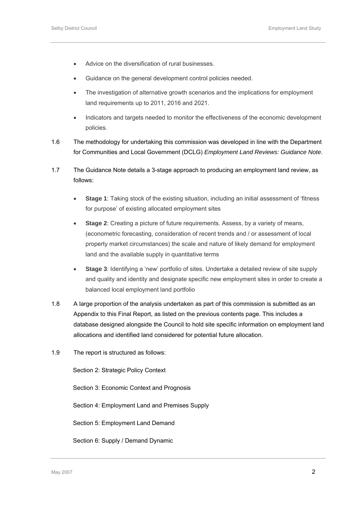- Advice on the diversification of rural businesses.
- Guidance on the general development control policies needed.
- The investigation of alternative growth scenarios and the implications for employment land requirements up to 2011, 2016 and 2021.
- Indicators and targets needed to monitor the effectiveness of the economic development policies.
- 1.6 The methodology for undertaking this commission was developed in line with the Department for Communities and Local Government (DCLG) *Employment Land Reviews: Guidance Note*.
- 1.7 The Guidance Note details a 3-stage approach to producing an employment land review, as follows:
	- **Stage 1**: Taking stock of the existing situation, including an initial assessment of 'fitness for purpose' of existing allocated employment sites
	- **Stage 2:** Creating a picture of future requirements. Assess, by a variety of means, (econometric forecasting, consideration of recent trends and / or assessment of local property market circumstances) the scale and nature of likely demand for employment land and the available supply in quantitative terms
	- **Stage 3**: Identifying a 'new' portfolio of sites. Undertake a detailed review of site supply and quality and identity and designate specific new employment sites in order to create a balanced local employment land portfolio
- 1.8 A large proportion of the analysis undertaken as part of this commission is submitted as an Appendix to this Final Report, as listed on the previous contents page. This includes a database designed alongside the Council to hold site specific information on employment land allocations and identified land considered for potential future allocation.
- 1.9 The report is structured as follows:

Section 2: Strategic Policy Context

Section 3: Economic Context and Prognosis

Section 4: Employment Land and Premises Supply

Section 5: Employment Land Demand

Section 6: Supply / Demand Dynamic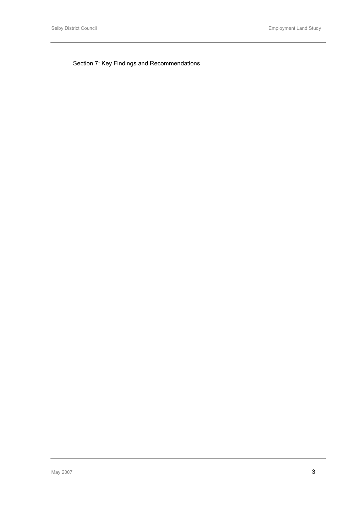Section 7: Key Findings and Recommendations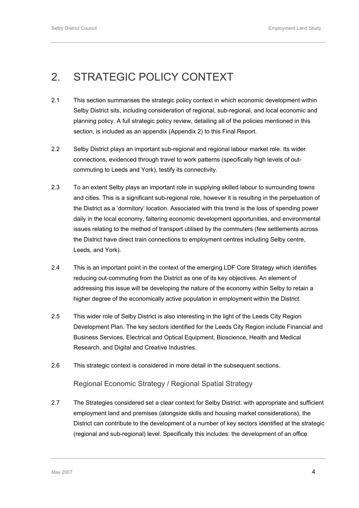## <span id="page-14-0"></span>2. STRATEGIC POLICY CONTEXT

- 2.1 This section summarises the strategic policy context in which economic development within Selby District sits, including consideration of regional, sub-regional, and local economic and planning policy. A full strategic policy review, detailing all of the policies mentioned in this section, is included as an appendix (Appendix 2) to this Final Report.
- 2.2 Selby District plays an important sub-regional and regional labour market role. Its wider connections, evidenced through travel to work patterns (specifically high levels of outcommuting to Leeds and York), testify its connectivity.
- 2.3 To an extent Selby plays an important role in supplying skilled labour to surrounding towns and cities. This is a significant sub-regional role, however it is resulting in the perpetuation of the District as a 'dormitory' location. Associated with this trend is the loss of spending power daily in the local economy, faltering economic development opportunities, and environmental issues relating to the method of transport utilised by the commuters (few settlements across the District have direct train connections to employment centres including Selby centre, Leeds, and York).
- 2.4 This is an important point in the context of the emerging LDF Core Strategy which identifies reducing out-commuting from the District as one of its key objectives. An element of addressing this issue will be developing the nature of the economy within Selby to retain a higher degree of the economically active population in employment within the District.
- 2.5 This wider role of Selby District is also interesting in the light of the Leeds City Region Development Plan. The key sectors identified for the Leeds City Region include Financial and Business Services, Electrical and Optical Equipment, Bioscience, Health and Medical Research, and Digital and Creative Industries.
- 2.6 This strategic context is considered in more detail in the subsequent sections.

### Regional Economic Strategy / Regional Spatial Strategy

2.7 The Strategies considered set a clear context for Selby District: with appropriate and sufficient employment land and premises (alongside skills and housing market considerations), the District can contribute to the development of a number of key sectors identified at the strategic (regional and sub-regional) level. Specifically this includes: the development of an office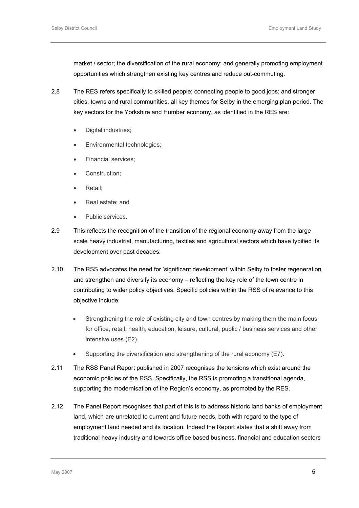market / sector; the diversification of the rural economy; and generally promoting employment opportunities which strengthen existing key centres and reduce out-commuting.

- 2.8 The RES refers specifically to skilled people; connecting people to good jobs; and stronger cities, towns and rural communities, all key themes for Selby in the emerging plan period. The key sectors for the Yorkshire and Humber economy, as identified in the RES are:
	- Digital industries;
	- Environmental technologies;
	- Financial services;
	- Construction;
	- Retail;
	- Real estate; and
	- Public services.
- 2.9 This reflects the recognition of the transition of the regional economy away from the large scale heavy industrial, manufacturing, textiles and agricultural sectors which have typified its development over past decades.
- 2.10 The RSS advocates the need for 'significant development' within Selby to foster regeneration and strengthen and diversify its economy – reflecting the key role of the town centre in contributing to wider policy objectives. Specific policies within the RSS of relevance to this objective include:
	- Strengthening the role of existing city and town centres by making them the main focus for office, retail, health, education, leisure, cultural, public / business services and other intensive uses (E2).
	- Supporting the diversification and strengthening of the rural economy (E7).
- 2.11 The RSS Panel Report published in 2007 recognises the tensions which exist around the economic policies of the RSS. Specifically, the RSS is promoting a transitional agenda, supporting the modernisation of the Region's economy, as promoted by the RES.
- 2.12 The Panel Report recognises that part of this is to address historic land banks of employment land, which are unrelated to current and future needs, both with regard to the type of employment land needed and its location. Indeed the Report states that a shift away from traditional heavy industry and towards office based business, financial and education sectors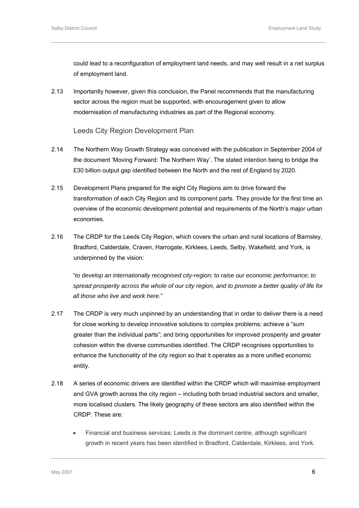could lead to a reconfiguration of employment land needs, and may well result in a net surplus of employment land.

2.13 Importantly however, given this conclusion, the Panel recommends that the manufacturing sector across the region must be supported, with encouragement given to allow modernisation of manufacturing industries as part of the Regional economy.

Leeds City Region Development Plan

- 2.14 The Northern Way Growth Strategy was conceived with the publication in September 2004 of the document 'Moving Forward: The Northern Way'. The stated intention being to bridge the £30 billion output gap identified between the North and the rest of England by 2020.
- 2.15 Development Plans prepared for the eight City Regions aim to drive forward the transformation of each City Region and its component parts. They provide for the first time an overview of the economic development potential and requirements of the North's major urban economies.
- 2.16 The CRDP for the Leeds City Region, which covers the urban and rural locations of Barnsley, Bradford, Calderdale, Craven, Harrogate, Kirklees, Leeds, Selby, Wakefield, and York, is underpinned by the vision:

"*to develop an internationally recognised city-region; to raise our economic performance; to spread prosperity across the whole of our city region, and to promote a better quality of life for all those who live and work here*."

- 2.17 The CRDP is very much unpinned by an understanding that in order to deliver there is a need for close working to develop innovative solutions to complex problems; achieve a "sum greater than the individual parts"; and bring opportunities for improved prosperity and greater cohesion within the diverse communities identified. The CRDP recognises opportunities to enhance the functionality of the city region so that it operates as a more unified economic entity.
- 2.18 A series of economic drivers are identified within the CRDP which will maximise employment and GVA growth across the city region – including both broad industrial sectors and smaller, more localised clusters. The likely geography of these sectors are also identified within the CRDP. These are:
	- Financial and business services: Leeds is the dominant centre, although significant growth in recent years has been identified in Bradford, Calderdale, Kirklees, and York.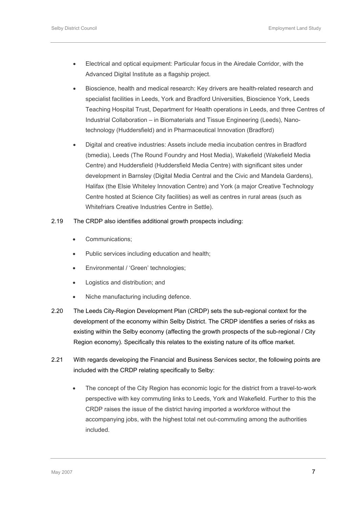- Electrical and optical equipment: Particular focus in the Airedale Corridor, with the Advanced Digital Institute as a flagship project.
- Bioscience, health and medical research: Key drivers are health-related research and specialist facilities in Leeds, York and Bradford Universities, Bioscience York, Leeds Teaching Hospital Trust, Department for Health operations in Leeds, and three Centres of Industrial Collaboration – in Biomaterials and Tissue Engineering (Leeds), Nanotechnology (Huddersfield) and in Pharmaceutical Innovation (Bradford)
- Digital and creative industries: Assets include media incubation centres in Bradford (bmedia), Leeds (The Round Foundry and Host Media), Wakefield (Wakefield Media Centre) and Huddersfield (Huddersfield Media Centre) with significant sites under development in Barnsley (Digital Media Central and the Civic and Mandela Gardens), Halifax (the Elsie Whiteley Innovation Centre) and York (a major Creative Technology Centre hosted at Science City facilities) as well as centres in rural areas (such as Whitefriars Creative Industries Centre in Settle).

### 2.19 The CRDP also identifies additional growth prospects including:

- Communications;
- Public services including education and health;
- Environmental / 'Green' technologies;
- Logistics and distribution; and
- Niche manufacturing including defence.
- 2.20 The Leeds City-Region Development Plan (CRDP) sets the sub-regional context for the development of the economy within Selby District. The CRDP identifies a series of risks as existing within the Selby economy (affecting the growth prospects of the sub-regional / City Region economy). Specifically this relates to the existing nature of its office market.
- 2.21 With regards developing the Financial and Business Services sector, the following points are included with the CRDP relating specifically to Selby:
	- The concept of the City Region has economic logic for the district from a travel-to-work perspective with key commuting links to Leeds, York and Wakefield. Further to this the CRDP raises the issue of the district having imported a workforce without the accompanying jobs, with the highest total net out-commuting among the authorities included.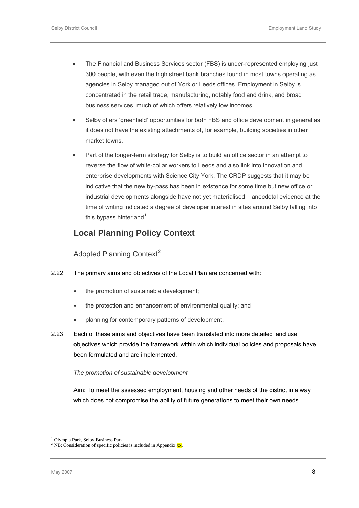- <span id="page-18-0"></span>• The Financial and Business Services sector (FBS) is under-represented employing just 300 people, with even the high street bank branches found in most towns operating as agencies in Selby managed out of York or Leeds offices. Employment in Selby is concentrated in the retail trade, manufacturing, notably food and drink, and broad business services, much of which offers relatively low incomes.
- Selby offers 'greenfield' opportunities for both FBS and office development in general as it does not have the existing attachments of, for example, building societies in other market towns.
- Part of the longer-term strategy for Selby is to build an office sector in an attempt to reverse the flow of white-collar workers to Leeds and also link into innovation and enterprise developments with Science City York. The CRDP suggests that it may be indicative that the new by-pass has been in existence for some time but new office or industrial developments alongside have not yet materialised – anecdotal evidence at the time of writing indicated a degree of developer interest in sites around Selby falling into this bypass hinterland<sup>[1](#page-18-0)</sup>.

### **Local Planning Policy Context**

Adopted Planning Context<sup>[2](#page-18-0)</sup>

### 2.22 The primary aims and objectives of the Local Plan are concerned with:

- the promotion of sustainable development;
- the protection and enhancement of environmental quality; and
- planning for contemporary patterns of development.
- 2.23 Each of these aims and objectives have been translated into more detailed land use objectives which provide the framework within which individual policies and proposals have been formulated and are implemented.

### *The promotion of sustainable development*

Aim: To meet the assessed employment, housing and other needs of the district in a way which does not compromise the ability of future generations to meet their own needs.

l

<sup>1</sup> Olympia Park, Selby Business Park

<sup>&</sup>lt;sup>2</sup> NB: Consideration of specific policies is included in Appendix  $\frac{XX}{X}$ .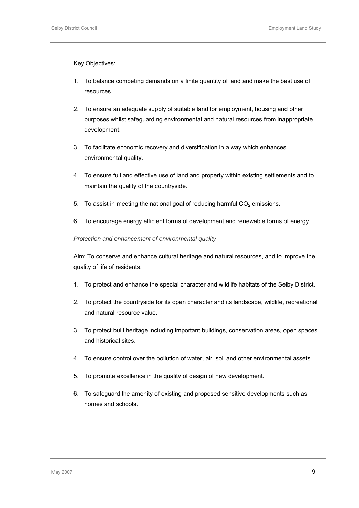Key Objectives:

- 1. To balance competing demands on a finite quantity of land and make the best use of resources.
- 2. To ensure an adequate supply of suitable land for employment, housing and other purposes whilst safeguarding environmental and natural resources from inappropriate development.
- 3. To facilitate economic recovery and diversification in a way which enhances environmental quality.
- 4. To ensure full and effective use of land and property within existing settlements and to maintain the quality of the countryside.
- 5. To assist in meeting the national goal of reducing harmful  $CO<sub>2</sub>$  emissions.
- 6. To encourage energy efficient forms of development and renewable forms of energy.

### *Protection and enhancement of environmental quality*

Aim: To conserve and enhance cultural heritage and natural resources, and to improve the quality of life of residents.

- 1. To protect and enhance the special character and wildlife habitats of the Selby District.
- 2. To protect the countryside for its open character and its landscape, wildlife, recreational and natural resource value.
- 3. To protect built heritage including important buildings, conservation areas, open spaces and historical sites.
- 4. To ensure control over the pollution of water, air, soil and other environmental assets.
- 5. To promote excellence in the quality of design of new development.
- 6. To safeguard the amenity of existing and proposed sensitive developments such as homes and schools.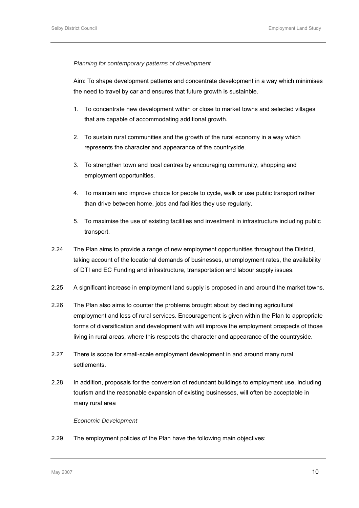### *Planning for contemporary patterns of development*

Aim: To shape development patterns and concentrate development in a way which minimises the need to travel by car and ensures that future growth is sustainble.

- 1. To concentrate new development within or close to market towns and selected villages that are capable of accommodating additional growth.
- 2. To sustain rural communities and the growth of the rural economy in a way which represents the character and appearance of the countryside.
- 3. To strengthen town and local centres by encouraging community, shopping and employment opportunities.
- 4. To maintain and improve choice for people to cycle, walk or use public transport rather than drive between home, jobs and facilities they use regularly.
- 5. To maximise the use of existing facilities and investment in infrastructure including public transport.
- 2.24 The Plan aims to provide a range of new employment opportunities throughout the District, taking account of the locational demands of businesses, unemployment rates, the availability of DTI and EC Funding and infrastructure, transportation and labour supply issues.
- 2.25 A significant increase in employment land supply is proposed in and around the market towns.
- 2.26 The Plan also aims to counter the problems brought about by declining agricultural employment and loss of rural services. Encouragement is given within the Plan to appropriate forms of diversification and development with will improve the employment prospects of those living in rural areas, where this respects the character and appearance of the countryside.
- 2.27 There is scope for small-scale employment development in and around many rural settlements.
- 2.28 In addition, proposals for the conversion of redundant buildings to employment use, including tourism and the reasonable expansion of existing businesses, will often be acceptable in many rural area

### *Economic Development*

2.29 The employment policies of the Plan have the following main objectives: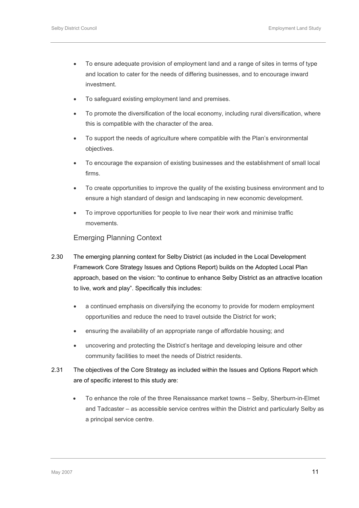- To ensure adequate provision of employment land and a range of sites in terms of type and location to cater for the needs of differing businesses, and to encourage inward investment.
- To safeguard existing employment land and premises.
- To promote the diversification of the local economy, including rural diversification, where this is compatible with the character of the area.
- To support the needs of agriculture where compatible with the Plan's environmental objectives.
- To encourage the expansion of existing businesses and the establishment of small local firms.
- To create opportunities to improve the quality of the existing business environment and to ensure a high standard of design and landscaping in new economic development.
- To improve opportunities for people to live near their work and minimise traffic movements.

### Emerging Planning Context

- 2.30 The emerging planning context for Selby District (as included in the Local Development Framework Core Strategy Issues and Options Report) builds on the Adopted Local Plan approach, based on the vision: "to continue to enhance Selby District as an attractive location to live, work and play". Specifically this includes:
	- a continued emphasis on diversifying the economy to provide for modern employment opportunities and reduce the need to travel outside the District for work;
	- ensuring the availability of an appropriate range of affordable housing; and
	- uncovering and protecting the District's heritage and developing leisure and other community facilities to meet the needs of District residents.
- 2.31 The objectives of the Core Strategy as included within the Issues and Options Report which are of specific interest to this study are:
	- To enhance the role of the three Renaissance market towns Selby, Sherburn-in-Elmet and Tadcaster – as accessible service centres within the District and particularly Selby as a principal service centre.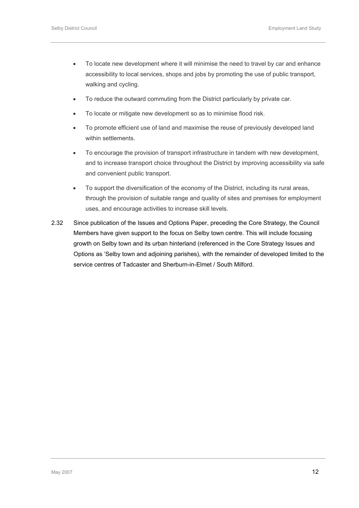- To locate new development where it will minimise the need to travel by car and enhance accessibility to local services, shops and jobs by promoting the use of public transport, walking and cycling.
- To reduce the outward commuting from the District particularly by private car.
- To locate or mitigate new development so as to minimise flood risk.
- To promote efficient use of land and maximise the reuse of previously developed land within settlements.
- To encourage the provision of transport infrastructure in tandem with new development, and to increase transport choice throughout the District by improving accessibility via safe and convenient public transport.
- To support the diversification of the economy of the District, including its rural areas, through the provision of suitable range and quality of sites and premises for employment uses, and encourage activities to increase skill levels.
- 2.32 Since publication of the Issues and Options Paper, preceding the Core Strategy, the Council Members have given support to the focus on Selby town centre. This will include focusing growth on Selby town and its urban hinterland (referenced in the Core Strategy Issues and Options as 'Selby town and adjoining parishes), with the remainder of developed limited to the service centres of Tadcaster and Sherburn-in-Elmet / South Milford.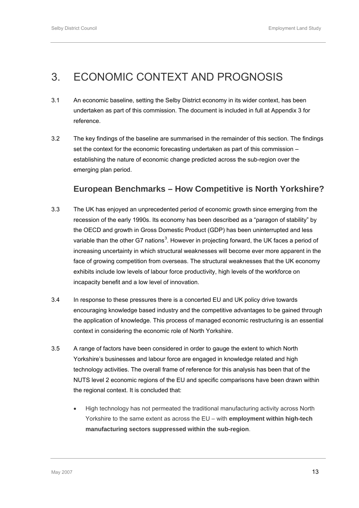## <span id="page-23-0"></span>3. ECONOMIC CONTEXT AND PROGNOSIS

- 3.1 An economic baseline, setting the Selby District economy in its wider context, has been undertaken as part of this commission. The document is included in full at Appendix 3 for reference.
- 3.2 The key findings of the baseline are summarised in the remainder of this section. The findings set the context for the economic forecasting undertaken as part of this commission – establishing the nature of economic change predicted across the sub-region over the emerging plan period.

### **European Benchmarks – How Competitive is North Yorkshire?**

- 3.3 The UK has enjoyed an unprecedented period of economic growth since emerging from the recession of the early 1990s. Its economy has been described as a "paragon of stability" by the OECD and growth in Gross Domestic Product (GDP) has been uninterrupted and less variable than the other G7 nations<sup>[3](#page-23-0)</sup>. However in projecting forward, the UK faces a period of increasing uncertainty in which structural weaknesses will become ever more apparent in the face of growing competition from overseas. The structural weaknesses that the UK economy exhibits include low levels of labour force productivity, high levels of the workforce on incapacity benefit and a low level of innovation.
- 3.4 In response to these pressures there is a concerted EU and UK policy drive towards encouraging knowledge based industry and the competitive advantages to be gained through the application of knowledge. This process of managed economic restructuring is an essential context in considering the economic role of North Yorkshire.
- 3.5 A range of factors have been considered in order to gauge the extent to which North Yorkshire's businesses and labour force are engaged in knowledge related and high technology activities. The overall frame of reference for this analysis has been that of the NUTS level 2 economic regions of the EU and specific comparisons have been drawn within the regional context. It is concluded that:
	- High technology has not permeated the traditional manufacturing activity across North Yorkshire to the same extent as across the EU – with **employment within high-tech manufacturing sectors suppressed within the sub-region**.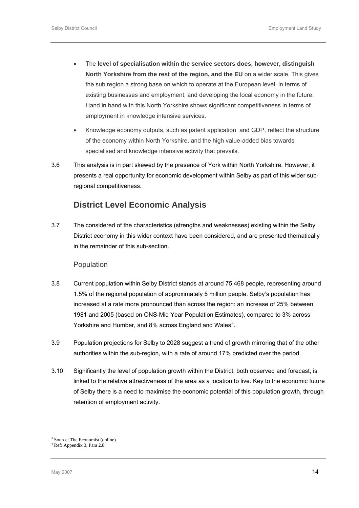- <span id="page-24-0"></span>• The **level of specialisation within the service sectors does, however, distinguish North Yorkshire from the rest of the region, and the EU** on a wider scale. This gives the sub region a strong base on which to operate at the European level, in terms of existing businesses and employment, and developing the local economy in the future. Hand in hand with this North Yorkshire shows significant competitiveness in terms of employment in knowledge intensive services.
- Knowledge economy outputs, such as patent application and GDP, reflect the structure of the economy within North Yorkshire, and the high value-added bias towards specialised and knowledge intensive activity that prevails.
- 3.6 This analysis is in part skewed by the presence of York within North Yorkshire. However, it presents a real opportunity for economic development within Selby as part of this wider subregional competitiveness.

### **District Level Economic Analysis**

3.7 The considered of the characteristics (strengths and weaknesses) existing within the Selby District economy in this wider context have been considered, and are presented thematically in the remainder of this sub-section.

### Population

- 3.8 Current population within Selby District stands at around 75,468 people, representing around 1.5% of the regional population of approximately 5 million people. Selby's population has increased at a rate more pronounced than across the region: an increase of 25% between 1981 and 2005 (based on ONS-Mid Year Population Estimates), compared to 3% across Yorkshire and Humber, and 8% across England and Wales<sup>[4](#page-24-0)</sup>.
- 3.9 Population projections for Selby to 2028 suggest a trend of growth mirroring that of the other authorities within the sub-region, with a rate of around 17% predicted over the period.
- 3.10 Significantly the level of population growth within the District, both observed and forecast, is linked to the relative attractiveness of the area as a location to live. Key to the economic future of Selby there is a need to maximise the economic potential of this population growth, through retention of employment activity.

 $\frac{1}{3}$ Source: The Economist (online)

<sup>4</sup> Ref: Appendix 3, Para 2.8.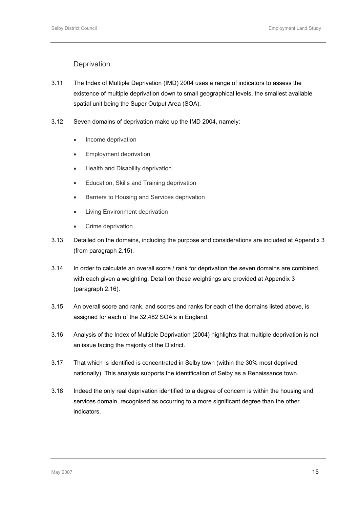### **Deprivation**

- 3.11 The Index of Multiple Deprivation (IMD) 2004 uses a range of indicators to assess the existence of multiple deprivation down to small geographical levels, the smallest available spatial unit being the Super Output Area (SOA).
- 3.12 Seven domains of deprivation make up the IMD 2004, namely:
	- Income deprivation
	- Employment deprivation
	- Health and Disability deprivation
	- Education, Skills and Training deprivation
	- Barriers to Housing and Services deprivation
	- Living Environment deprivation
	- Crime deprivation
- 3.13 Detailed on the domains, including the purpose and considerations are included at Appendix 3 (from paragraph 2.15).
- 3.14 In order to calculate an overall score / rank for deprivation the seven domains are combined, with each given a weighting. Detail on these weightings are provided at Appendix 3 (paragraph 2.16).
- 3.15 An overall score and rank, and scores and ranks for each of the domains listed above, is assigned for each of the 32,482 SOA's in England.
- 3.16 Analysis of the Index of Multiple Deprivation (2004) highlights that multiple deprivation is not an issue facing the majority of the District.
- 3.17 That which is identified is concentrated in Selby town (within the 30% most deprived nationally). This analysis supports the identification of Selby as a Renaissance town.
- 3.18 Indeed the only real deprivation identified to a degree of concern is within the housing and services domain, recognised as occurring to a more significant degree than the other indicators.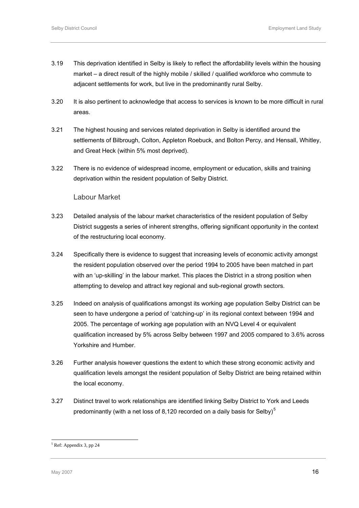- <span id="page-26-0"></span>3.19 This deprivation identified in Selby is likely to reflect the affordability levels within the housing market – a direct result of the highly mobile / skilled / qualified workforce who commute to adjacent settlements for work, but live in the predominantly rural Selby.
- 3.20 It is also pertinent to acknowledge that access to services is known to be more difficult in rural areas.
- 3.21 The highest housing and services related deprivation in Selby is identified around the settlements of Bilbrough, Colton, Appleton Roebuck, and Bolton Percy, and Hensall, Whitley, and Great Heck (within 5% most deprived).
- 3.22 There is no evidence of widespread income, employment or education, skills and training deprivation within the resident population of Selby District.

### Labour Market

- 3.23 Detailed analysis of the labour market characteristics of the resident population of Selby District suggests a series of inherent strengths, offering significant opportunity in the context of the restructuring local economy.
- 3.24 Specifically there is evidence to suggest that increasing levels of economic activity amongst the resident population observed over the period 1994 to 2005 have been matched in part with an 'up-skilling' in the labour market. This places the District in a strong position when attempting to develop and attract key regional and sub-regional growth sectors.
- 3.25 Indeed on analysis of qualifications amongst its working age population Selby District can be seen to have undergone a period of 'catching-up' in its regional context between 1994 and 2005. The percentage of working age population with an NVQ Level 4 or equivalent qualification increased by 5% across Selby between 1997 and 2005 compared to 3.6% across Yorkshire and Humber.
- 3.26 Further analysis however questions the extent to which these strong economic activity and qualification levels amongst the resident population of Selby District are being retained within the local economy.
- 3.27 Distinct travel to work relationships are identified linking Selby District to York and Leeds predominantly (with a net loss of 8,120 recorded on a daily basis for Selby) $<sup>5</sup>$  $<sup>5</sup>$  $<sup>5</sup>$ </sup>

l

<sup>5</sup> Ref: Appendix 3, pp 24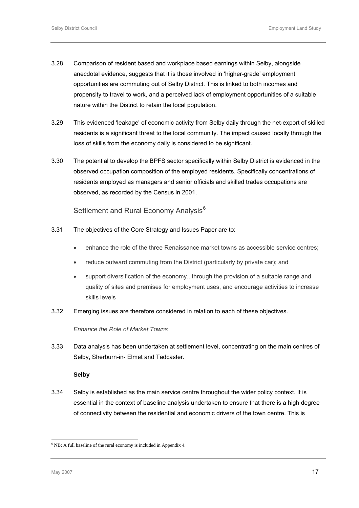- <span id="page-27-0"></span>3.28 Comparison of resident based and workplace based earnings within Selby, alongside anecdotal evidence, suggests that it is those involved in 'higher-grade' employment opportunities are commuting out of Selby District. This is linked to both incomes and propensity to travel to work, and a perceived lack of employment opportunities of a suitable nature within the District to retain the local population.
- 3.29 This evidenced 'leakage' of economic activity from Selby daily through the net-export of skilled residents is a significant threat to the local community. The impact caused locally through the loss of skills from the economy daily is considered to be significant.
- 3.30 The potential to develop the BPFS sector specifically within Selby District is evidenced in the observed occupation composition of the employed residents. Specifically concentrations of residents employed as managers and senior officials and skilled trades occupations are observed, as recorded by the Census in 2001.

Settlement and Rural Economy Analysis<sup>[6](#page-27-0)</sup>

- 3.31 The objectives of the Core Strategy and Issues Paper are to:
	- enhance the role of the three Renaissance market towns as accessible service centres;
	- reduce outward commuting from the District (particularly by private car); and
	- support diversification of the economy...through the provision of a suitable range and quality of sites and premises for employment uses, and encourage activities to increase skills levels
- 3.32 Emerging issues are therefore considered in relation to each of these objectives.

*Enhance the Role of Market Towns* 

3.33 Data analysis has been undertaken at settlement level, concentrating on the main centres of Selby, Sherburn-in- Elmet and Tadcaster.

### **Selby**

3.34 Selby is established as the main service centre throughout the wider policy context. It is essential in the context of baseline analysis undertaken to ensure that there is a high degree of connectivity between the residential and economic drivers of the town centre. This is

l

<sup>&</sup>lt;sup>6</sup> NB: A full baseline of the rural economy is included in Appendix 4.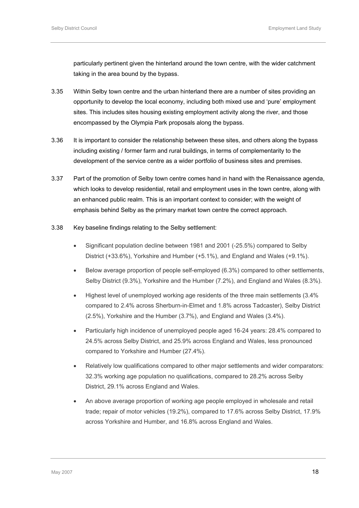particularly pertinent given the hinterland around the town centre, with the wider catchment taking in the area bound by the bypass.

- 3.35 Within Selby town centre and the urban hinterland there are a number of sites providing an opportunity to develop the local economy, including both mixed use and 'pure' employment sites. This includes sites housing existing employment activity along the river, and those encompassed by the Olympia Park proposals along the bypass.
- 3.36 It is important to consider the relationship between these sites, and others along the bypass including existing / former farm and rural buildings, in terms of complementarity to the development of the service centre as a wider portfolio of business sites and premises.
- 3.37 Part of the promotion of Selby town centre comes hand in hand with the Renaissance agenda, which looks to develop residential, retail and employment uses in the town centre, along with an enhanced public realm. This is an important context to consider; with the weight of emphasis behind Selby as the primary market town centre the correct approach.
- 3.38 Key baseline findings relating to the Selby settlement:
	- Significant population decline between 1981 and 2001 (-25.5%) compared to Selby District (+33.6%), Yorkshire and Humber (+5.1%), and England and Wales (+9.1%).
	- Below average proportion of people self-employed (6.3%) compared to other settlements, Selby District (9.3%), Yorkshire and the Humber (7.2%), and England and Wales (8.3%).
	- Highest level of unemployed working age residents of the three main settlements (3.4% compared to 2.4% across Sherburn-in-Elmet and 1.8% across Tadcaster), Selby District (2.5%), Yorkshire and the Humber (3.7%), and England and Wales (3.4%).
	- Particularly high incidence of unemployed people aged 16-24 years: 28.4% compared to 24.5% across Selby District, and 25.9% across England and Wales, less pronounced compared to Yorkshire and Humber (27.4%).
	- Relatively low qualifications compared to other major settlements and wider comparators: 32.3% working age population no qualifications, compared to 28.2% across Selby District, 29.1% across England and Wales.
	- An above average proportion of working age people employed in wholesale and retail trade; repair of motor vehicles (19.2%), compared to 17.6% across Selby District, 17.9% across Yorkshire and Humber, and 16.8% across England and Wales.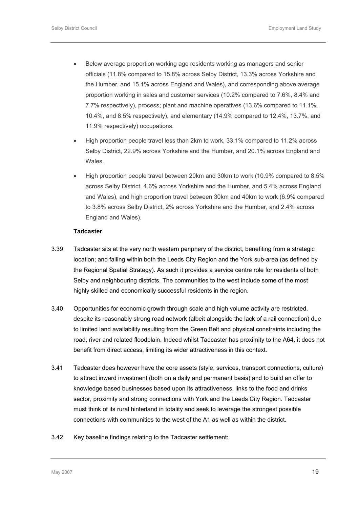- Below average proportion working age residents working as managers and senior officials (11.8% compared to 15.8% across Selby District, 13.3% across Yorkshire and the Humber, and 15.1% across England and Wales), and corresponding above average proportion working in sales and customer services (10.2% compared to 7.6%, 8.4% and 7.7% respectively), process; plant and machine operatives (13.6% compared to 11.1%, 10.4%, and 8.5% respectively), and elementary (14.9% compared to 12.4%, 13.7%, and 11.9% respectively) occupations.
- High proportion people travel less than 2km to work, 33.1% compared to 11.2% across Selby District, 22.9% across Yorkshire and the Humber, and 20.1% across England and Wales.
- High proportion people travel between 20km and 30km to work (10.9% compared to 8.5% across Selby District, 4.6% across Yorkshire and the Humber, and 5.4% across England and Wales), and high proportion travel between 30km and 40km to work (6.9% compared to 3.8% across Selby District, 2% across Yorkshire and the Humber, and 2.4% across England and Wales).

### **Tadcaster**

- 3.39 Tadcaster sits at the very north western periphery of the district, benefiting from a strategic location; and falling within both the Leeds City Region and the York sub-area (as defined by the Regional Spatial Strategy). As such it provides a service centre role for residents of both Selby and neighbouring districts. The communities to the west include some of the most highly skilled and economically successful residents in the region.
- 3.40 Opportunities for economic growth through scale and high volume activity are restricted, despite its reasonably strong road network (albeit alongside the lack of a rail connection) due to limited land availability resulting from the Green Belt and physical constraints including the road, river and related floodplain. Indeed whilst Tadcaster has proximity to the A64, it does not benefit from direct access, limiting its wider attractiveness in this context.
- 3.41 Tadcaster does however have the core assets (style, services, transport connections, culture) to attract inward investment (both on a daily and permanent basis) and to build an offer to knowledge based businesses based upon its attractiveness, links to the food and drinks sector, proximity and strong connections with York and the Leeds City Region. Tadcaster must think of its rural hinterland in totality and seek to leverage the strongest possible connections with communities to the west of the A1 as well as within the district.
- 3.42 Key baseline findings relating to the Tadcaster settlement: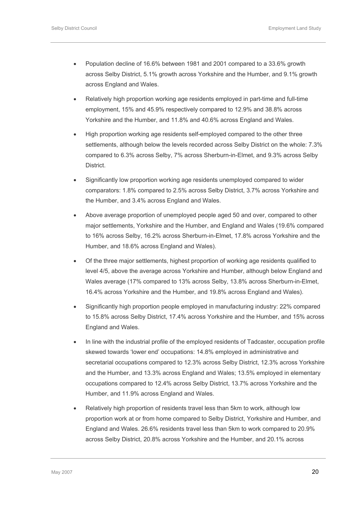- Population decline of 16.6% between 1981 and 2001 compared to a 33.6% growth across Selby District, 5.1% growth across Yorkshire and the Humber, and 9.1% growth across England and Wales.
- Relatively high proportion working age residents employed in part-time and full-time employment, 15% and 45.9% respectively compared to 12.9% and 38.8% across Yorkshire and the Humber, and 11.8% and 40.6% across England and Wales.
- High proportion working age residents self-employed compared to the other three settlements, although below the levels recorded across Selby District on the whole: 7.3% compared to 6.3% across Selby, 7% across Sherburn-in-Elmet, and 9.3% across Selby District.
- Significantly low proportion working age residents unemployed compared to wider comparators: 1.8% compared to 2.5% across Selby District, 3.7% across Yorkshire and the Humber, and 3.4% across England and Wales.
- Above average proportion of unemployed people aged 50 and over, compared to other major settlements, Yorkshire and the Humber, and England and Wales (19.6% compared to 16% across Selby, 16.2% across Sherburn-in-Elmet, 17.8% across Yorkshire and the Humber, and 18.6% across England and Wales).
- Of the three major settlements, highest proportion of working age residents qualified to level 4/5, above the average across Yorkshire and Humber, although below England and Wales average (17% compared to 13% across Selby, 13.8% across Sherburn-in-Elmet, 16.4% across Yorkshire and the Humber, and 19.8% across England and Wales).
- Significantly high proportion people employed in manufacturing industry: 22% compared to 15.8% across Selby District, 17.4% across Yorkshire and the Humber, and 15% across England and Wales.
- In line with the industrial profile of the employed residents of Tadcaster, occupation profile skewed towards 'lower end' occupations: 14.8% employed in administrative and secretarial occupations compared to 12.3% across Selby District, 12.3% across Yorkshire and the Humber, and 13.3% across England and Wales; 13.5% employed in elementary occupations compared to 12.4% across Selby District, 13.7% across Yorkshire and the Humber, and 11.9% across England and Wales.
- Relatively high proportion of residents travel less than 5km to work, although low proportion work at or from home compared to Selby District, Yorkshire and Humber, and England and Wales. 26.6% residents travel less than 5km to work compared to 20.9% across Selby District, 20.8% across Yorkshire and the Humber, and 20.1% across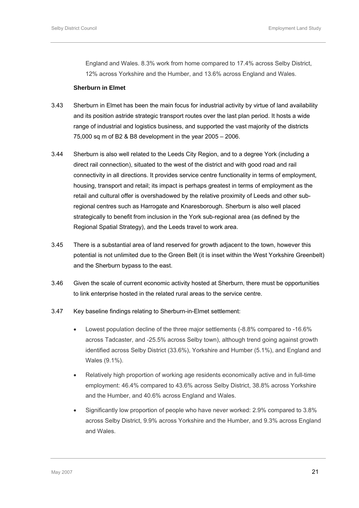England and Wales. 8.3% work from home compared to 17.4% across Selby District, 12% across Yorkshire and the Humber, and 13.6% across England and Wales.

### **Sherburn in Elmet**

- 3.43 Sherburn in Elmet has been the main focus for industrial activity by virtue of land availability and its position astride strategic transport routes over the last plan period. It hosts a wide range of industrial and logistics business, and supported the vast majority of the districts 75,000 sq m of B2 & B8 development in the year 2005 – 2006.
- 3.44 Sherburn is also well related to the Leeds City Region, and to a degree York (including a direct rail connection), situated to the west of the district and with good road and rail connectivity in all directions. It provides service centre functionality in terms of employment, housing, transport and retail; its impact is perhaps greatest in terms of employment as the retail and cultural offer is overshadowed by the relative proximity of Leeds and other subregional centres such as Harrogate and Knaresborough. Sherburn is also well placed strategically to benefit from inclusion in the York sub-regional area (as defined by the Regional Spatial Strategy), and the Leeds travel to work area.
- 3.45 There is a substantial area of land reserved for growth adjacent to the town, however this potential is not unlimited due to the Green Belt (it is inset within the West Yorkshire Greenbelt) and the Sherburn bypass to the east.
- 3.46 Given the scale of current economic activity hosted at Sherburn, there must be opportunities to link enterprise hosted in the related rural areas to the service centre.

### 3.47 Key baseline findings relating to Sherburn-in-Elmet settlement:

- Lowest population decline of the three major settlements (-8.8% compared to -16.6% across Tadcaster, and -25.5% across Selby town), although trend going against growth identified across Selby District (33.6%), Yorkshire and Humber (5.1%), and England and Wales (9.1%).
- Relatively high proportion of working age residents economically active and in full-time employment: 46.4% compared to 43.6% across Selby District, 38.8% across Yorkshire and the Humber, and 40.6% across England and Wales.
- Significantly low proportion of people who have never worked: 2.9% compared to 3.8% across Selby District, 9.9% across Yorkshire and the Humber, and 9.3% across England and Wales.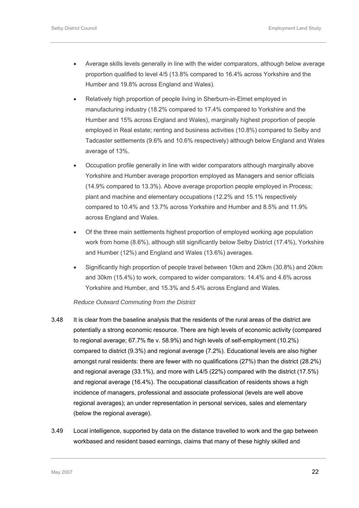- Average skills levels generally in line with the wider comparators, although below average proportion qualified to level 4/5 (13.8% compared to 16.4% across Yorkshire and the Humber and 19.8% across England and Wales).
- Relatively high proportion of people living in Sherburn-in-Elmet employed in manufacturing industry (18.2% compared to 17.4% compared to Yorkshire and the Humber and 15% across England and Wales), marginally highest proportion of people employed in Real estate; renting and business activities (10.8%) compared to Selby and Tadcaster settlements (9.6% and 10.6% respectively) although below England and Wales average of 13%.
- Occupation profile generally in line with wider comparators although marginally above Yorkshire and Humber average proportion employed as Managers and senior officials (14.9% compared to 13.3%). Above average proportion people employed in Process; plant and machine and elementary occupations (12.2% and 15.1% respectively compared to 10.4% and 13.7% across Yorkshire and Humber and 8.5% and 11.9% across England and Wales.
- Of the three main settlements highest proportion of employed working age population work from home (8.6%), although still significantly below Selby District (17.4%), Yorkshire and Humber (12%) and England and Wales (13.6%) averages.
- Significantly high proportion of people travel between 10km and 20km (30.8%) and 20km and 30km (15.4%) to work, compared to wider comparators: 14.4% and 4.6% across Yorkshire and Humber, and 15.3% and 5.4% across England and Wales.

### *Reduce Outward Commuting from the District*

- 3.48 It is clear from the baseline analysis that the residents of the rural areas of the district are potentially a strong economic resource. There are high levels of economic activity (compared to regional average; 67.7% fte v. 58.9%) and high levels of self-employment (10.2%) compared to district (9.3%) and regional average (7.2%). Educational levels are also higher amongst rural residents: there are fewer with no qualifications (27%) than the district (28.2%) and regional average (33.1%), and more with L4/5 (22%) compared with the district (17.5%) and regional average (16.4%). The occupational classification of residents shows a high incidence of managers, professional and associate professional (levels are well above regional averages); an under representation in personal services, sales and elementary (below the regional average).
- 3.49 Local intelligence, supported by data on the distance travelled to work and the gap between workbased and resident based earnings, claims that many of these highly skilled and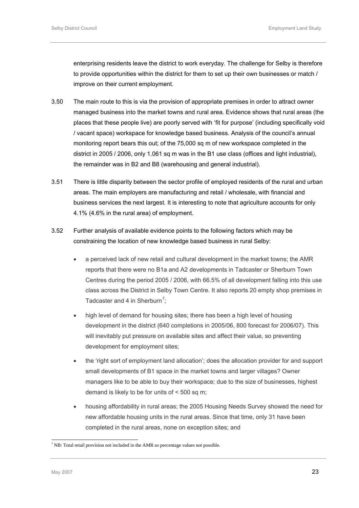<span id="page-33-0"></span>enterprising residents leave the district to work everyday. The challenge for Selby is therefore to provide opportunities within the district for them to set up their own businesses or match / improve on their current employment.

- 3.50 The main route to this is via the provision of appropriate premises in order to attract owner managed business into the market towns and rural area. Evidence shows that rural areas (the places that these people live) are poorly served with 'fit for purpose' (including specifically void / vacant space) workspace for knowledge based business. Analysis of the council's annual monitoring report bears this out; of the 75,000 sq m of new workspace completed in the district in 2005 / 2006, only 1.061 sq m was in the B1 use class (offices and light industrial), the remainder was in B2 and B8 (warehousing and general industrial).
- 3.51 There is little disparity between the sector profile of employed residents of the rural and urban areas. The main employers are manufacturing and retail / wholesale, with financial and business services the next largest. It is interesting to note that agriculture accounts for only 4.1% (4.6% in the rural area) of employment.
- 3.52 Further analysis of available evidence points to the following factors which may be constraining the location of new knowledge based business in rural Selby:
	- a perceived lack of new retail and cultural development in the market towns; the AMR reports that there were no B1a and A2 developments in Tadcaster or Sherburn Town Centres during the period 2005 / 2006, with 66.5% of all development falling into this use class across the District in Selby Town Centre. It also reports 20 empty shop premises in Tadcaster and 4 in Sherburn<sup>[7](#page-33-0)</sup>;
	- high level of demand for housing sites; there has been a high level of housing development in the district (640 completions in 2005/06, 800 forecast for 2006/07). This will inevitably put pressure on available sites and affect their value, so preventing development for employment sites;
	- the 'right sort of employment land allocation'; does the allocation provider for and support small developments of B1 space in the market towns and larger villages? Owner managers like to be able to buy their workspace; due to the size of businesses, highest demand is likely to be for units of < 500 sq m;
	- housing affordability in rural areas; the 2005 Housing Needs Survey showed the need for new affordable housing units in the rural areas. Since that time, only 31 have been completed in the rural areas, none on exception sites; and

l

 $<sup>7</sup>$  NB: Total retail provision not included in the AMR so percentage values not possible.</sup>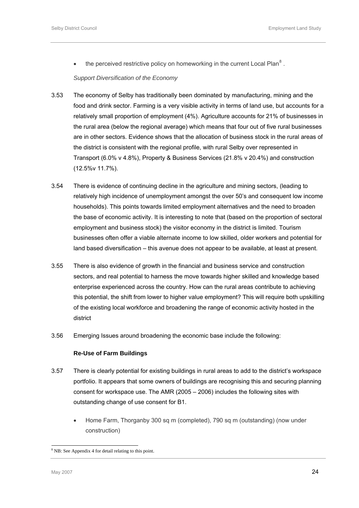<span id="page-34-0"></span>• the perceived restrictive policy on homeworking in the current Local Plan<sup>[8](#page-34-0)</sup>.

*Support Diversification of the Economy* 

- 3.53 The economy of Selby has traditionally been dominated by manufacturing, mining and the food and drink sector. Farming is a very visible activity in terms of land use, but accounts for a relatively small proportion of employment (4%). Agriculture accounts for 21% of businesses in the rural area (below the regional average) which means that four out of five rural businesses are in other sectors. Evidence shows that the allocation of business stock in the rural areas of the district is consistent with the regional profile, with rural Selby over represented in Transport (6.0% v 4.8%), Property & Business Services (21.8% v 20.4%) and construction (12.5%v 11.7%).
- 3.54 There is evidence of continuing decline in the agriculture and mining sectors, (leading to relatively high incidence of unemployment amongst the over 50's and consequent low income households). This points towards limited employment alternatives and the need to broaden the base of economic activity. It is interesting to note that (based on the proportion of sectoral employment and business stock) the visitor economy in the district is limited. Tourism businesses often offer a viable alternate income to low skilled, older workers and potential for land based diversification – this avenue does not appear to be available, at least at present.
- 3.55 There is also evidence of growth in the financial and business service and construction sectors, and real potential to harness the move towards higher skilled and knowledge based enterprise experienced across the country. How can the rural areas contribute to achieving this potential, the shift from lower to higher value employment? This will require both upskilling of the existing local workforce and broadening the range of economic activity hosted in the district
- 3.56 Emerging Issues around broadening the economic base include the following:

### **Re-Use of Farm Buildings**

- 3.57 There is clearly potential for existing buildings in rural areas to add to the district's workspace portfolio. It appears that some owners of buildings are recognising this and securing planning consent for workspace use. The AMR (2005 – 2006) includes the following sites with outstanding change of use consent for B1.
	- Home Farm, Thorganby 300 sq m (completed), 790 sq m (outstanding) (now under construction)

l <sup>8</sup> NB: See Appendix 4 for detail relating to this point.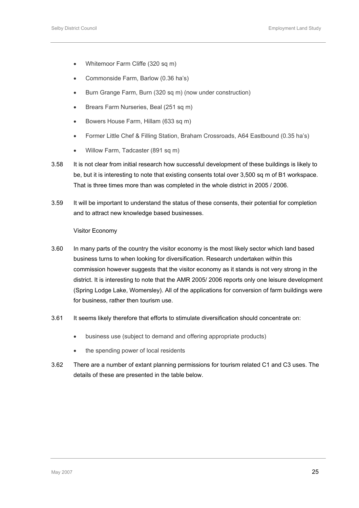- Whitemoor Farm Cliffe (320 sq m)
- Commonside Farm, Barlow (0.36 ha's)
- Burn Grange Farm, Burn (320 sq m) (now under construction)
- Brears Farm Nurseries, Beal (251 sq m)
- Bowers House Farm, Hillam (633 sq m)
- Former Little Chef & Filling Station, Braham Crossroads, A64 Eastbound (0.35 ha's)
- Willow Farm, Tadcaster (891 sq m)
- 3.58 It is not clear from initial research how successful development of these buildings is likely to be, but it is interesting to note that existing consents total over 3,500 sq m of B1 workspace. That is three times more than was completed in the whole district in 2005 / 2006.
- 3.59 It will be important to understand the status of these consents, their potential for completion and to attract new knowledge based businesses.

Visitor Economy

- 3.60 In many parts of the country the visitor economy is the most likely sector which land based business turns to when looking for diversification. Research undertaken within this commission however suggests that the visitor economy as it stands is not very strong in the district. It is interesting to note that the AMR 2005/ 2006 reports only one leisure development (Spring Lodge Lake, Womersley). All of the applications for conversion of farm buildings were for business, rather then tourism use.
- 3.61 It seems likely therefore that efforts to stimulate diversification should concentrate on:
	- business use (subject to demand and offering appropriate products)
	- the spending power of local residents
- 3.62 There are a number of extant planning permissions for tourism related C1 and C3 uses. The details of these are presented in the table below.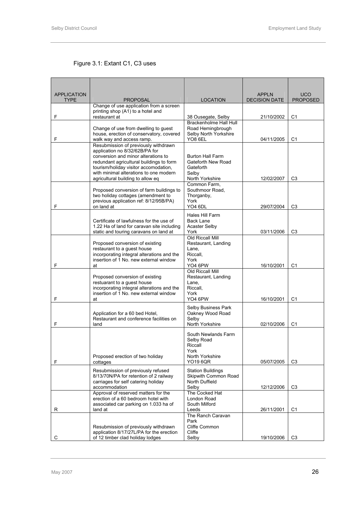### Figure 3.1: Extant C1, C3 uses

| <b>APPLICATION</b> |                                                                                        |                                            | <b>APPLN</b>         | <b>UCO</b>      |
|--------------------|----------------------------------------------------------------------------------------|--------------------------------------------|----------------------|-----------------|
| <b>TYPE</b>        | <b>PROPOSAL</b>                                                                        | <b>LOCATION</b>                            | <b>DECISION DATE</b> | <b>PROPOSED</b> |
|                    | Change of use application from a screen<br>printing shop (A1) to a hotel and           |                                            |                      |                 |
| F                  | restaurant at                                                                          | 38 Ousegate, Selby                         | 21/10/2002           | C <sub>1</sub>  |
|                    |                                                                                        | Brackenholme Hall Hull                     |                      |                 |
|                    | Change of use from dwelling to guest<br>house, erection of conservatory, covered       | Road Hemingbrough<br>Selby North Yorkshire |                      |                 |
| F                  | walk way and access ramp.                                                              | YO8 6EL                                    | 04/11/2005           | C <sub>1</sub>  |
|                    | Resubmission of previously withdrawn<br>application no 8/32/62B/PA for                 |                                            |                      |                 |
|                    | conversion and minor alterations to                                                    | <b>Burton Hall Farm</b>                    |                      |                 |
|                    | redundant agricultural buildings to form                                               | Gateforth New Road                         |                      |                 |
|                    | tourism/holiday visitor accomodation,<br>with minimal alterations to one modern        | Gateforth<br>Selby                         |                      |                 |
|                    | agricultural building to allow eq                                                      | North Yorkshire                            | 12/02/2007           | C <sub>3</sub>  |
|                    |                                                                                        | Common Farm,                               |                      |                 |
|                    | Proposed conversion of farm buildings to<br>two holiday cottages (amendment to         | Southmoor Road,<br>Thorganby,              |                      |                 |
|                    | previous application ref: 8/12/95B/PA)                                                 | York                                       |                      |                 |
| F                  | on land at                                                                             | YO4 6DL                                    | 29/07/2004           | C <sub>3</sub>  |
|                    |                                                                                        | Hales Hill Farm                            |                      |                 |
|                    | Certificate of lawfulness for the use of<br>1.22 Ha of land for caravan site including | <b>Back Lane</b><br><b>Acaster Selby</b>   |                      |                 |
|                    | static and touring caravans on land at                                                 | York                                       | 03/11/2006           | C <sub>3</sub>  |
|                    |                                                                                        | Old Riccall Mill                           |                      |                 |
|                    | Proposed conversion of existing<br>restaurant to a quest house                         | Restaurant, Landing<br>Lane,               |                      |                 |
|                    | incorporating integral alterations and the                                             | Riccall,                                   |                      |                 |
| F                  | insertion of 1 No. new external window                                                 | York<br>YO4 6PW                            |                      |                 |
|                    | at                                                                                     | Old Riccall Mill                           | 16/10/2001           | C <sub>1</sub>  |
|                    | Proposed conversion of existing                                                        | Restaurant, Landing                        |                      |                 |
|                    | restuarant to a guest house<br>incorporating integral alterations and the              | Lane,<br>Riccall,                          |                      |                 |
|                    | insertion of 1 No. new external window                                                 | York                                       |                      |                 |
| F                  | at                                                                                     | YO4 6PW                                    | 16/10/2001           | C <sub>1</sub>  |
|                    |                                                                                        | Selby Business Park                        |                      |                 |
|                    | Application for a 60 bed Hotel,<br>Restaurant and conference facilities on             | Oakney Wood Road<br>Selby                  |                      |                 |
| F                  | land                                                                                   | North Yorkshire                            | 02/10/2006           | C <sub>1</sub>  |
|                    |                                                                                        | South Newlands Farm                        |                      |                 |
|                    |                                                                                        | Selby Road                                 |                      |                 |
|                    |                                                                                        | Riccall                                    |                      |                 |
|                    | Proposed erection of two holiday                                                       | York<br>North Yorkshire                    |                      |                 |
| F                  | cottages                                                                               | <b>YO19 6QR</b>                            | 05/07/2005           | C <sub>3</sub>  |
|                    | Resubmission of previously refused                                                     | <b>Station Buildings</b>                   |                      |                 |
|                    | 8/13/70N/PA for retention of 2 railway                                                 | Skipwith Common Road                       |                      |                 |
|                    | carriages for self catering holiday<br>accommodation                                   | North Duffield<br>Selby                    | 12/12/2006           | C <sub>3</sub>  |
|                    | Approval of reserved matters for the                                                   | The Cocked Hat                             |                      |                 |
|                    | erection of a 60 bedroom hotel with                                                    | London Road                                |                      |                 |
| R                  | associated car parking on 1.033 ha of<br>land at                                       | South Milford<br>Leeds                     | 26/11/2001           | C <sub>1</sub>  |
|                    |                                                                                        | The Ranch Caravan                          |                      |                 |
|                    | Resubmission of previously withdrawn                                                   | Park<br>Cliffe Common                      |                      |                 |
|                    | application 8/17/27L/PA for the erection                                               | Cliffe                                     |                      |                 |
| С                  | of 12 timber clad holiday lodges                                                       | Selby                                      | 19/10/2006           | C <sub>3</sub>  |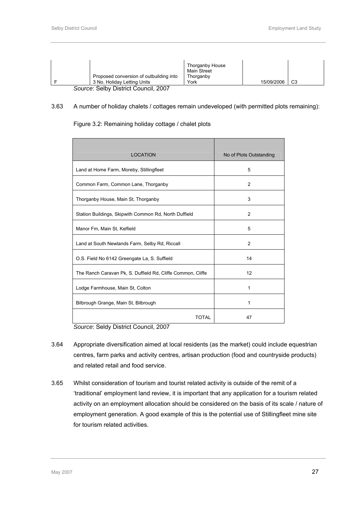| Proposed conversion of outbuilding into<br>3 No. Holiday Letting Units | Thorganby House<br>Main Street<br>Thorganby<br>York | 15/09/2006 | C <sub>3</sub> |  |
|------------------------------------------------------------------------|-----------------------------------------------------|------------|----------------|--|
| Source: Selby District Council, 2007                                   |                                                     |            |                |  |

#### 3.63 A number of holiday chalets / cottages remain undeveloped (with permitted plots remaining):

#### Figure 3.2: Remaining holiday cottage / chalet plots

| <b>LOCATION</b>                                             | No of Plots Outstanding |
|-------------------------------------------------------------|-------------------------|
| Land at Home Farm, Moreby, Stillingfleet                    | 5                       |
| Common Farm, Common Lane, Thorganby                         | $\overline{2}$          |
| Thorganby House, Main St, Thorganby                         | 3                       |
| Station Buildings, Skipwith Common Rd, North Duffield       | $\overline{2}$          |
| Manor Fm, Main St, Kelfield                                 | 5                       |
| Land at South Newlands Farm, Selby Rd, Riccall              | $\overline{2}$          |
| O.S. Field No 6142 Greengate La, S. Suffield                | 14                      |
| The Ranch Caravan Pk, S. Duffield Rd, Cliffe Common, Cliffe | 12                      |
| Lodge Farmhouse, Main St, Colton                            | 1                       |
| Bilbrough Grange, Main St, Bilbrough                        | 1                       |
| <b>TOTAL</b>                                                | 47                      |

*Source*: Seldy District Council, 2007

- 3.64 Appropriate diversification aimed at local residents (as the market) could include equestrian centres, farm parks and activity centres, artisan production (food and countryside products) and related retail and food service.
- 3.65 Whilst consideration of tourism and tourist related activity is outside of the remit of a 'traditional' employment land review, it is important that any application for a tourism related activity on an employment allocation should be considered on the basis of its scale / nature of employment generation. A good example of this is the potential use of Stillingfleet mine site for tourism related activities.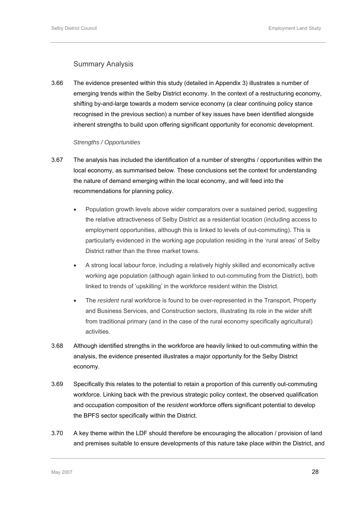### Summary Analysis

3.66 The evidence presented within this study (detailed in Appendix 3) illustrates a number of emerging trends within the Selby District economy. In the context of a restructuring economy, shifting by-and-large towards a modern service economy (a clear continuing policy stance recognised in the previous section) a number of key issues have been identified alongside inherent strengths to build upon offering significant opportunity for economic development.

#### *Strengths / Opportunities*

- 3.67 The analysis has included the identification of a number of strengths / opportunities within the local economy, as summarised below. These conclusions set the context for understanding the nature of demand emerging within the local economy, and will feed into the recommendations for planning policy.
	- Population growth levels above wider comparators over a sustained period, suggesting the relative attractiveness of Selby District as a residential location (including access to employment opportunities, although this is linked to levels of out-commuting). This is particularly evidenced in the working age population residing in the 'rural areas' of Selby District rather than the three market towns.
	- A strong local labour force, including a relatively highly skilled and economically active working age population (although again linked to out-commuting from the District), both linked to trends of 'upskilling' in the workforce resident within the District.
	- The *resident* rural workforce is found to be over-represented in the Transport, Property and Business Services, and Construction sectors, illustrating its role in the wider shift from traditional primary (and in the case of the rural economy specifically agricultural) activities.
- 3.68 Although identified strengths in the workforce are heavily linked to out-commuting within the analysis, the evidence presented illustrates a major opportunity for the Selby District economy.
- 3.69 Specifically this relates to the potential to retain a proportion of this currently out-commuting workforce. Linking back with the previous strategic policy context, the observed qualification and occupation composition of the *resident* workforce offers significant potential to develop the BPFS sector specifically within the District.
- 3.70 A key theme within the LDF should therefore be encouraging the allocation / provision of land and premises suitable to ensure developments of this nature take place within the District, and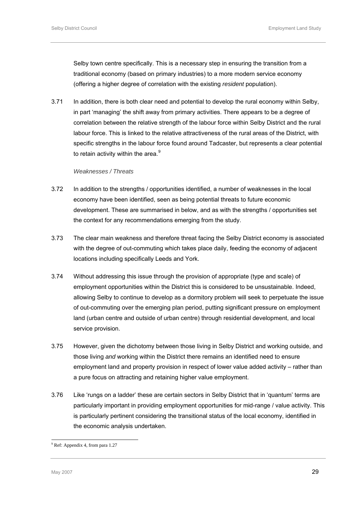<span id="page-39-0"></span>Selby town centre specifically. This is a necessary step in ensuring the transition from a traditional economy (based on primary industries) to a more modern service economy (offering a higher degree of correlation with the existing *resident* population).

3.71 In addition, there is both clear need and potential to develop the rural economy within Selby, in part 'managing' the shift away from primary activities. There appears to be a degree of correlation between the relative strength of the labour force within Selby District and the rural labour force. This is linked to the relative attractiveness of the rural areas of the District, with specific strengths in the labour force found around Tadcaster, but represents a clear potential to retain activity within the area. $9$ 

#### *Weaknesses / Threats*

- 3.72 In addition to the strengths / opportunities identified, a number of weaknesses in the local economy have been identified, seen as being potential threats to future economic development. These are summarised in below, and as with the strengths / opportunities set the context for any recommendations emerging from the study.
- 3.73 The clear main weakness and therefore threat facing the Selby District economy is associated with the degree of out-commuting which takes place daily, feeding the economy of adjacent locations including specifically Leeds and York.
- 3.74 Without addressing this issue through the provision of appropriate (type and scale) of employment opportunities within the District this is considered to be unsustainable. Indeed, allowing Selby to continue to develop as a dormitory problem will seek to perpetuate the issue of out-commuting over the emerging plan period, putting significant pressure on employment land (urban centre and outside of urban centre) through residential development, and local service provision.
- 3.75 However, given the dichotomy between those living in Selby District and working outside, and those living *and* working within the District there remains an identified need to ensure employment land and property provision in respect of lower value added activity – rather than a pure focus on attracting and retaining higher value employment.
- 3.76 Like 'rungs on a ladder' these are certain sectors in Selby District that in 'quantum' terms are particularly important in providing employment opportunities for mid-range / value activity. This is particularly pertinent considering the transitional status of the local economy, identified in the economic analysis undertaken.

l

<sup>9</sup> Ref: Appendix 4, from para 1.27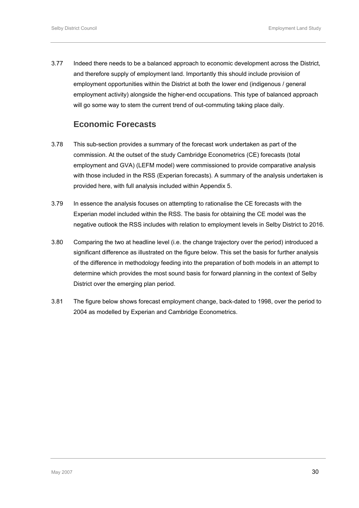3.77 Indeed there needs to be a balanced approach to economic development across the District, and therefore supply of employment land. Importantly this should include provision of employment opportunities within the District at both the lower end (indigenous / general employment activity) alongside the higher-end occupations. This type of balanced approach will go some way to stem the current trend of out-commuting taking place daily.

# **Economic Forecasts**

- 3.78 This sub-section provides a summary of the forecast work undertaken as part of the commission. At the outset of the study Cambridge Econometrics (CE) forecasts (total employment and GVA) (LEFM model) were commissioned to provide comparative analysis with those included in the RSS (Experian forecasts). A summary of the analysis undertaken is provided here, with full analysis included within Appendix 5.
- 3.79 In essence the analysis focuses on attempting to rationalise the CE forecasts with the Experian model included within the RSS. The basis for obtaining the CE model was the negative outlook the RSS includes with relation to employment levels in Selby District to 2016.
- 3.80 Comparing the two at headline level (i.e. the change trajectory over the period) introduced a significant difference as illustrated on the figure below. This set the basis for further analysis of the difference in methodology feeding into the preparation of both models in an attempt to determine which provides the most sound basis for forward planning in the context of Selby District over the emerging plan period.
- 3.81 The figure below shows forecast employment change, back-dated to 1998, over the period to 2004 as modelled by Experian and Cambridge Econometrics.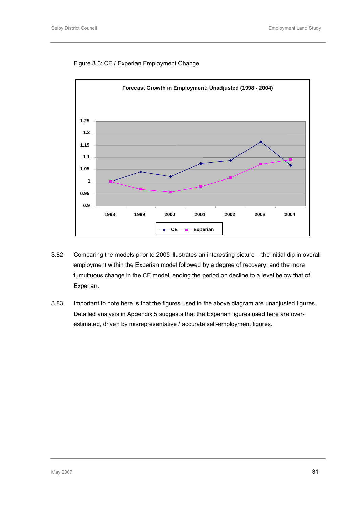### Figure 3.3: CE / Experian Employment Change



- 3.82 Comparing the models prior to 2005 illustrates an interesting picture the initial dip in overall employment within the Experian model followed by a degree of recovery, and the more tumultuous change in the CE model, ending the period on decline to a level below that of Experian.
- 3.83 Important to note here is that the figures used in the above diagram are unadjusted figures. Detailed analysis in Appendix 5 suggests that the Experian figures used here are overestimated, driven by misrepresentative / accurate self-employment figures.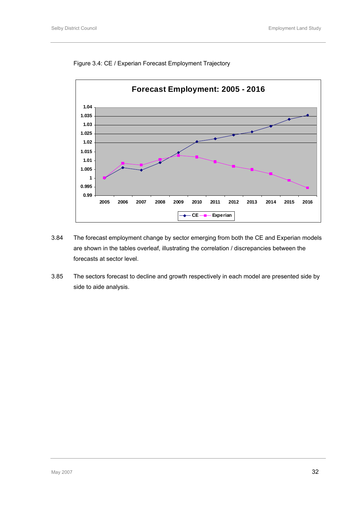



- 3.84 The forecast employment change by sector emerging from both the CE and Experian models are shown in the tables overleaf, illustrating the correlation / discrepancies between the forecasts at sector level.
- 3.85 The sectors forecast to decline and growth respectively in each model are presented side by side to aide analysis.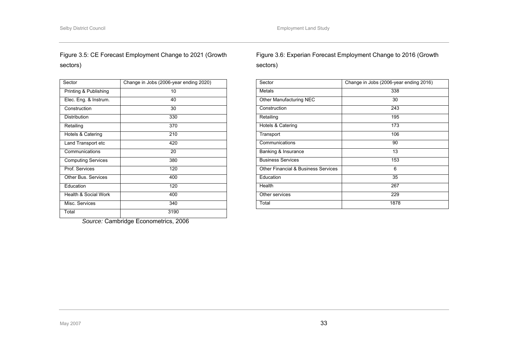## Figure 3.5: CE Forecast Employment Change to 2021 (Growth sectors)

| Sector                    | Change in Jobs (2006-year ending 2020) |
|---------------------------|----------------------------------------|
| Printing & Publishing     | 10                                     |
| Elec. Eng. & Instrum.     | 40                                     |
| Construction              | 30                                     |
| Distribution              | 330                                    |
| Retailing                 | 370                                    |
| Hotels & Catering         | 210                                    |
| Land Transport etc        | 420                                    |
| Communications            | 20                                     |
| <b>Computing Services</b> | 380                                    |
| Prof. Services            | 120                                    |
| Other Bus, Services       | 400                                    |
| Education                 | 120                                    |
| Health & Social Work      | 400                                    |
| Misc. Services            | 340                                    |
| Total                     | 3190                                   |

*Source:* Cambridge Econometrics, 2006

# Figure 3.6: Experian Forecast Employment Change to 2016 (Growth sectors)

| Sector                                         | Change in Jobs (2006-year ending 2016) |
|------------------------------------------------|----------------------------------------|
| Metals                                         | 338                                    |
| Other Manufacturing NEC                        | 30                                     |
| Construction                                   | 243                                    |
| Retailing                                      | 195                                    |
| Hotels & Catering                              | 173                                    |
| Transport                                      | 106                                    |
| Communications                                 | 90                                     |
| Banking & Insurance                            | 13                                     |
| <b>Business Services</b>                       | 153                                    |
| <b>Other Financial &amp; Business Services</b> | 6                                      |
| Education                                      | 35                                     |
| Health                                         | 267                                    |
| Other services                                 | 229                                    |
| Total                                          | 1878                                   |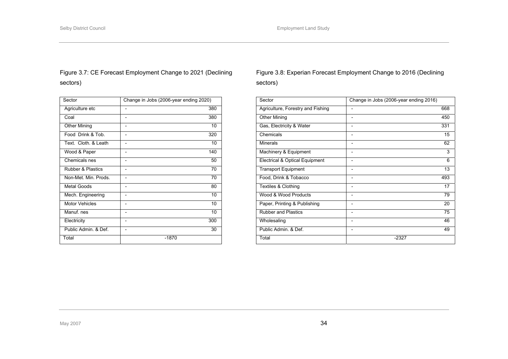## Figure 3.7: CE Forecast Employment Change to 2021 (Declining sectors)

| Sector                       | Change in Jobs (2006-year ending 2020) |
|------------------------------|----------------------------------------|
| Agriculture etc              | 380                                    |
| Coal                         | 380                                    |
| <b>Other Mining</b>          | 10<br>-                                |
| Food Drink & Tob.            | 320                                    |
| Text. Cloth. & Leath         | 10                                     |
| Wood & Paper                 | 140<br>-                               |
| Chemicals nes                | 50                                     |
| <b>Rubber &amp; Plastics</b> | 70<br>-                                |
| Non-Met. Min. Prods.         | 70                                     |
| <b>Metal Goods</b>           | 80                                     |
| Mech. Engineering            | 10<br>-                                |
| <b>Motor Vehicles</b>        | 10                                     |
| Manuf, nes                   | 10<br>-                                |
| Electricity                  | 300                                    |
| Public Admin, & Def.         | 30                                     |
| Total                        | $-1870$                                |

## Figure 3.8: Experian Forecast Employment Change to 2016 (Declining sectors)

| Sector                            | Change in Jobs (2006-year ending 2016) |     |
|-----------------------------------|----------------------------------------|-----|
| Agriculture, Forestry and Fishing |                                        | 668 |
| <b>Other Mining</b>               | $\overline{\phantom{a}}$               | 450 |
| Gas, Electricity & Water          | 331<br>$\qquad \qquad$                 |     |
| Chemicals                         | $\qquad \qquad \blacksquare$           | 15  |
| Minerals                          | $\qquad \qquad$                        | 62  |
| Machinery & Equipment             | $\qquad \qquad \blacksquare$           | 3   |
| Electrical & Optical Equipment    |                                        | 6   |
| <b>Transport Equipment</b>        |                                        | 13  |
| Food, Drink & Tobacco             | $\qquad \qquad$                        | 493 |
| Textiles & Clothing               | $\qquad \qquad \blacksquare$           | 17  |
| Wood & Wood Products              |                                        | 79  |
| Paper, Printing & Publishing      | $\qquad \qquad$                        | 20  |
| <b>Rubber and Plastics</b>        | $\qquad \qquad \blacksquare$           | 75  |
| Wholesaling                       |                                        | 46  |
| Public Admin, & Def.              |                                        | 49  |
| Total                             | $-2327$                                |     |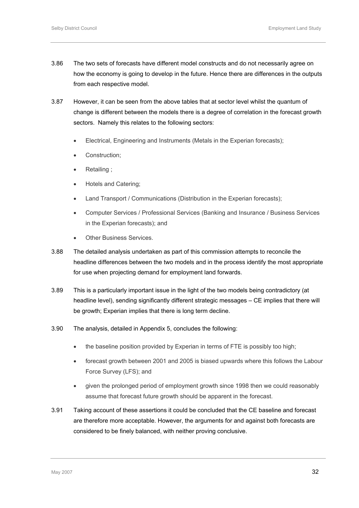- 3.86 The two sets of forecasts have different model constructs and do not necessarily agree on how the economy is going to develop in the future. Hence there are differences in the outputs from each respective model.
- 3.87 However, it can be seen from the above tables that at sector level whilst the quantum of change is different between the models there is a degree of correlation in the forecast growth sectors. Namely this relates to the following sectors:
	- Electrical, Engineering and Instruments (Metals in the Experian forecasts);
	- Construction;
	- Retailing ;
	- Hotels and Catering;
	- Land Transport / Communications (Distribution in the Experian forecasts);
	- Computer Services / Professional Services (Banking and Insurance / Business Services in the Experian forecasts); and
	- **Other Business Services.**
- 3.88 The detailed analysis undertaken as part of this commission attempts to reconcile the headline differences between the two models and in the process identify the most appropriate for use when projecting demand for employment land forwards.
- 3.89 This is a particularly important issue in the light of the two models being contradictory (at headline level), sending significantly different strategic messages – CE implies that there will be growth; Experian implies that there is long term decline.
- 3.90 The analysis, detailed in Appendix 5, concludes the following:
	- the baseline position provided by Experian in terms of FTE is possibly too high;
	- forecast growth between 2001 and 2005 is biased upwards where this follows the Labour Force Survey (LFS); and
	- given the prolonged period of employment growth since 1998 then we could reasonably assume that forecast future growth should be apparent in the forecast.
- 3.91 Taking account of these assertions it could be concluded that the CE baseline and forecast are therefore more acceptable. However, the arguments for and against both forecasts are considered to be finely balanced, with neither proving conclusive.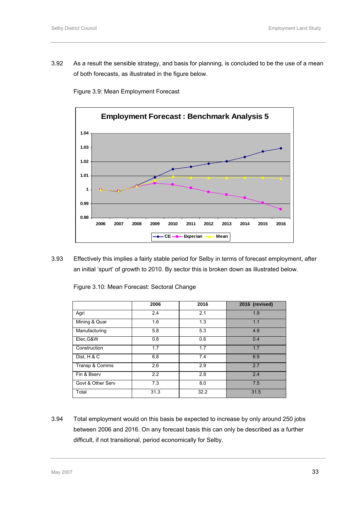3.92 As a result the sensible strategy, and basis for planning, is concluded to be the use of a mean of both forecasts, as illustrated in the figure below.



Figure 3.9: Mean Employment Forecast

3.93 Effectively this implies a fairly stable period for Selby in terms of forecast employment, after an initial 'spurt' of growth to 2010. By sector this is broken down as illustrated below.

|                   | 2006 | 2016 | 2016 (revised) |
|-------------------|------|------|----------------|
| Agri              | 2.4  | 2.1  | 1.9            |
| Mining & Quar     | 1.6  | 1.3  | 1.1            |
| Manufacturing     | 5.8  | 5.3  | 4.9            |
| Elec, G&W         | 0.8  | 0.6  | 0.4            |
| Construction      | 1.7  | 1.7  | 1.7            |
| Dist, H & C       | 6.8  | 7.4  | 6.9            |
| Transp & Comms    | 2.6  | 2.9  | 2.7            |
| Fin & Bserv       | 2.2  | 2.8  | 2.4            |
| Govt & Other Serv | 7.3  | 8.0  | 7.5            |
| Total             | 31.3 | 32.2 | 31.5           |

Figure 3.10: Mean Forecast: Sectoral Change

3.94 Total employment would on this basis be expected to increase by only around 250 jobs between 2006 and 2016. On any forecast basis this can only be described as a further difficult, if not transitional, period economically for Selby.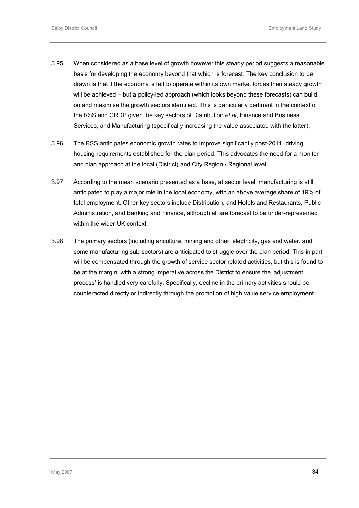- 3.95 When considered as a base level of growth however this steady period suggests a reasonable basis for developing the economy beyond that which is forecast. The key conclusion to be drawn is that if the economy is left to operate within its own market forces then steady growth will be achieved – but a policy-led approach (which looks beyond these forecasts) can build on and maximise the growth sectors identified. This is particularly pertinent in the context of the RSS and CRDP given the key sectors of Distribution *et al*, Finance and Business Services, and Manufacturing (specifically increasing the value associated with the latter).
- 3.96 The RSS anticipates economic growth rates to improve significantly post-2011, driving housing requirements established for the plan period. This advocates the need for a monitor and plan approach at the local (District) and City Region / Regional level.
- 3.97 According to the mean scenario presented as a base, at sector level, manufacturing is still anticipated to play a major role in the local economy, with an above average share of 19% of total employment. Other key sectors include Distribution, and Hotels and Restaurants, Public Administration, and Banking and Finance, although all are forecast to be under-represented within the wider UK context.
- 3.98 The primary sectors (including ariculture, mining and other, electricity, gas and water, and some manufacturing sub-sectors) are anticipated to struggle over the plan period. This in part will be compensated through the growth of service sector related activities, but this is found to be at the margin, with a strong imperative across the District to ensure the 'adjustment process' is handled very carefully. Specifically, decline in the primary activities should be counteracted directly or indirectly through the promotion of high value service employment.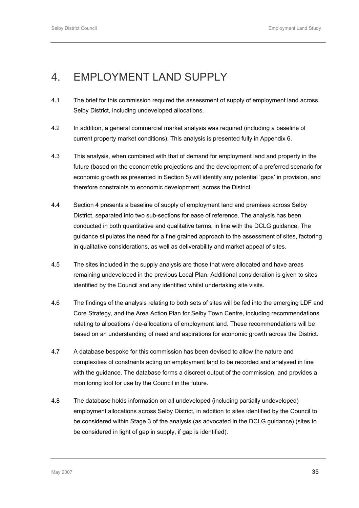# 4. EMPLOYMENT LAND SUPPLY

- 4.1 The brief for this commission required the assessment of supply of employment land across Selby District, including undeveloped allocations.
- 4.2 In addition, a general commercial market analysis was required (including a baseline of current property market conditions). This analysis is presented fully in Appendix 6.
- 4.3 This analysis, when combined with that of demand for employment land and property in the future (based on the econometric projections and the development of a preferred scenario for economic growth as presented in Section 5) will identify any potential 'gaps' in provision, and therefore constraints to economic development, across the District.
- 4.4 Section 4 presents a baseline of supply of employment land and premises across Selby District, separated into two sub-sections for ease of reference. The analysis has been conducted in both quantitative and qualitative terms, in line with the DCLG guidance. The guidance stipulates the need for a fine grained approach to the assessment of sites, factoring in qualitative considerations, as well as deliverability and market appeal of sites.
- 4.5 The sites included in the supply analysis are those that were allocated and have areas remaining undeveloped in the previous Local Plan. Additional consideration is given to sites identified by the Council and any identified whilst undertaking site visits.
- 4.6 The findings of the analysis relating to both sets of sites will be fed into the emerging LDF and Core Strategy, and the Area Action Plan for Selby Town Centre, including recommendations relating to allocations / de-allocations of employment land. These recommendations will be based on an understanding of need and aspirations for economic growth across the District.
- 4.7 A database bespoke for this commission has been devised to allow the nature and complexities of constraints acting on employment land to be recorded and analysed in line with the guidance. The database forms a discreet output of the commission, and provides a monitoring tool for use by the Council in the future.
- 4.8 The database holds information on all undeveloped (including partially undeveloped) employment allocations across Selby District, in addition to sites identified by the Council to be considered within Stage 3 of the analysis (as advocated in the DCLG guidance) (sites to be considered in light of gap in supply, if gap is identified).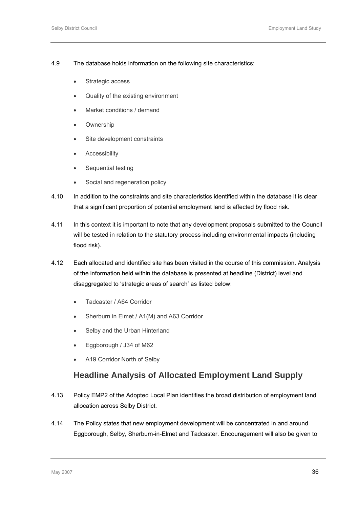- 4.9 The database holds information on the following site characteristics:
	- Strategic access
	- Quality of the existing environment
	- Market conditions / demand
	- Ownership
	- Site development constraints
	- Accessibility
	- Sequential testing
	- Social and regeneration policy
- 4.10 In addition to the constraints and site characteristics identified within the database it is clear that a significant proportion of potential employment land is affected by flood risk.
- 4.11 In this context it is important to note that any development proposals submitted to the Council will be tested in relation to the statutory process including environmental impacts (including flood risk).
- 4.12 Each allocated and identified site has been visited in the course of this commission. Analysis of the information held within the database is presented at headline (District) level and disaggregated to 'strategic areas of search' as listed below:
	- Tadcaster / A64 Corridor
	- Sherburn in Elmet / A1(M) and A63 Corridor
	- Selby and the Urban Hinterland
	- Eggborough / J34 of M62
	- A19 Corridor North of Selby

### **Headline Analysis of Allocated Employment Land Supply**

- 4.13 Policy EMP2 of the Adopted Local Plan identifies the broad distribution of employment land allocation across Selby District.
- 4.14 The Policy states that new employment development will be concentrated in and around Eggborough, Selby, Sherburn-in-Elmet and Tadcaster. Encouragement will also be given to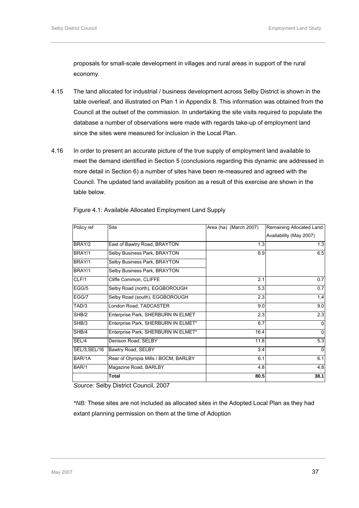proposals for small-scale development in villages and rural areas in support of the rural economy.

- 4.15 The land allocated for industrial / business development across Selby District is shown in the table overleaf, and illustrated on Plan 1 in Appendix 8. This information was obtained from the Council at the outset of the commission. In undertaking the site visits required to populate the database a number of observations were made with regards take-up of employment land since the sites were measured for inclusion in the Local Plan.
- 4.16 In order to present an accurate picture of the true supply of employment land available to meet the demand identified in Section 5 (conclusions regarding this dynamic are addressed in more detail in Section 6) a number of sites have been re-measured and agreed with the Council. The updated land availability position as a result of this exercise are shown in the table below.

| Policy ref    | Site                                 | Area (ha) (March 2007) | Remaining Allocated Land |
|---------------|--------------------------------------|------------------------|--------------------------|
|               |                                      |                        | Availability (May 2007)  |
| BRAY/2        | East of Bawtry Road, BRAYTON         | 1.3                    | 1.3                      |
| BRAY/1        | Selby Business Park, BRAYTON         | 8.9                    | 6.5                      |
| BRAY/1        | Selby Business Park, BRAYTON         |                        |                          |
| BRAY/1        | Selby Business Park, BRAYTON         |                        |                          |
| CLF/1         | Cliffe Common, CLIFFE                | 2.1                    | 0.7                      |
| EGG/5         | Selby Road (north), EGGBOROUGH       | 5.3                    | 0.7                      |
| EGG/7         | Selby Road (south), EGGBOROUGH       | 2.3                    | 1.4                      |
| TAD/3         | London Road, TADCASTER               | 9.0                    | 9.0                      |
| SHB/2         | Enterprise Park, SHERBURN IN ELMET   | 2.3                    | 2.3                      |
| SHB/3         | Enterprise Park, SHERBURN IN ELMET*  | 6.7                    | $\Omega$                 |
| SHB/4         | Enterprise Park, SHERBURN IN ELMET*  | 16.4                   | $\Omega$                 |
| SEL/4         | Denison Road, SELBY                  | 11.8                   | 5.3                      |
| SEL/3, SEL/16 | Bawtry Road, SELBY                   | 3.4                    | $\mathbf{0}$             |
| BAR/1A        | Rear of Olympia Mills / BOCM, BARLBY | 6.1                    | 6.1                      |
| BAR/1         | Magazine Road, BARLBY                | 4.8                    | 4.8                      |
|               | Total                                | 80.5                   | 38.1                     |

Figure 4.1: Available Allocated Employment Land Supply

*Source:* Selby District Council, 2007

*\*NB:* These sites are not included as allocated sites in the Adopted Local Plan as they had extant planning permission on them at the time of Adoption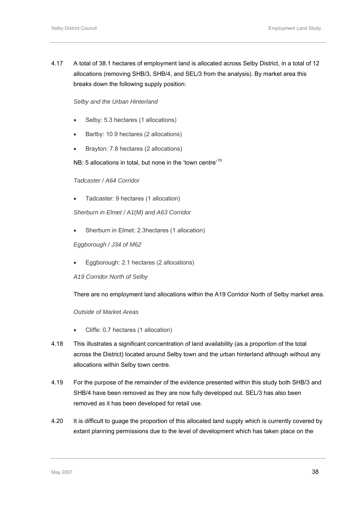<span id="page-51-0"></span>4.17 A total of 38.1 hectares of employment land is allocated across Selby District, in a total of 12 allocations (removing SHB/3, SHB/4, and SEL/3 from the analysis). By market area this breaks down the following supply position:

*Selby and the Urban Hinterland* 

- Selby: 5.3 hectares (1 allocations)
- Barlby: 10.9 hectares (2 allocations)
- Brayton: 7.8 hectares (2 allocations)

NB: 5 allocations in total, but none in the 'town centre'<sup>[10](#page-51-0)</sup>

#### *Tadcaster / A64 Corridor*

• Tadcaster: 9 hectares (1 allocation)

*Sherburn in Elmet / A1(M) and A63 Corridor* 

• Sherburn in Elmet: 2.3hectares (1 allocation)

#### *Eggborough / J34 of M62*

• Eggborough: 2.1 hectares (2 allocations)

*A19 Corridor North of Selby* 

There are no employment land allocations within the A19 Corridor North of Selby market area.

*Outside of Market Areas* 

- Cliffe: 0.7 hectares (1 allocation)
- 4.18 This illustrates a significant concentration of land availability (as a proportion of the total across the District) located around Selby town and the urban hinterland although without any allocations within Selby town centre.
- 4.19 For the purpose of the remainder of the evidence presented within this study both SHB/3 and SHB/4 have been removed as they are now fully developed out. SEL/3 has also been removed as it has been developed for retail use.
- 4.20 It is difficult to guage the proportion of this allocated land supply which is currently covered by extant planning permissions due to the level of development which has taken place on the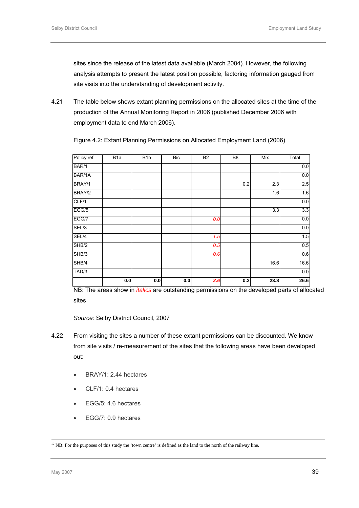sites since the release of the latest data available (March 2004). However, the following analysis attempts to present the latest position possible, factoring information gauged from site visits into the understanding of development activity.

4.21 The table below shows extant planning permissions on the allocated sites at the time of the production of the Annual Monitoring Report in 2006 (published December 2006 with employment data to end March 2006).

| Policy ref | B <sub>1</sub> a | B <sub>1</sub> b | <b>Bic</b> | <b>B2</b> | B <sub>8</sub> | Mix  | Total |
|------------|------------------|------------------|------------|-----------|----------------|------|-------|
| BAR/1      |                  |                  |            |           |                |      | 0.0   |
| BAR/1A     |                  |                  |            |           |                |      | 0.0   |
| BRAY/1     |                  |                  |            |           | 0.2            | 2.3  | 2.5   |
| BRAY/2     |                  |                  |            |           |                | 1.6  | 1.6   |
| CLF/1      |                  |                  |            |           |                |      | 0.0   |
| EGG/5      |                  |                  |            |           |                | 3.3  | 3.3   |
| EGG/7      |                  |                  |            | 0.0       |                |      | 0.0   |
| SEL/3      |                  |                  |            |           |                |      | 0.0   |
| SEL/4      |                  |                  |            | 1.5       |                |      | 1.5   |
| SHB/2      |                  |                  |            | 0.5       |                |      | 0.5   |
| SHB/3      |                  |                  |            | 0.6       |                |      | 0.6   |
| SHB/4      |                  |                  |            |           |                | 16.6 | 16.6  |
| TAD/3      |                  |                  |            |           |                |      | 0.0   |
|            | 0.0              | 0.0              | 0.0        | 2.6       | 0.2            | 23.8 | 26.6  |

Figure 4.2: Extant Planning Permissions on Allocated Employment Land (2006)

NB: The areas show in *italics* are outstanding permissions on the developed parts of allocated sites

*Source:* Selby District Council, 2007

- 4.22 From visiting the sites a number of these extant permissions can be discounted. We know from site visits / re-measurement of the sites that the following areas have been developed out:
	- BRAY/1: 2.44 hectares
	- CLF/1: 0.4 hectares
	- EGG/5: 4.6 hectares
	- EGG/7: 0.9 hectares

<sup>&</sup>lt;sup>10</sup> NB: For the purposes of this study the 'town centre' is defined as the land to the north of the railway line.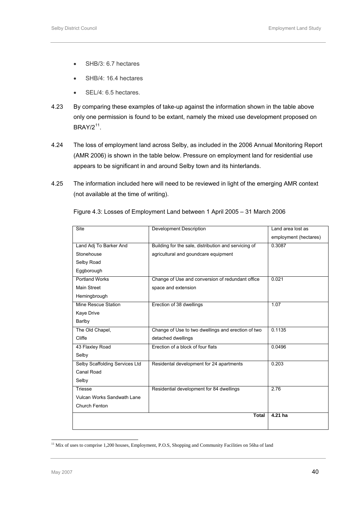- SHB/3: 6.7 hectares
- SHB/4: 16.4 hectares
- SEL/4: 6.5 hectares.
- <span id="page-53-0"></span>4.23 By comparing these examples of take-up against the information shown in the table above only one permission is found to be extant, namely the mixed use development proposed on BRAY/2[11](#page-53-0).
- 4.24 The loss of employment land across Selby, as included in the 2006 Annual Monitoring Report (AMR 2006) is shown in the table below. Pressure on employment land for residential use appears to be significant in and around Selby town and its hinterlands.
- 4.25 The information included here will need to be reviewed in light of the emerging AMR context (not available at the time of writing).

| <b>Site</b>                    | <b>Development Description</b>                       | Land area lost as     |
|--------------------------------|------------------------------------------------------|-----------------------|
|                                |                                                      | employment (hectares) |
| Land Adj To Barker And         | Building for the sale, distribution and servicing of | 0.3087                |
| Stonehouse                     | agricultural and goundcare equipment                 |                       |
| Selby Road                     |                                                      |                       |
| Eggborough                     |                                                      |                       |
| Portland Works                 | Change of Use and conversion of redundant office     | 0.021                 |
| <b>Main Street</b>             | space and extension                                  |                       |
| Hemingbrough                   |                                                      |                       |
| Mine Rescue Station            | Erection of 38 dwellings                             | 1.07                  |
| Kaye Drive                     |                                                      |                       |
| Barlby                         |                                                      |                       |
| The Old Chapel,                | Change of Use to two dwellings and erection of two   | 0.1135                |
| Cliffe                         | detached dwellings                                   |                       |
| 43 Flaxley Road                | Erection of a block of four flats                    | 0.0496                |
| Selby                          |                                                      |                       |
| Selby Scaffolding Services Ltd | Residental development for 24 apartments             | 0.203                 |
| Canal Road                     |                                                      |                       |
| Selby                          |                                                      |                       |
| Triesse                        | Residential development for 84 dwellings             | 2.76                  |
| Vulcan Works Sandwath Lane     |                                                      |                       |
| Church Fenton                  |                                                      |                       |
|                                | <b>Total</b>                                         | 4.21 ha               |

Figure 4.3: Losses of Employment Land between 1 April 2005 – 31 March 2006

l

<sup>&</sup>lt;sup>11</sup> Mix of uses to comprise 1,200 houses, Employment, P.O.S, Shopping and Community Facilities on 56ha of land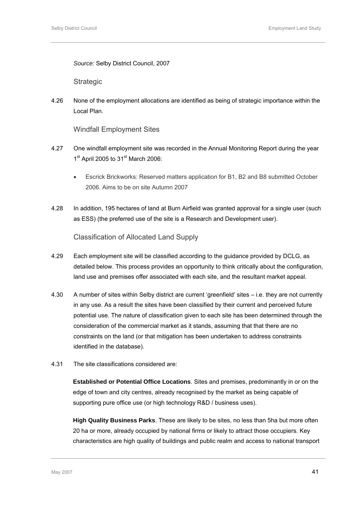*Source:* Selby District Council, 2007

**Strategic** 

4.26 None of the employment allocations are identified as being of strategic importance within the Local Plan.

Windfall Employment Sites

- 4.27 One windfall employment site was recorded in the Annual Monitoring Report during the year  $1<sup>st</sup>$  April 2005 to 31 $<sup>st</sup>$  March 2006:</sup>
	- Escrick Brickworks: Reserved matters application for B1, B2 and B8 submitted October 2006. Aims to be on site Autumn 2007
- 4.28 In addition, 195 hectares of land at Burn Airfield was granted approval for a single user (such as ESS) (the preferred use of the site is a Research and Development user).

Classification of Allocated Land Supply

- 4.29 Each employment site will be classified according to the guidance provided by DCLG, as detailed below. This process provides an opportunity to think critically about the configuration, land use and premises offer associated with each site, and the resultant market appeal.
- 4.30 A number of sites within Selby district are current 'greenfield' sites i.e. they are not currently in any use. As a result the sites have been classified by their current and perceived future potential use. The nature of classification given to each site has been determined through the consideration of the commercial market as it stands, assuming that that there are no constraints on the land (or that mitigation has been undertaken to address constraints identified in the database).
- 4.31 The site classifications considered are:

**Established or Potential Office Locations**. Sites and premises, predominantly in or on the edge of town and city centres, already recognised by the market as being capable of supporting pure office use (or high technology R&D / business uses).

**High Quality Business Parks**. These are likely to be sites, no less than 5ha but more often 20 ha or more, already occupied by national firms or likely to attract those occupiers. Key characteristics are high quality of buildings and public realm and access to national transport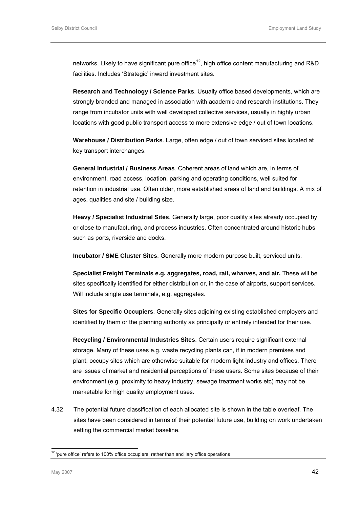<span id="page-55-0"></span>networks. Likely to have significant pure office<sup>[12](#page-55-0)</sup>, high office content manufacturing and R&D facilities. Includes 'Strategic' inward investment sites.

**Research and Technology / Science Parks**. Usually office based developments, which are strongly branded and managed in association with academic and research institutions. They range from incubator units with well developed collective services, usually in highly urban locations with good public transport access to more extensive edge / out of town locations.

**Warehouse / Distribution Parks**. Large, often edge / out of town serviced sites located at key transport interchanges.

**General Industrial / Business Areas**. Coherent areas of land which are, in terms of environment, road access, location, parking and operating conditions, well suited for retention in industrial use. Often older, more established areas of land and buildings. A mix of ages, qualities and site / building size.

**Heavy / Specialist Industrial Sites**. Generally large, poor quality sites already occupied by or close to manufacturing, and process industries. Often concentrated around historic hubs such as ports, riverside and docks.

**Incubator / SME Cluster Sites**. Generally more modern purpose built, serviced units.

**Specialist Freight Terminals e.g. aggregates, road, rail, wharves, and air.** These will be sites specifically identified for either distribution or, in the case of airports, support services. Will include single use terminals, e.g. aggregates.

**Sites for Specific Occupiers**. Generally sites adjoining existing established employers and identified by them or the planning authority as principally or entirely intended for their use.

**Recycling / Environmental Industries Sites**. Certain users require significant external storage. Many of these uses e.g. waste recycling plants can, if in modern premises and plant, occupy sites which are otherwise suitable for modern light industry and offices. There are issues of market and residential perceptions of these users. Some sites because of their environment (e.g. proximity to heavy industry, sewage treatment works etc) may not be marketable for high quality employment uses.

4.32 The potential future classification of each allocated site is shown in the table overleaf. The sites have been considered in terms of their potential future use, building on work undertaken setting the commercial market baseline.

l

 $12$  'pure office' refers to 100% office occupiers, rather than ancillary office operations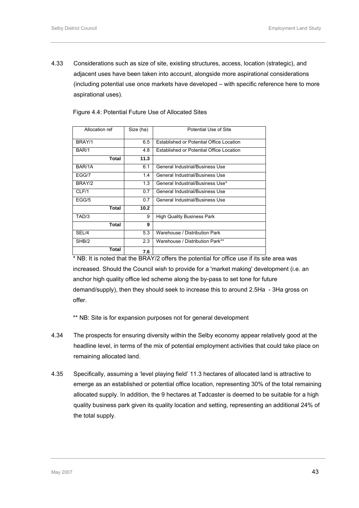4.33 Considerations such as size of site, existing structures, access, location (strategic), and adjacent uses have been taken into account, alongside more aspirational considerations (including potential use once markets have developed – with specific reference here to more aspirational uses).

Figure 4.4: Potential Future Use of Allocated Sites

| Allocation ref | Size (ha) | Potential Use of Site                    |
|----------------|-----------|------------------------------------------|
| BRAY/1         | 6.5       | Established or Potential Office Location |
| BAR/1          | 4.8       | Established or Potential Office Location |
| Total          | 11.3      |                                          |
| BAR/1A         | 6.1       | General Industrial/Business Use          |
| EGG/7          | 1.4       | General Industrial/Business Use          |
| BRAY/2         | 1.3       | General Industrial/Business Use*         |
| CLF/1          | 0.7       | General Industrial/Business Use          |
| EGG/5          | 0.7       | General Industrial/Business Use          |
| Total          | 10.2      |                                          |
| TAD/3          | 9         | <b>High Quality Business Park</b>        |
| Total          | 9         |                                          |
| SEL/4          | 5.3       | Warehouse / Distribution Park            |
| SHB/2          | 2.3       | Warehouse / Distribution Park**          |
| Total          | 7.6       |                                          |

\* NB: It is noted that the BRAY/2 offers the potential for office use if its site area was increased. Should the Council wish to provide for a 'market making' development (i.e. an anchor high quality office led scheme along the by-pass to set tone for future demand/supply), then they should seek to increase this to around 2.5Ha - 3Ha gross on offer.

\*\* NB: Site is for expansion purposes not for general development

- 4.34 The prospects for ensuring diversity within the Selby economy appear relatively good at the headline level, in terms of the mix of potential employment activities that could take place on remaining allocated land.
- 4.35 Specifically, assuming a 'level playing field' 11.3 hectares of allocated land is attractive to emerge as an established or potential office location, representing 30% of the total remaining allocated supply. In addition, the 9 hectares at Tadcaster is deemed to be suitable for a high quality business park given its quality location and setting, representing an additional 24% of the total supply.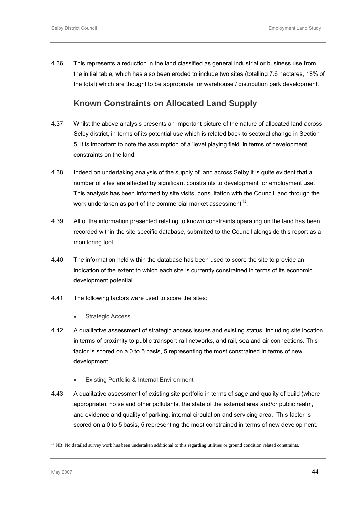<span id="page-57-0"></span>4.36 This represents a reduction in the land classified as general industrial or business use from the initial table, which has also been eroded to include two sites (totalling 7.6 hectares, 18% of the total) which are thought to be appropriate for warehouse / distribution park development.

# **Known Constraints on Allocated Land Supply**

- 4.37 Whilst the above analysis presents an important picture of the nature of allocated land across Selby district, in terms of its potential use which is related back to sectoral change in Section 5, it is important to note the assumption of a 'level playing field' in terms of development constraints on the land.
- 4.38 Indeed on undertaking analysis of the supply of land across Selby it is quite evident that a number of sites are affected by significant constraints to development for employment use. This analysis has been informed by site visits, consultation with the Council, and through the work undertaken as part of the commercial market assessment<sup>[1](#page-57-0)3</sup>.
- 4.39 All of the information presented relating to known constraints operating on the land has been recorded within the site specific database, submitted to the Council alongside this report as a monitoring tool.
- 4.40 The information held within the database has been used to score the site to provide an indication of the extent to which each site is currently constrained in terms of its economic development potential.
- 4.41 The following factors were used to score the sites:
	- Strategic Access
- 4.42 A qualitative assessment of strategic access issues and existing status, including site location in terms of proximity to public transport rail networks, and rail, sea and air connections. This factor is scored on a 0 to 5 basis, 5 representing the most constrained in terms of new development.
	- Existing Portfolio & Internal Environment
- 4.43 A qualitative assessment of existing site portfolio in terms of sage and quality of build (where appropriate), noise and other pollutants, the state of the external area and/or public realm, and evidence and quality of parking, internal circulation and servicing area. This factor is scored on a 0 to 5 basis, 5 representing the most constrained in terms of new development.

l

 $<sup>13</sup>$  NB: No detailed survey work has been undertaken additional to this regarding utilities or ground condition related constraints.</sup>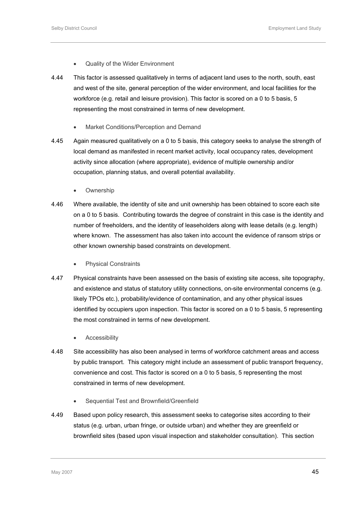- Quality of the Wider Environment
- 4.44 This factor is assessed qualitatively in terms of adjacent land uses to the north, south, east and west of the site, general perception of the wider environment, and local facilities for the workforce (e.g. retail and leisure provision). This factor is scored on a 0 to 5 basis, 5 representing the most constrained in terms of new development.
	- Market Conditions/Perception and Demand
- 4.45 Again measured qualitatively on a 0 to 5 basis, this category seeks to analyse the strength of local demand as manifested in recent market activity, local occupancy rates, development activity since allocation (where appropriate), evidence of multiple ownership and/or occupation, planning status, and overall potential availability.
	- **Ownership**
- 4.46 Where available, the identity of site and unit ownership has been obtained to score each site on a 0 to 5 basis. Contributing towards the degree of constraint in this case is the identity and number of freeholders, and the identity of leaseholders along with lease details (e.g. length) where known. The assessment has also taken into account the evidence of ransom strips or other known ownership based constraints on development.
	- Physical Constraints
- 4.47 Physical constraints have been assessed on the basis of existing site access, site topography, and existence and status of statutory utility connections, on-site environmental concerns (e.g. likely TPOs etc.), probability/evidence of contamination, and any other physical issues identified by occupiers upon inspection. This factor is scored on a 0 to 5 basis, 5 representing the most constrained in terms of new development.
	- **Accessibility**
- 4.48 Site accessibility has also been analysed in terms of workforce catchment areas and access by public transport. This category might include an assessment of public transport frequency, convenience and cost. This factor is scored on a 0 to 5 basis, 5 representing the most constrained in terms of new development.
	- Sequential Test and Brownfield/Greenfield
- 4.49 Based upon policy research, this assessment seeks to categorise sites according to their status (e.g. urban, urban fringe, or outside urban) and whether they are greenfield or brownfield sites (based upon visual inspection and stakeholder consultation). This section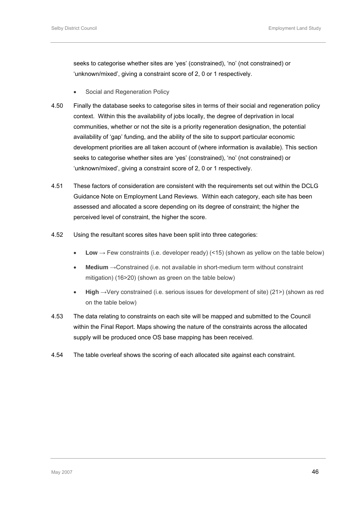seeks to categorise whether sites are 'yes' (constrained), 'no' (not constrained) or 'unknown/mixed', giving a constraint score of 2, 0 or 1 respectively.

- Social and Regeneration Policy
- 4.50 Finally the database seeks to categorise sites in terms of their social and regeneration policy context. Within this the availability of jobs locally, the degree of deprivation in local communities, whether or not the site is a priority regeneration designation, the potential availability of 'gap' funding, and the ability of the site to support particular economic development priorities are all taken account of (where information is available). This section seeks to categorise whether sites are 'yes' (constrained), 'no' (not constrained) or 'unknown/mixed', giving a constraint score of 2, 0 or 1 respectively.
- 4.51 These factors of consideration are consistent with the requirements set out within the DCLG Guidance Note on Employment Land Reviews. Within each category, each site has been assessed and allocated a score depending on its degree of constraint; the higher the perceived level of constraint, the higher the score.
- 4.52 Using the resultant scores sites have been split into three categories:
	- Low  $\rightarrow$  Few constraints (i.e. developer ready) (<15) (shown as yellow on the table below)
	- **Medium** →Constrained (i.e. not available in short-medium term without constraint mitigation) (16>20) (shown as green on the table below)
	- **High** →Very constrained (i.e. serious issues for development of site) (21>) (shown as red on the table below)
- 4.53 The data relating to constraints on each site will be mapped and submitted to the Council within the Final Report. Maps showing the nature of the constraints across the allocated supply will be produced once OS base mapping has been received.
- 4.54 The table overleaf shows the scoring of each allocated site against each constraint.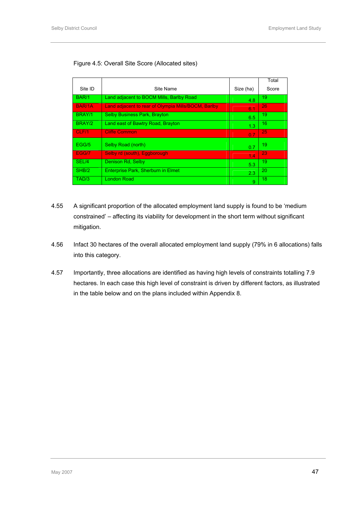### Figure 4.5: Overall Site Score (Allocated sites)

|               |                                                     |           | Total |
|---------------|-----------------------------------------------------|-----------|-------|
| Site ID       | Site Name                                           | Size (ha) | Score |
| BAR/1         | Land adjacent to BOCM Mills, Barlby Road            | 4.8       | 19    |
| <b>BAR/1A</b> | Land adjacent to rear of Olympia Mills/BOCM, Barlby | 6.1       | 26    |
| BRAY/1        | <b>Selby Business Park, Brayton</b>                 | 6.5       | 19    |
| BRAY/2        | Land east of Bawtry Road, Brayton                   | 1.3       | 16    |
| CLF/1         | <b>Cliffe Common</b>                                | 0.7       | 25    |
| EGG/5         | Selby Road (north)                                  | 0.7       | 19    |
| EGG/7         | Selby rd (south), Eggborough                        | 1.4       | 23    |
| SEL/4         | Denison Rd, Selby                                   | 5.3       | 19    |
| SHB/2         | Enterprise Park, Sherburn in Elmet                  | 2.3       | 20    |
| TAD/3         | <b>London Road</b>                                  | 9         | 18    |

- 4.55 A significant proportion of the allocated employment land supply is found to be 'medium constrained' – affecting its viability for development in the short term without significant mitigation.
- 4.56 Infact 30 hectares of the overall allocated employment land supply (79% in 6 allocations) falls into this category.
- 4.57 Importantly, three allocations are identified as having high levels of constraints totalling 7.9 hectares. In each case this high level of constraint is driven by different factors, as illustrated in the table below and on the plans included within Appendix 8.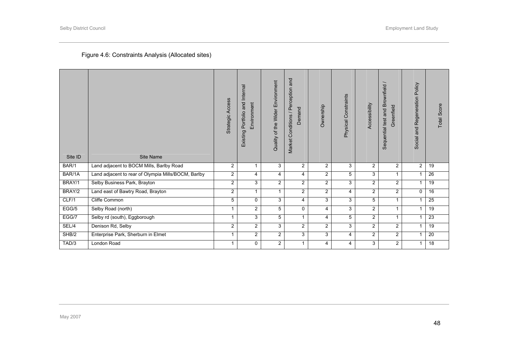# Figure 4.6: Constraints Analysis (Allocated sites)

| Site ID | Site Name                                           | Strategic Access     | Portfolio and Internal<br>Environment<br>Existing | Quality of the Wider Environment | Market Conditions / Perception and<br>Demand | Ownership      | Physical Constraints | Accessibility  | Sequential test and Brownfield /<br>Greenfield | Regeneration Policy<br>Social and | Total Score     |
|---------|-----------------------------------------------------|----------------------|---------------------------------------------------|----------------------------------|----------------------------------------------|----------------|----------------------|----------------|------------------------------------------------|-----------------------------------|-----------------|
| BAR/1   | Land adjacent to BOCM Mills, Barlby Road            | $\overline{2}$       |                                                   | 3                                | $\overline{2}$                               | $\overline{2}$ | 3                    | $\overline{2}$ | $\overline{2}$                                 | 2                                 | 19              |
| BAR/1A  | Land adjacent to rear of Olympia Mills/BOCM, Barlby | $\overline{2}$       | $\overline{4}$                                    | 4                                | 4                                            | $\overline{2}$ | 5                    | 3              | $\mathbf{1}$                                   | $\mathbf{1}$                      | $\overline{26}$ |
| BRAY/1  | Selby Business Park, Brayton                        | $\overline{2}$       | 3                                                 | $\overline{2}$                   | $\overline{2}$                               | $\overline{2}$ | 3                    | $\overline{2}$ | $\overline{2}$                                 | 1                                 | 19              |
| BRAY/2  | Land east of Bawtry Road, Brayton                   | $\overline{2}$       | $\mathbf{1}$                                      | $\mathbf{1}$                     | $\overline{2}$                               | $\overline{2}$ | 4                    | $\overline{2}$ | $\overline{2}$                                 | $\Omega$                          | $\overline{16}$ |
| CLF/1   | Cliffe Common                                       | 5                    | $\mathbf{0}$                                      | 3                                | 4                                            | 3              | 3                    | 5              | $\mathbf{1}$                                   | 1                                 | 25              |
| EGG/5   | Selby Road (north)                                  | $\blacktriangleleft$ | $\overline{2}$                                    | 5                                | $\Omega$                                     | 4              | 3                    | $\overline{2}$ | $\mathbf{1}$                                   | $\mathbf{1}$                      | 19              |
| EGG/7   | Selby rd (south), Eggborough                        |                      | 3                                                 | 5                                | 1                                            | 4              | 5                    | $\overline{2}$ | 1                                              | 1                                 | 23              |
| SEL/4   | Denison Rd, Selby                                   | $\overline{2}$       | $\overline{2}$                                    | 3                                | 2                                            | $\overline{2}$ | 3                    | $\overline{2}$ | 2                                              | $\mathbf{1}$                      | 19              |
| SHB/2   | Enterprise Park, Sherburn in Elmet                  | 1                    | $\overline{2}$                                    | $\overline{2}$                   | 3                                            | 3              | 4                    | $\overline{2}$ | $\overline{2}$                                 | $\mathbf{1}$                      | 20              |
| TAD/3   | London Road                                         | $\mathbf{1}$         | 0                                                 | $\overline{a}$                   | 1                                            | 4              | 4                    | 3              | $\overline{2}$                                 | $\mathbf{1}$                      | 18              |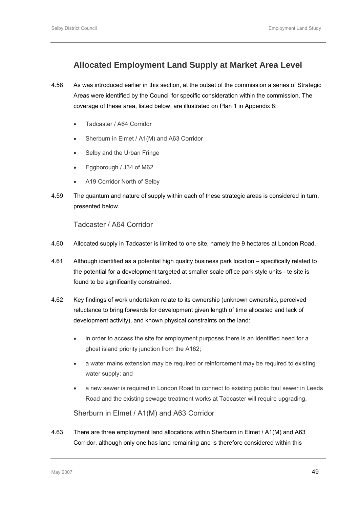# **Allocated Employment Land Supply at Market Area Level**

- 4.58 As was introduced earlier in this section, at the outset of the commission a series of Strategic Areas were identified by the Council for specific consideration within the commission. The coverage of these area, listed below, are illustrated on Plan 1 in Appendix 8:
	- Tadcaster / A64 Corridor
	- Sherburn in Elmet / A1(M) and A63 Corridor
	- Selby and the Urban Fringe
	- Eggborough / J34 of M62
	- A19 Corridor North of Selby
- 4.59 The quantum and nature of supply within each of these strategic areas is considered in turn, presented below.

Tadcaster / A64 Corridor

- 4.60 Allocated supply in Tadcaster is limited to one site, namely the 9 hectares at London Road.
- 4.61 Although identified as a potential high quality business park location specifically related to the potential for a development targeted at smaller scale office park style units - te site is found to be significantly constrained.
- 4.62 Key findings of work undertaken relate to its ownership (unknown ownership, perceived reluctance to bring forwards for development given length of time allocated and lack of development activity), and known physical constraints on the land:
	- in order to access the site for employment purposes there is an identified need for a ghost island priority junction from the A162;
	- a water mains extension may be required or reinforcement may be required to existing water supply; and
	- a new sewer is required in London Road to connect to existing public foul sewer in Leeds Road and the existing sewage treatment works at Tadcaster will require upgrading.

Sherburn in Elmet / A1(M) and A63 Corridor

4.63 There are three employment land allocations within Sherburn in Elmet / A1(M) and A63 Corridor, although only one has land remaining and is therefore considered within this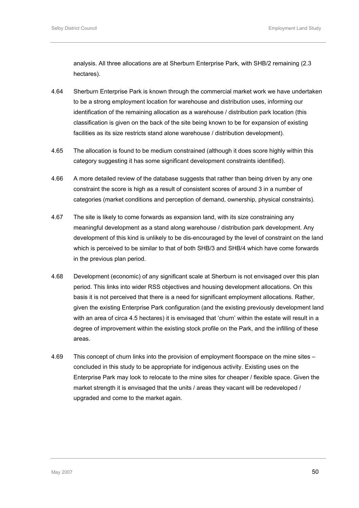analysis. All three allocations are at Sherburn Enterprise Park, with SHB/2 remaining (2.3 hectares).

- 4.64 Sherburn Enterprise Park is known through the commercial market work we have undertaken to be a strong employment location for warehouse and distribution uses, informing our identification of the remaining allocation as a warehouse / distribution park location (this classification is given on the back of the site being known to be for expansion of existing facilities as its size restricts stand alone warehouse / distribution development).
- 4.65 The allocation is found to be medium constrained (although it does score highly within this category suggesting it has some significant development constraints identified).
- 4.66 A more detailed review of the database suggests that rather than being driven by any one constraint the score is high as a result of consistent scores of around 3 in a number of categories (market conditions and perception of demand, ownership, physical constraints).
- 4.67 The site is likely to come forwards as expansion land, with its size constraining any meaningful development as a stand along warehouse / distribution park development. Any development of this kind is unlikely to be dis-encouraged by the level of constraint on the land which is perceived to be similar to that of both SHB/3 and SHB/4 which have come forwards in the previous plan period.
- 4.68 Development (economic) of any significant scale at Sherburn is not envisaged over this plan period. This links into wider RSS objectives and housing development allocations. On this basis it is not perceived that there is a need for significant employment allocations. Rather, given the existing Enterprise Park configuration (and the existing previously development land with an area of circa 4.5 hectares) it is envisaged that 'churn' within the estate will result in a degree of improvement within the existing stock profile on the Park, and the infilling of these areas.
- 4.69 This concept of churn links into the provision of employment floorspace on the mine sites concluded in this study to be appropriate for indigenous activity. Existing uses on the Enterprise Park may look to relocate to the mine sites for cheaper / flexible space. Given the market strength it is envisaged that the units / areas they vacant will be redeveloped / upgraded and come to the market again.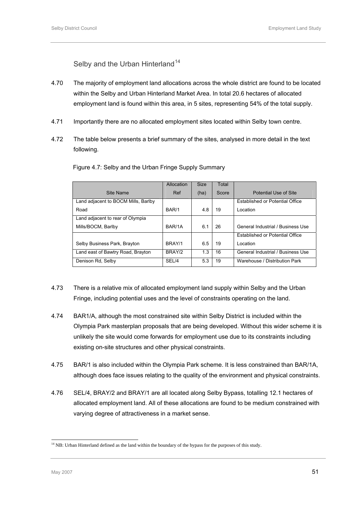Selby and the Urban Hinterland<sup>[1](#page-64-0)4</sup>

- <span id="page-64-0"></span>4.70 The majority of employment land allocations across the whole district are found to be located within the Selby and Urban Hinterland Market Area. In total 20.6 hectares of allocated employment land is found within this area, in 5 sites, representing 54% of the total supply.
- 4.71 Importantly there are no allocated employment sites located within Selby town centre.
- 4.72 The table below presents a brief summary of the sites, analysed in more detail in the text following.

|                                     | Allocation | <b>Size</b> | Total |                                   |
|-------------------------------------|------------|-------------|-------|-----------------------------------|
| Site Name                           | Ref        | (ha)        | Score | Potential Use of Site             |
| Land adjacent to BOCM Mills, Barlby |            |             |       | Established or Potential Office   |
| Road                                | BAR/1      | 4.8         | 19    | Location                          |
| Land adjacent to rear of Olympia    |            |             |       |                                   |
| Mills/BOCM, Barlby                  | BAR/1A     | 6.1         | 26    | General Industrial / Business Use |
|                                     |            |             |       | Established or Potential Office   |
| Selby Business Park, Brayton        | BRAY/1     | 6.5         | 19    | Location                          |
| Land east of Bawtry Road, Brayton   | BRAY/2     | 1.3         | 16    | General Industrial / Business Use |
| Denison Rd, Selby                   | SEL/4      | 5.3         | 19    | Warehouse / Distribution Park     |

Figure 4.7: Selby and the Urban Fringe Supply Summary

- 4.73 There is a relative mix of allocated employment land supply within Selby and the Urban Fringe, including potential uses and the level of constraints operating on the land.
- 4.74 BAR1/A, although the most constrained site within Selby District is included within the Olympia Park masterplan proposals that are being developed. Without this wider scheme it is unlikely the site would come forwards for employment use due to its constraints including existing on-site structures and other physical constraints.
- 4.75 BAR/1 is also included within the Olympia Park scheme. It is less constrained than BAR/1A, although does face issues relating to the quality of the environment and physical constraints.
- 4.76 SEL/4, BRAY/2 and BRAY/1 are all located along Selby Bypass, totalling 12.1 hectares of allocated employment land. All of these allocations are found to be medium constrained with varying degree of attractiveness in a market sense.

l  $<sup>14</sup>$  NB: Urban Hinterland defined as the land within the boundary of the bypass for the purposes of this study.</sup>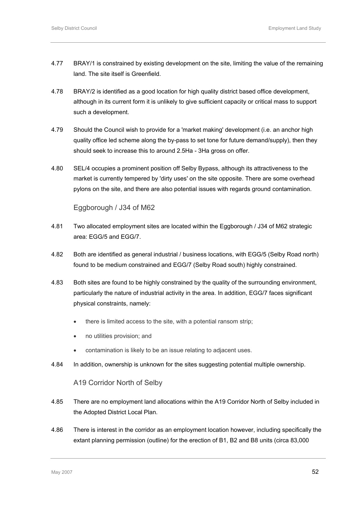- 4.77 BRAY/1 is constrained by existing development on the site, limiting the value of the remaining land. The site itself is Greenfield.
- 4.78 BRAY/2 is identified as a good location for high quality district based office development, although in its current form it is unlikely to give sufficient capacity or critical mass to support such a development.
- 4.79 Should the Council wish to provide for a 'market making' development (i.e. an anchor high quality office led scheme along the by-pass to set tone for future demand/supply), then they should seek to increase this to around 2.5Ha - 3Ha gross on offer.
- 4.80 SEL/4 occupies a prominent position off Selby Bypass, although its attractiveness to the market is currently tempered by 'dirty uses' on the site opposite. There are some overhead pylons on the site, and there are also potential issues with regards ground contamination.

### Eggborough / J34 of M62

- 4.81 Two allocated employment sites are located within the Eggborough / J34 of M62 strategic area: EGG/5 and EGG/7.
- 4.82 Both are identified as general industrial / business locations, with EGG/5 (Selby Road north) found to be medium constrained and EGG/7 (Selby Road south) highly constrained.
- 4.83 Both sites are found to be highly constrained by the quality of the surrounding environment, particularly the nature of industrial activity in the area. In addition, EGG/7 faces significant physical constraints, namely:
	- there is limited access to the site, with a potential ransom strip;
	- no utilities provision; and
	- contamination is likely to be an issue relating to adjacent uses.
- 4.84 In addition, ownership is unknown for the sites suggesting potential multiple ownership.

### A19 Corridor North of Selby

- 4.85 There are no employment land allocations within the A19 Corridor North of Selby included in the Adopted District Local Plan.
- 4.86 There is interest in the corridor as an employment location however, including specifically the extant planning permission (outline) for the erection of B1, B2 and B8 units (circa 83,000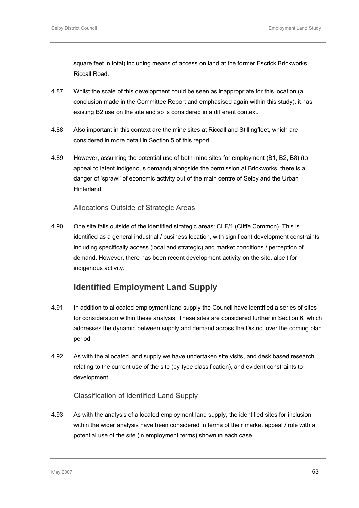square feet in total) including means of access on land at the former Escrick Brickworks, Riccall Road.

- 4.87 Whilst the scale of this development could be seen as inappropriate for this location (a conclusion made in the Committee Report and emphasised again within this study), it has existing B2 use on the site and so is considered in a different context.
- 4.88 Also important in this context are the mine sites at Riccall and Stillingfleet, which are considered in more detail in Section 5 of this report.
- 4.89 However, assuming the potential use of both mine sites for employment (B1, B2, B8) (to appeal to latent indigenous demand) alongside the permission at Brickworks, there is a danger of 'sprawl' of economic activity out of the main centre of Selby and the Urban **Hinterland**

### Allocations Outside of Strategic Areas

4.90 One site falls outside of the identified strategic areas: CLF/1 (Cliffe Common). This is identified as a general industrial / business location, with significant development constraints including specifically access (local and strategic) and market conditions / perception of demand. However, there has been recent development activity on the site, albeit for indigenous activity.

# **Identified Employment Land Supply**

- 4.91 In addition to allocated employment land supply the Council have identified a series of sites for consideration within these analysis. These sites are considered further in Section 6, which addresses the dynamic between supply and demand across the District over the coming plan period.
- 4.92 As with the allocated land supply we have undertaken site visits, and desk based research relating to the current use of the site (by type classification), and evident constraints to development.

### Classification of Identified Land Supply

4.93 As with the analysis of allocated employment land supply, the identified sites for inclusion within the wider analysis have been considered in terms of their market appeal / role with a potential use of the site (in employment terms) shown in each case.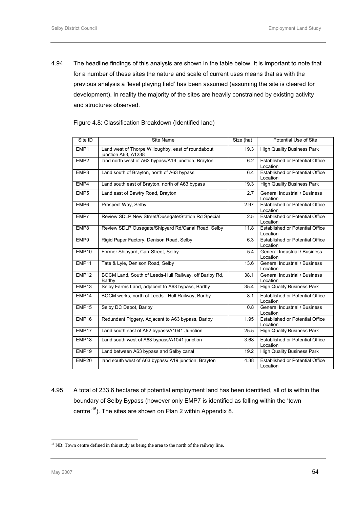<span id="page-67-0"></span>4.94 The headline findings of this analysis are shown in the table below. It is important to note that for a number of these sites the nature and scale of current uses means that as with the previous analysis a 'level playing field' has been assumed (assuming the site is cleared for development). In reality the majority of the sites are heavily constrained by existing activity and structures observed.

| Figure 4.8: Classification Breakdown (Identified land) |  |  |
|--------------------------------------------------------|--|--|
|                                                        |  |  |

| $Site$ ID         | <b>Site Name</b>                                                          | Size (ha) | Potential Use of Site                              |
|-------------------|---------------------------------------------------------------------------|-----------|----------------------------------------------------|
| EMP1              | Land west of Thorpe Willoughby, east of roundabout<br>junction A63, A1238 | 19.3      | <b>High Quality Business Park</b>                  |
| EMP2              | land north west of A63 bypass/A19 junction, Brayton                       | 6.2       | <b>Established or Potential Office</b><br>Location |
| EMP3              | Land south of Brayton, north of A63 bypass                                | 6.4       | Established or Potential Office<br>Location        |
| EMP4              | Land south east of Brayton, north of A63 bypass                           | 19.3      | <b>High Quality Business Park</b>                  |
| EMP <sub>5</sub>  | Land east of Bawtry Road, Brayton                                         | 2.7       | General Industrial / Business<br>Location          |
| EMP <sub>6</sub>  | Prospect Way, Selby                                                       | 2.97      | <b>Established or Potential Office</b><br>Location |
| EMP7              | Review SDLP New Street/Ousegate/Station Rd Special                        | 2.5       | <b>Established or Potential Office</b><br>Location |
| EMP8              | Review SDLP Ousegate/Shipyard Rd/Canal Road, Selby                        | 11.8      | <b>Established or Potential Office</b><br>Location |
| EMP9              | Rigid Paper Factory, Denison Road, Selby                                  | 6.3       | <b>Established or Potential Office</b><br>Location |
| EMP <sub>10</sub> | Former Shipyard, Carr Street, Selby                                       | 5.4       | General Industrial / Business<br>Location          |
| EMP11             | Tate & Lyle, Denison Road, Selby                                          | 13.6      | General Industrial / Business<br>Location          |
| EMP <sub>12</sub> | BOCM Land, South of Leeds-Hull Railway, off Barlby Rd,<br>Barlby          | 38.1      | General Industrial / Business<br>Location          |
| EMP13             | Selby Farms Land, adjacent to A63 bypass, Barlby                          | 35.4      | <b>High Quality Business Park</b>                  |
| EMP14             | BOCM works, north of Leeds - Hull Railway, Barlby                         | 8.1       | <b>Established or Potential Office</b><br>Location |
| EMP15             | Selby DC Depot, Barlby                                                    | 0.8       | <b>General Industrial / Business</b><br>Location   |
| EMP16             | Redundant Piggery, Adjacent to A63 bypass, Barlby                         | 1.95      | <b>Established or Potential Office</b><br>Location |
| EMP17             | Land south east of A62 bypass/A1041 Junction                              | 25.5      | <b>High Quality Business Park</b>                  |
| EMP18             | Land south west of A63 bypass/A1041 junction                              | 3.68      | <b>Established or Potential Office</b><br>Location |
| EMP19             | Land between A63 bypass and Selby canal                                   | 19.2      | <b>High Quality Business Park</b>                  |
| EMP20             | land south west of A63 bypass/ A19 junction, Brayton                      | 4.38      | Established or Potential Office<br>Location        |

4.95 A total of 233.6 hectares of potential employment land has been identified, all of is within the boundary of Selby Bypass (however only EMP7 is identified as falling within the 'town centre'<sup>[1](#page-67-0)5</sup>). The sites are shown on Plan 2 within Appendix 8.

l

 $<sup>15</sup>$  NB: Town centre defined in this study as being the area to the north of the railway line.</sup>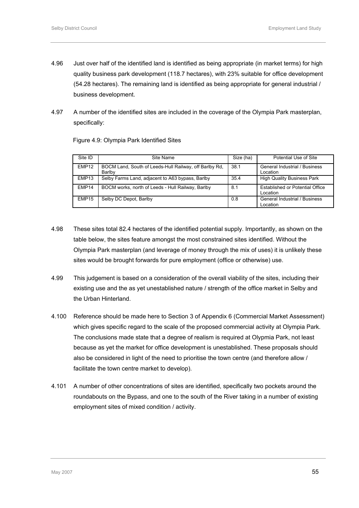- 4.96 Just over half of the identified land is identified as being appropriate (in market terms) for high quality business park development (118.7 hectares), with 23% suitable for office development (54.28 hectares). The remaining land is identified as being appropriate for general industrial / business development.
- 4.97 A number of the identified sites are included in the coverage of the Olympia Park masterplan, specifically:

Figure 4.9: Olympia Park Identified Sites

| Site ID           | Site Name                                                        | Size (ha) | Potential Use of Site                       |
|-------------------|------------------------------------------------------------------|-----------|---------------------------------------------|
| EMP <sub>12</sub> | BOCM Land, South of Leeds-Hull Railway, off Barlby Rd,<br>Barlby | 38.1      | General Industrial / Business<br>Location   |
| EMP <sub>13</sub> | Selby Farms Land, adjacent to A63 bypass, Barlby                 | 35.4      | <b>High Quality Business Park</b>           |
| EMP14             | BOCM works, north of Leeds - Hull Railway, Barlby                | 8.1       | Established or Potential Office<br>Location |
| EMP <sub>15</sub> | Selby DC Depot, Barlby                                           | 0.8       | General Industrial / Business<br>Location   |

- 4.98 These sites total 82.4 hectares of the identified potential supply. Importantly, as shown on the table below, the sites feature amongst the most constrained sites identified. Without the Olympia Park masterplan (and leverage of money through the mix of uses) it is unlikely these sites would be brought forwards for pure employment (office or otherwise) use.
- 4.99 This judgement is based on a consideration of the overall viability of the sites, including their existing use and the as yet unestablished nature / strength of the office market in Selby and the Urban Hinterland.
- 4.100 Reference should be made here to Section 3 of Appendix 6 (Commercial Market Assessment) which gives specific regard to the scale of the proposed commercial activity at Olympia Park. The conclusions made state that a degree of realism is required at Olypmia Park, not least because as yet the market for office development is unestablished. These proposals should also be considered in light of the need to prioritise the town centre (and therefore allow / facilitate the town centre market to develop).
- 4.101 A number of other concentrations of sites are identified, specifically two pockets around the roundabouts on the Bypass, and one to the south of the River taking in a number of existing employment sites of mixed condition / activity.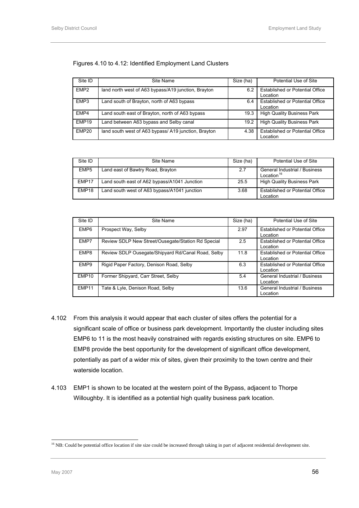#### <span id="page-69-0"></span>Figures 4.10 to 4.12: Identified Employment Land Clusters

| Site ID           | Site Name                                            | Size (ha) | Potential Use of Site                              |
|-------------------|------------------------------------------------------|-----------|----------------------------------------------------|
| EMP <sub>2</sub>  | land north west of A63 bypass/A19 junction, Brayton  | 6.2       | <b>Established or Potential Office</b><br>Location |
| EMP3              | Land south of Brayton, north of A63 bypass           | 6.4       | <b>Established or Potential Office</b><br>Location |
| EMP4              | Land south east of Brayton, north of A63 bypass      | 19.3      | <b>High Quality Business Park</b>                  |
| EMP <sub>19</sub> | Land between A63 bypass and Selby canal              | 19.2      | <b>High Quality Business Park</b>                  |
| EMP <sub>20</sub> | land south west of A63 bypass/ A19 junction, Brayton | 4.38      | <b>Established or Potential Office</b><br>∟ocation |

| Site ID           | Site Name                                    | Size (ha) | Potential Use of Site                                   |
|-------------------|----------------------------------------------|-----------|---------------------------------------------------------|
| EMP <sub>5</sub>  | Land east of Bawtry Road, Brayton            | 2.7       | General Industrial / Business<br>Location <sup>16</sup> |
| EMP17             | Land south east of A62 bypass/A1041 Junction | 25.5      | <b>High Quality Business Park</b>                       |
| EMP <sub>18</sub> | Land south west of A63 bypass/A1041 junction | 3.68      | <b>Established or Potential Office</b><br>Location      |

| Site ID           | Site Name                                          | Size (ha) | Potential Use of Site                              |
|-------------------|----------------------------------------------------|-----------|----------------------------------------------------|
| EMP <sub>6</sub>  | Prospect Way, Selby                                | 2.97      | Established or Potential Office<br>Location        |
| EMP7              | Review SDLP New Street/Ousegate/Station Rd Special | 25        | <b>Established or Potential Office</b><br>Location |
| EMP8              | Review SDLP Ousegate/Shipyard Rd/Canal Road, Selby | 11.8      | Established or Potential Office<br>Location        |
| EMP <sub>9</sub>  | Rigid Paper Factory, Denison Road, Selby           | 6.3       | Established or Potential Office<br>Location        |
| EMP <sub>10</sub> | Former Shipyard, Carr Street, Selby                | 5.4       | General Industrial / Business<br>Location          |
| EMP11             | Tate & Lyle, Denison Road, Selby                   | 13.6      | General Industrial / Business<br>Location          |

- 4.102 From this analysis it would appear that each cluster of sites offers the potential for a significant scale of office or business park development. Importantly the cluster including sites EMP6 to 11 is the most heavily constrained with regards existing structures on site. EMP6 to EMP8 provide the best opportunity for the development of significant office development, potentially as part of a wider mix of sites, given their proximity to the town centre and their waterside location.
- 4.103 EMP1 is shown to be located at the western point of the Bypass, adjacent to Thorpe Willoughby. It is identified as a potential high quality business park location.

l

<sup>&</sup>lt;sup>16</sup> NB: Could be potential office location if site size could be increased through taking in part of adjacent residential development site.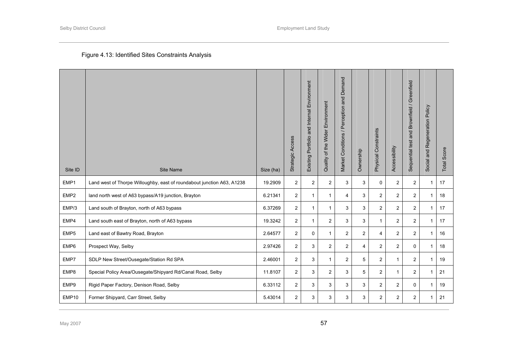# Figure 4.13: Identified Sites Constraints Analysis

| Site ID          | <b>Site Name</b>                                                       | Size (ha) | Strategic Access | Environment<br>Existing Portfolio and Internal | Quality of the Wider Environment | and Demand<br>Market Conditions / Perception | Ownership      | Physical Constraints | Accessibility  | Sequential test and Brownfield / Greenfield | Social and Regeneration Policy | Total Score |
|------------------|------------------------------------------------------------------------|-----------|------------------|------------------------------------------------|----------------------------------|----------------------------------------------|----------------|----------------------|----------------|---------------------------------------------|--------------------------------|-------------|
| EMP1             | Land west of Thorpe Willoughby, east of roundabout junction A63, A1238 | 19.2909   | $\overline{2}$   | $\overline{2}$                                 | $\overline{c}$                   | 3                                            | 3              | $\mathbf 0$          | $\overline{2}$ | $\overline{2}$                              | $\mathbf{1}$                   | 17          |
| EMP <sub>2</sub> | land north west of A63 bypass/A19 junction, Brayton                    | 6.21341   | $\overline{2}$   | $\mathbf{1}$                                   | 1                                | $\overline{4}$                               | 3              | $\overline{2}$       | $\overline{2}$ | $\overline{2}$                              | $\mathbf{1}$                   | 18          |
| EMP/3            | Land south of Brayton, north of A63 bypass                             | 6.37269   | $\overline{2}$   | $\mathbf{1}$                                   | $\mathbf{1}$                     | 3                                            | 3              | $\overline{2}$       | $\overline{2}$ | $\overline{2}$                              | $\mathbf{1}$                   | 17          |
| EMP4             | Land south east of Brayton, north of A63 bypass                        | 19.3242   | $\overline{2}$   | $\mathbf 1$                                    | 2                                | 3                                            | 3              | 1                    | $\overline{2}$ | $\overline{c}$                              | $\mathbf{1}$                   | 17          |
| EMP <sub>5</sub> | Land east of Bawtry Road, Brayton                                      | 2.64577   | $\overline{2}$   | 0                                              | 1                                | 2                                            | 2              | 4                    | $\overline{2}$ | $\overline{2}$                              | $\mathbf{1}$                   | 16          |
| EMP6             | Prospect Way, Selby                                                    | 2.97426   | $\overline{2}$   | 3                                              | $\overline{2}$                   | $\overline{2}$                               | $\overline{4}$ | $\overline{2}$       | $\overline{2}$ | 0                                           | $\mathbf{1}$                   | 18          |
| EMP7             | SDLP New Street/Ousegate/Station Rd SPA                                | 2.46001   | $\overline{2}$   | 3                                              | $\mathbf{1}$                     | $\overline{2}$                               | 5              | $\overline{2}$       | $\mathbf 1$    | $\overline{2}$                              | $\mathbf{1}$                   | 19          |
| EMP8             | Special Policy Area/Ousegate/Shipyard Rd/Canal Road, Selby             | 11.8107   | $\overline{2}$   | 3                                              | $\overline{c}$                   | 3                                            | 5              | $\overline{2}$       | $\mathbf{1}$   | $\overline{2}$                              | $\mathbf{1}$                   | 21          |
| EMP9             | Rigid Paper Factory, Denison Road, Selby                               | 6.33112   | $\overline{2}$   | 3                                              | 3                                | 3                                            | 3              | $\overline{2}$       | $\overline{2}$ | 0                                           | $\mathbf{1}$                   | 19          |
| EMP10            | Former Shipyard, Carr Street, Selby                                    | 5.43014   | $\overline{2}$   | 3                                              | 3                                | 3                                            | 3              | $\overline{2}$       | $\overline{2}$ | $\overline{2}$                              | $\mathbf{1}$                   | 21          |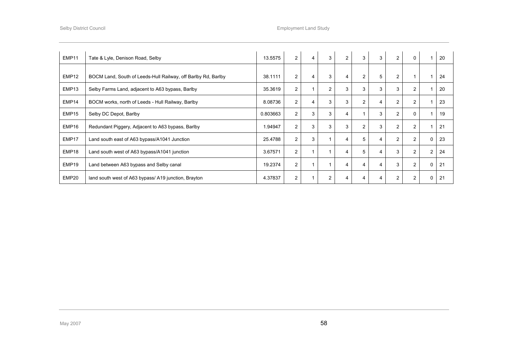| EMP11             | Tate & Lyle, Denison Road, Selby                              | 13.5575  | $\overline{2}$ | $\overline{4}$ | 3              | $\overline{2}$ | 3              | 3              | $\overline{2}$ | 0              |          | 20 |
|-------------------|---------------------------------------------------------------|----------|----------------|----------------|----------------|----------------|----------------|----------------|----------------|----------------|----------|----|
| EMP <sub>12</sub> | BOCM Land, South of Leeds-Hull Railway, off Barlby Rd, Barlby | 38.1111  | $\overline{2}$ | 4              | 3              | 4              | $\overline{2}$ | 5              | $\overline{2}$ | 1              |          | 24 |
| EMP <sub>13</sub> | Selby Farms Land, adjacent to A63 bypass, Barlby              | 35.3619  | $\overline{2}$ | 1              | 2              | 3              | 3              | 3              | 3              | $\overline{2}$ |          | 20 |
| EMP14             | BOCM works, north of Leeds - Hull Railway, Barlby             | 8.08736  | $\overline{2}$ | 4              | 3              | 3              | $\overline{2}$ | $\overline{4}$ | 2              | 2              |          | 23 |
| EMP <sub>15</sub> | Selby DC Depot, Barlby                                        | 0.803663 | $\overline{2}$ | 3              | 3              | 4              |                | 3              | $\overline{2}$ | $\Omega$       |          | 19 |
| EMP16             | Redundant Piggery, Adjacent to A63 bypass, Barlby             | 1.94947  | $\overline{2}$ | 3              | 3              | 3              | 2              | 3              | $\overline{2}$ | 2              |          | 21 |
| EMP17             | Land south east of A63 bypass/A1041 Junction                  | 25.4788  | $\overline{2}$ | 3              |                | 4              | 5              | 4              | $\overline{2}$ | $\overline{2}$ | $\Omega$ | 23 |
| EMP18             | Land south west of A63 bypass/A1041 junction                  | 3.67571  | $\overline{2}$ |                |                | 4              | 5              | 4              | 3              | $\overline{2}$ | 2        | 24 |
| EMP19             | Land between A63 bypass and Selby canal                       | 19.2374  | $\overline{2}$ | 1              |                | 4              | 4              | $\overline{4}$ | 3              | 2              | $\Omega$ | 21 |
| EMP20             | land south west of A63 bypass/ A19 junction, Brayton          | 4.37837  | $\overline{2}$ |                | $\overline{2}$ | 4              |                | 4              | $\overline{2}$ | $\overline{2}$ | 0        | 21 |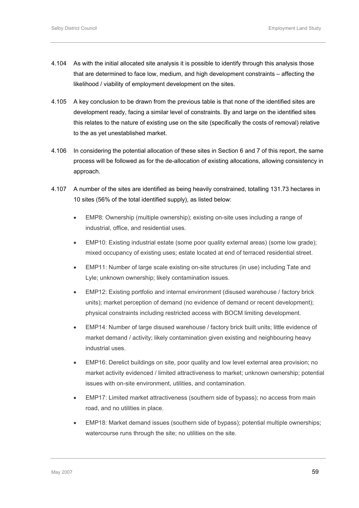- 4.104 As with the initial allocated site analysis it is possible to identify through this analysis those that are determined to face low, medium, and high development constraints – affecting the likelihood / viability of employment development on the sites.
- 4.105 A key conclusion to be drawn from the previous table is that none of the identified sites are development ready, facing a similar level of constraints. By and large on the identified sites this relates to the nature of existing use on the site (specifically the costs of removal) relative to the as yet unestablished market.
- 4.106 In considering the potential allocation of these sites in Section 6 and 7 of this report, the same process will be followed as for the de-allocation of existing allocations, allowing consistency in approach.
- 4.107 A number of the sites are identified as being heavily constrained, totalling 131.73 hectares in 10 sites (56% of the total identified supply), as listed below:
	- EMP8: Ownership (multiple ownership); existing on-site uses including a range of industrial, office, and residential uses.
	- EMP10: Existing industrial estate (some poor quality external areas) (some low grade); mixed occupancy of existing uses; estate located at end of terraced residential street.
	- EMP11: Number of large scale existing on-site structures (in use) including Tate and Lyle; unknown ownership; likely contamination issues.
	- EMP12: Existing portfolio and internal environment (disused warehouse / factory brick units); market perception of demand (no evidence of demand or recent development); physical constraints including restricted access with BOCM limiting development.
	- EMP14: Number of large disused warehouse / factory brick built units: little evidence of market demand / activity; likely contamination given existing and neighbouring heavy industrial uses.
	- EMP16: Derelict buildings on site, poor quality and low level external area provision; no market activity evidenced / limited attractiveness to market; unknown ownership; potential issues with on-site environment, utilities, and contamination.
	- EMP17: Limited market attractiveness (southern side of bypass); no access from main road, and no utilities in place.
	- EMP18: Market demand issues (southern side of bypass); potential multiple ownerships; watercourse runs through the site; no utilities on the site.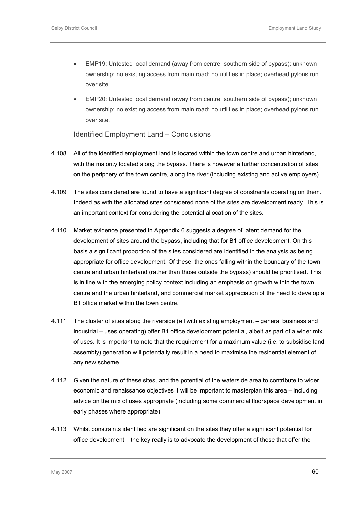- EMP19: Untested local demand (away from centre, southern side of bypass); unknown ownership; no existing access from main road; no utilities in place; overhead pylons run over site.
- EMP20: Untested local demand (away from centre, southern side of bypass); unknown ownership; no existing access from main road; no utilities in place; overhead pylons run over site.

Identified Employment Land – Conclusions

- 4.108 All of the identified employment land is located within the town centre and urban hinterland, with the majority located along the bypass. There is however a further concentration of sites on the periphery of the town centre, along the river (including existing and active employers).
- 4.109 The sites considered are found to have a significant degree of constraints operating on them. Indeed as with the allocated sites considered none of the sites are development ready. This is an important context for considering the potential allocation of the sites.
- 4.110 Market evidence presented in Appendix 6 suggests a degree of latent demand for the development of sites around the bypass, including that for B1 office development. On this basis a significant proportion of the sites considered are identified in the analysis as being appropriate for office development. Of these, the ones falling within the boundary of the town centre and urban hinterland (rather than those outside the bypass) should be prioritised. This is in line with the emerging policy context including an emphasis on growth within the town centre and the urban hinterland, and commercial market appreciation of the need to develop a B1 office market within the town centre.
- 4.111 The cluster of sites along the riverside (all with existing employment general business and industrial – uses operating) offer B1 office development potential, albeit as part of a wider mix of uses. It is important to note that the requirement for a maximum value (i.e. to subsidise land assembly) generation will potentially result in a need to maximise the residential element of any new scheme.
- 4.112 Given the nature of these sites, and the potential of the waterside area to contribute to wider economic and renaissance objectives it will be important to masterplan this area – including advice on the mix of uses appropriate (including some commercial floorspace development in early phases where appropriate).
- 4.113 Whilst constraints identified are significant on the sites they offer a significant potential for office development – the key really is to advocate the development of those that offer the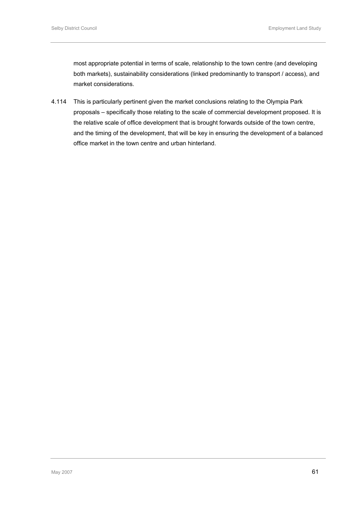most appropriate potential in terms of scale, relationship to the town centre (and developing both markets), sustainability considerations (linked predominantly to transport / access), and market considerations.

4.114 This is particularly pertinent given the market conclusions relating to the Olympia Park proposals – specifically those relating to the scale of commercial development proposed. It is the relative scale of office development that is brought forwards outside of the town centre, and the timing of the development, that will be key in ensuring the development of a balanced office market in the town centre and urban hinterland.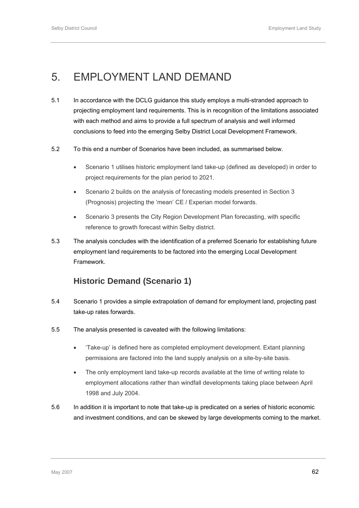# 5. EMPLOYMENT LAND DEMAND

- 5.1 In accordance with the DCLG guidance this study employs a multi-stranded approach to projecting employment land requirements. This is in recognition of the limitations associated with each method and aims to provide a full spectrum of analysis and well informed conclusions to feed into the emerging Selby District Local Development Framework.
- 5.2 To this end a number of Scenarios have been included, as summarised below.
	- Scenario 1 utilises historic employment land take-up (defined as developed) in order to project requirements for the plan period to 2021.
	- Scenario 2 builds on the analysis of forecasting models presented in Section 3 (Prognosis) projecting the 'mean' CE / Experian model forwards.
	- Scenario 3 presents the City Region Development Plan forecasting, with specific reference to growth forecast within Selby district.
- 5.3 The analysis concludes with the identification of a preferred Scenario for establishing future employment land requirements to be factored into the emerging Local Development Framework.

# **Historic Demand (Scenario 1)**

- 5.4 Scenario 1 provides a simple extrapolation of demand for employment land, projecting past take-up rates forwards.
- 5.5 The analysis presented is caveated with the following limitations:
	- 'Take-up' is defined here as completed employment development. Extant planning permissions are factored into the land supply analysis on a site-by-site basis.
	- The only employment land take-up records available at the time of writing relate to employment allocations rather than windfall developments taking place between April 1998 and July 2004.
- 5.6 In addition it is important to note that take-up is predicated on a series of historic economic and investment conditions, and can be skewed by large developments coming to the market.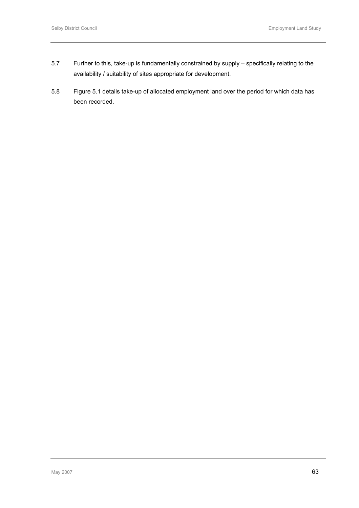- 5.7 Further to this, take-up is fundamentally constrained by supply specifically relating to the availability / suitability of sites appropriate for development.
- 5.8 Figure 5.1 details take-up of allocated employment land over the period for which data has been recorded.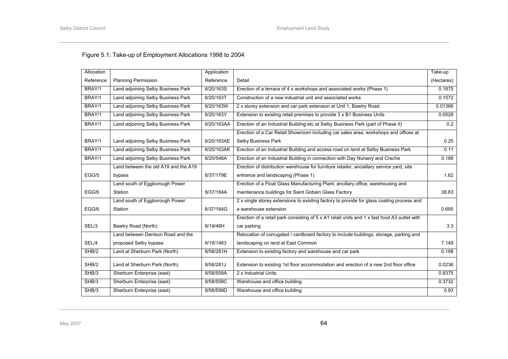# Figure 5.1: Take-up of Employment Allocations 1998 to 2004

| Allocation |                                      | Application |                                                                                              | Take-up    |
|------------|--------------------------------------|-------------|----------------------------------------------------------------------------------------------|------------|
| Reference  | <b>Planning Permission</b>           | Reference   | Detail                                                                                       | (Hectares) |
| BRAY/1     | Land adjoining Selby Business Park   | 8/20/163S   | Erection of a terrace of 4 x workshops and associated works (Phase 1)                        | 0.1875     |
| BRAY/1     | Land adjoining Selby Business Park   | 8/20/163T   | Construction of a new industrial unit and associated works                                   | 0.1572     |
| BRAY/1     | Land adjoining Selby Business Park   | 8/20/163W   | 2 x storey extension and car park extension at Unit 1, Bawtry Road                           | 0.01366    |
| BRAY/1     | Land adjoining Selby Business Park   | 8/20/163Y   | Extension to existing retail premises to provide 3 x B1 Business Units                       | 0.0528     |
| BRAY/1     | Land adjoining Selby Business Park   | 8/20/163AA  | Erection of an Industrial Building etc at Selby Business Park (part of Phase II)             | 0.2        |
|            |                                      |             | Erection of a Car Retail Showroom including car sales area, workshops and offices at         |            |
| BRAY/1     | Land adjoining Selby Business Park   | 8/20/163AE  | Selby Business Park                                                                          | 0.25       |
| BRAY/1     | Land adjoining Selby Business Park   | 8/20/163AK  | Erection of an Industrial Building and access road on land at Selby Business Park            | 0.11       |
| BRAY/1     | Land adjoining Selby Business Park   | 8/20/548A   | Erection of an Industrial Building in connection with Day Nursery and Creche                 | 0.188      |
|            | Land between the old A19 and the A19 |             | Erection of distribution warehouse for furniture retailer, anciallary service yard, site     |            |
| EGG/5      | bypass                               | 8/37/179E   | entrance and landscaping (Phase 1)                                                           | 1.62       |
|            | Land south of Eggborough Power       |             | Erection of a Float Glass Manufacturing Plant, ancillary office, warehousing and             |            |
| EGG/6      | Station                              | 8/37/184A   | maintenance buildings for Saint Gobain Glass Factory                                         | 38.83      |
|            | Land south of Eggborough Power       |             | 2 x single storey extensions to existing factory to provide for glass coating process and    |            |
| EGG/6      | Station                              | 8/37/184G   | a warehouse extension                                                                        | 0.695      |
|            |                                      |             | Erection of a retail park consisting of 5 x A1 retail units and 1 x fast food A3 outlet with |            |
| SEL/3      | Bawtry Road (North)                  | 8/19/46H    | car parking                                                                                  | 3.3        |
|            | Land between Denison Road and the    |             | Relocation of corrugated / cardboard factory to include buildings, storage, parking and      |            |
| SEL/4      | proposed Selby bypass                | 8/19/1483   | landscaping on land at East Common                                                           | 7.149      |
| SHB/2      | Land at Sherburn Park (North)        | 8/58/281H   | Extension to existing factory and warehouse and car park                                     | 0.198      |
| SHB/2      | Land at Sherburn Park (North)        | 8/58/281J   | Extension to existing 1st floor accommodation and erection of a new 2nd floor office         | 0.0236     |
| SHB/3      | Sherburn Enterprise (east)           | 8/58/558A   | 2 x Industrial Units                                                                         | 0.8375     |
| SHB/3      | Sherburn Enterprise (east)           | 8/58/558C   | Warehouse and office building                                                                | 0.3732     |
| SHB/3      | Sherburn Enterprise (east)           | 8/58/599D   | Warehouse and office building                                                                | 0.93       |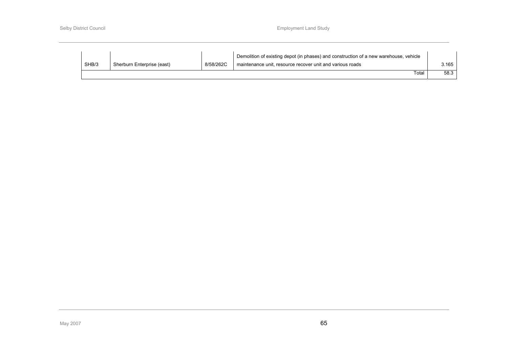|       |                            |           | Demolition of existing depot (in phases) and construction of a new warehouse, vehicle |       |
|-------|----------------------------|-----------|---------------------------------------------------------------------------------------|-------|
| SHB/3 | Sherburn Enterprise (east) | 8/58/262C | maintenance unit, resource recover unit and various roads                             | 3.165 |
|       |                            |           | Гоtal                                                                                 | 58.3  |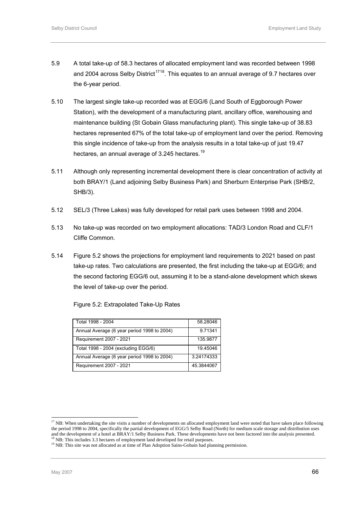- <span id="page-79-0"></span>5.9 A total take-up of 58.3 hectares of allocated employment land was recorded between 1998 and 2004 across Selby District<sup>[1](#page-79-0)7[18](#page-79-0)</sup>. This equates to an annual average of 9.7 hectares over the 6-year period.
- 5.10 The largest single take-up recorded was at EGG/6 (Land South of Eggborough Power Station), with the development of a manufacturing plant, ancillary office, warehousing and maintenance building (St Gobain Glass manufacturing plant). This single take-up of 38.83 hectares represented 67% of the total take-up of employment land over the period. Removing this single incidence of take-up from the analysis results in a total take-up of just 19.47 hectares, an annual average of 3.245 hectares.<sup>[19](#page-79-0)</sup>
- 5.11 Although only representing incremental development there is clear concentration of activity at both BRAY/1 (Land adjoining Selby Business Park) and Sherburn Enterprise Park (SHB/2, SHB/3).
- 5.12 SEL/3 (Three Lakes) was fully developed for retail park uses between 1998 and 2004.
- 5.13 No take-up was recorded on two employment allocations: TAD/3 London Road and CLF/1 Cliffe Common.
- 5.14 Figure 5.2 shows the projections for employment land requirements to 2021 based on past take-up rates. Two calculations are presented, the first including the take-up at EGG/6; and the second factoring EGG/6 out, assuming it to be a stand-alone development which skews the level of take-up over the period.

Figure 5.2: Extrapolated Take-Up Rates

| Total 1998 - 2004                           | 58.28046   |
|---------------------------------------------|------------|
| Annual Average (6 year period 1998 to 2004) | 9.71341    |
| Requirement 2007 - 2021                     | 135.9877   |
| Total 1998 - 2004 (excluding EGG/6)         | 19.45046   |
| Annual Average (6 year period 1998 to 2004) | 3.24174333 |
| Requirement 2007 - 2021                     | 45.3844067 |

l

 $17$  NB: When undertaking the site visits a number of developments on allocated employment land were noted that have taken place following the period 1998 to 2004, specifically the partial development of EGG/5 Selby Road (North) for medium scale storage and distribution uses and the development of a hotel at  $\overline{B}RAY$ /1 Selby Business Park. These developments have not been factored into the analysis presented.<br><sup>18</sup> NB: This includes 3.3 hectares of employment land developed for retail purpos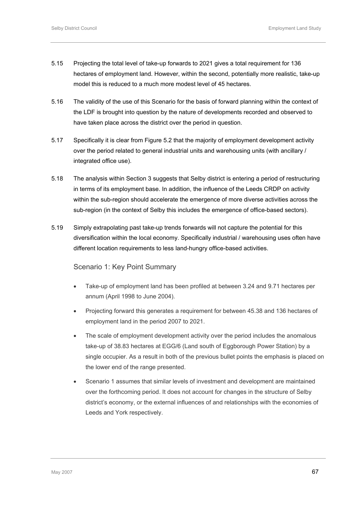- 5.15 Projecting the total level of take-up forwards to 2021 gives a total requirement for 136 hectares of employment land. However, within the second, potentially more realistic, take-up model this is reduced to a much more modest level of 45 hectares.
- 5.16 The validity of the use of this Scenario for the basis of forward planning within the context of the LDF is brought into question by the nature of developments recorded and observed to have taken place across the district over the period in question.
- 5.17 Specifically it is clear from Figure 5.2 that the majority of employment development activity over the period related to general industrial units and warehousing units (with ancillary / integrated office use).
- 5.18 The analysis within Section 3 suggests that Selby district is entering a period of restructuring in terms of its employment base. In addition, the influence of the Leeds CRDP on activity within the sub-region should accelerate the emergence of more diverse activities across the sub-region (in the context of Selby this includes the emergence of office-based sectors).
- 5.19 Simply extrapolating past take-up trends forwards will not capture the potential for this diversification within the local economy. Specifically industrial / warehousing uses often have different location requirements to less land-hungry office-based activities.

### Scenario 1: Key Point Summary

- Take-up of employment land has been profiled at between 3.24 and 9.71 hectares per annum (April 1998 to June 2004).
- Projecting forward this generates a requirement for between 45.38 and 136 hectares of employment land in the period 2007 to 2021.
- The scale of employment development activity over the period includes the anomalous take-up of 38.83 hectares at EGG/6 (Land south of Eggborough Power Station) by a single occupier. As a result in both of the previous bullet points the emphasis is placed on the lower end of the range presented.
- Scenario 1 assumes that similar levels of investment and development are maintained over the forthcoming period. It does not account for changes in the structure of Selby district's economy, or the external influences of and relationships with the economies of Leeds and York respectively.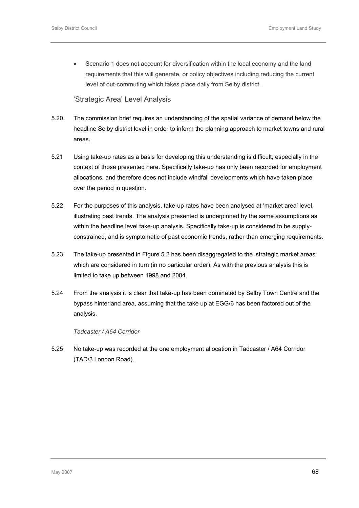• Scenario 1 does not account for diversification within the local economy and the land requirements that this will generate, or policy objectives including reducing the current level of out-commuting which takes place daily from Selby district.

# 'Strategic Area' Level Analysis

- 5.20 The commission brief requires an understanding of the spatial variance of demand below the headline Selby district level in order to inform the planning approach to market towns and rural areas.
- 5.21 Using take-up rates as a basis for developing this understanding is difficult, especially in the context of those presented here. Specifically take-up has only been recorded for employment allocations, and therefore does not include windfall developments which have taken place over the period in question.
- 5.22 For the purposes of this analysis, take-up rates have been analysed at 'market area' level, illustrating past trends. The analysis presented is underpinned by the same assumptions as within the headline level take-up analysis. Specifically take-up is considered to be supplyconstrained, and is symptomatic of past economic trends, rather than emerging requirements.
- 5.23 The take-up presented in Figure 5.2 has been disaggregated to the 'strategic market areas' which are considered in turn (in no particular order). As with the previous analysis this is limited to take up between 1998 and 2004.
- 5.24 From the analysis it is clear that take-up has been dominated by Selby Town Centre and the bypass hinterland area, assuming that the take up at EGG/6 has been factored out of the analysis.

#### *Tadcaster / A64 Corridor*

5.25 No take-up was recorded at the one employment allocation in Tadcaster / A64 Corridor (TAD/3 London Road).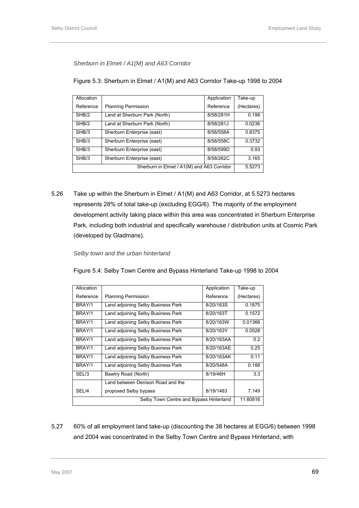*Sherburn in Elmet / A1(M) and A63 Corridor* 

| Figure 5.3: Sherburn in Elmet / A1(M) and A63 Corridor Take-up 1998 to 2004 |  |
|-----------------------------------------------------------------------------|--|
|-----------------------------------------------------------------------------|--|

| Allocation                                 |                               | Application | Take-up    |
|--------------------------------------------|-------------------------------|-------------|------------|
| Reference                                  | <b>Planning Permission</b>    | Reference   | (Hectares) |
| SHB/2                                      | Land at Sherburn Park (North) | 8/58/281H   | 0.198      |
| SHB/2                                      | Land at Sherburn Park (North) | 8/58/281J   | 0.0236     |
| SHB/3                                      | Sherburn Enterprise (east)    | 8/58/558A   | 0.8375     |
| SHB/3                                      | Sherburn Enterprise (east)    | 8/58/558C   | 0.3732     |
| SHB/3                                      | Sherburn Enterprise (east)    | 8/58/599D   | 0.93       |
| SHB/3                                      | Sherburn Enterprise (east)    | 8/58/262C   | 3.165      |
| Sherburn in Elmet / A1(M) and A63 Corridor |                               |             |            |

5.26 Take up within the Sherburn in Elmet / A1(M) and A63 Corridor, at 5.5273 hectares represents 28% of total take-up (excluding EGG/6). The majority of the employment development activity taking place within this area was concentrated in Sherburn Enterprise Park, including both industrial and specifically warehouse / distribution units at Cosmic Park (developed by Gladmans).

### *Selby town and the urban hinterland*

Figure 5.4: Selby Town Centre and Bypass Hinterland Take-up 1998 to 2004

| Allocation                              |                                    | Application | Take-up    |
|-----------------------------------------|------------------------------------|-------------|------------|
| Reference                               | <b>Planning Permission</b>         | Reference   | (Hectares) |
| BRAY/1                                  | Land adjoining Selby Business Park | 8/20/163S   | 0.1875     |
| BRAY/1                                  | Land adjoining Selby Business Park | 8/20/163T   | 0.1572     |
| BRAY/1                                  | Land adjoining Selby Business Park | 8/20/163W   | 0.01366    |
| BRAY/1                                  | Land adjoining Selby Business Park | 8/20/163Y   | 0.0528     |
| BRAY/1                                  | Land adjoining Selby Business Park | 8/20/163AA  | 0.2        |
| BRAY/1                                  | Land adjoining Selby Business Park | 8/20/163AE  | 0.25       |
| BRAY/1                                  | Land adjoining Selby Business Park | 8/20/163AK  | 0.11       |
| BRAY/1                                  | Land adjoining Selby Business Park | 8/20/548A   | 0.188      |
| SEL/3                                   | Bawtry Road (North)                | 8/19/46H    | 3.3        |
|                                         | Land between Denison Road and the  |             |            |
| SEL/4                                   | proposed Selby bypass              | 8/19/1483   | 7.149      |
| Selby Town Centre and Bypass Hinterland |                                    |             | 11.60816   |

5.27 60% of all employment land take-up (discounting the 38 hectares at EGG/6) between 1998 and 2004 was concentrated in the Selby Town Centre and Bypass Hinterland, with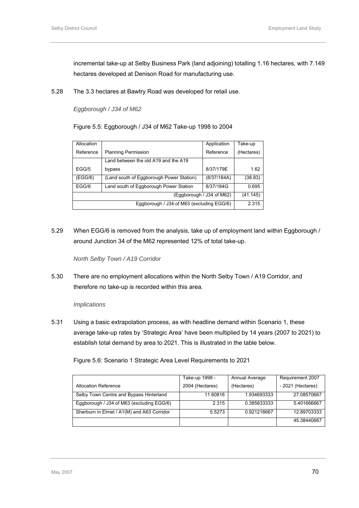incremental take-up at Selby Business Park (land adjoining) totalling 1.16 hectares, with 7.149 hectares developed at Denison Road for manufacturing use.

5.28 The 3.3 hectares at Bawtry Road was developed for retail use.

#### *Eggborough / J34 of M62*

Figure 5.5: Eggborough / J34 of M62 Take-up 1998 to 2004

| Allocation                |                                          | Application | Take-up    |  |
|---------------------------|------------------------------------------|-------------|------------|--|
| Reference                 | <b>Planning Permission</b>               | Reference   | (Hectares) |  |
|                           | Land between the old A19 and the A19     |             |            |  |
| EGG/5                     | bypass                                   | 8/37/179E   | 1.62       |  |
| (EGG/6)                   | (Land south of Eggborough Power Station) | (8/37/184A) | (38.83)    |  |
| EGG/6                     | Land south of Eggborough Power Station   | 8/37/184G   | 0.695      |  |
| (Eggborough / J34 of M62) |                                          |             |            |  |
|                           | 2.315                                    |             |            |  |

5.29 When EGG/6 is removed from the analysis, take up of employment land within Eggborough / around Junction 34 of the M62 represented 12% of total take-up.

*North Selby Town / A19 Corridor* 

5.30 There are no employment allocations within the North Selby Town / A19 Corridor, and therefore no take-up is recorded within this area.

#### *Implications*

5.31 Using a basic extrapolation process, as with headline demand within Scenario 1, these average take-up rates by 'Strategic Area' have been multiplied by 14 years (2007 to 2021) to establish total demand by area to 2021. This is illustrated in the table below.

Figure 5.6: Scenario 1 Strategic Area Level Requirements to 2021

|                                            | Take-up 1998 -  | Annual Average | Requirement 2007   |
|--------------------------------------------|-----------------|----------------|--------------------|
| <b>Allocation Reference</b>                | 2004 (Hectares) | (Hectares)     | $-2021$ (Hectares) |
| Selby Town Centre and Bypass Hinterland    | 11.60816        | 1.934693333    | 27.08570667        |
| Eggborough / J34 of M63 (excluding EGG/6)  | 2.315           | 0.385833333    | 5.401666667        |
| Sherburn in Elmet / A1(M) and A63 Corridor | 5.5273          | 0.921216667    | 12.89703333        |
|                                            |                 |                | 45.38440667        |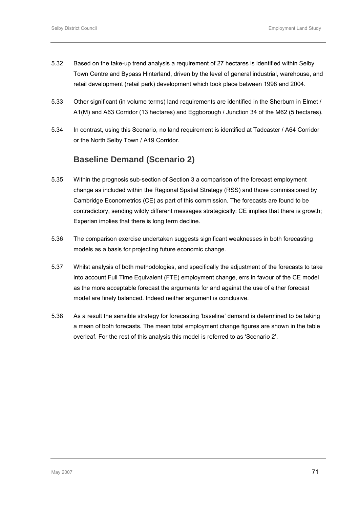- 5.32 Based on the take-up trend analysis a requirement of 27 hectares is identified within Selby Town Centre and Bypass Hinterland, driven by the level of general industrial, warehouse, and retail development (retail park) development which took place between 1998 and 2004.
- 5.33 Other significant (in volume terms) land requirements are identified in the Sherburn in Elmet / A1(M) and A63 Corridor (13 hectares) and Eggborough / Junction 34 of the M62 (5 hectares).
- 5.34 In contrast, using this Scenario, no land requirement is identified at Tadcaster / A64 Corridor or the North Selby Town / A19 Corridor.

# **Baseline Demand (Scenario 2)**

- 5.35 Within the prognosis sub-section of Section 3 a comparison of the forecast employment change as included within the Regional Spatial Strategy (RSS) and those commissioned by Cambridge Econometrics (CE) as part of this commission. The forecasts are found to be contradictory, sending wildly different messages strategically: CE implies that there is growth; Experian implies that there is long term decline.
- 5.36 The comparison exercise undertaken suggests significant weaknesses in both forecasting models as a basis for projecting future economic change.
- 5.37 Whilst analysis of both methodologies, and specifically the adjustment of the forecasts to take into account Full Time Equivalent (FTE) employment change, errs in favour of the CE model as the more acceptable forecast the arguments for and against the use of either forecast model are finely balanced. Indeed neither argument is conclusive.
- 5.38 As a result the sensible strategy for forecasting 'baseline' demand is determined to be taking a mean of both forecasts. The mean total employment change figures are shown in the table overleaf. For the rest of this analysis this model is referred to as 'Scenario 2'.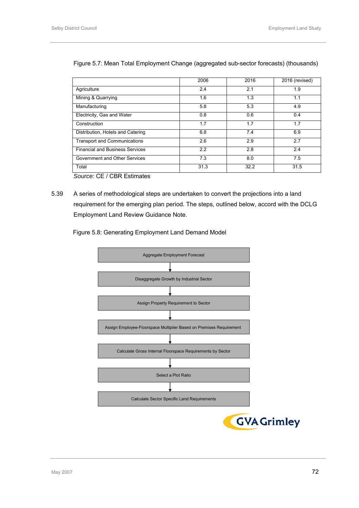|                                        | 2006 | 2016 | 2016 (revised) |
|----------------------------------------|------|------|----------------|
| Agriculture                            | 2.4  | 2.1  | 1.9            |
| Mining & Quarrying                     | 1.6  | 1.3  | 1.1            |
| Manufacturing                          | 5.8  | 5.3  | 4.9            |
| Electricity, Gas and Water             | 0.8  | 0.6  | 0.4            |
| Construction                           | 1.7  | 1.7  | 1.7            |
| Distribution, Hotels and Catering      | 6.8  | 7.4  | 6.9            |
| <b>Transport and Communications</b>    | 2.6  | 2.9  | 2.7            |
| <b>Financial and Business Services</b> | 2.2  | 2.8  | 2.4            |
| Government and Other Services          | 7.3  | 8.0  | 7.5            |
| Total                                  | 31.3 | 32.2 | 31.5           |

### Figure 5.7: Mean Total Employment Change (aggregated sub-sector forecasts) (thousands)

*Source:* CE / CBR Estimates

5.39 A series of methodological steps are undertaken to convert the projections into a land requirement for the emerging plan period. The steps, outlined below, accord with the DCLG Employment Land Review Guidance Note.



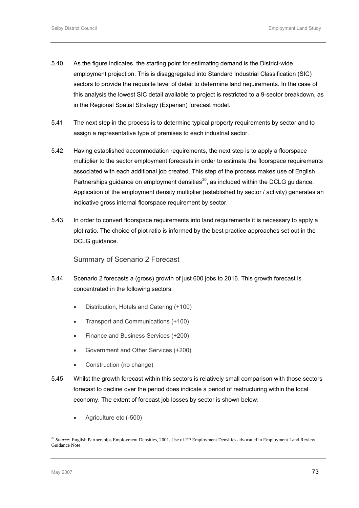- <span id="page-86-0"></span>5.40 As the figure indicates, the starting point for estimating demand is the District-wide employment projection. This is disaggregated into Standard Industrial Classification (SIC) sectors to provide the requisite level of detail to determine land requirements. In the case of this analysis the lowest SIC detail available to project is restricted to a 9-sector breakdown, as in the Regional Spatial Strategy (Experian) forecast model.
- 5.41 The next step in the process is to determine typical property requirements by sector and to assign a representative type of premises to each industrial sector.
- 5.42 Having established accommodation requirements, the next step is to apply a floorspace multiplier to the sector employment forecasts in order to estimate the floorspace requirements associated with each additional job created. This step of the process makes use of English Partnerships guidance on employment densities $^{20}$  $^{20}$  $^{20}$ , as included within the DCLG guidance. Application of the employment density multiplier (established by sector / activity) generates an indicative gross internal floorspace requirement by sector.
- 5.43 In order to convert floorspace requirements into land requirements it is necessary to apply a plot ratio. The choice of plot ratio is informed by the best practice approaches set out in the DCLG quidance.

Summary of Scenario 2 Forecast

- 5.44 Scenario 2 forecasts a (gross) growth of just 600 jobs to 2016. This growth forecast is concentrated in the following sectors:
	- Distribution, Hotels and Catering (+100)
	- Transport and Communications (+100)
	- Finance and Business Services (+200)
	- Government and Other Services (+200)
	- Construction (no change)
- 5.45 Whilst the growth forecast within this sectors is relatively small comparison with those sectors forecast to decline over the period does indicate a period of restructuring within the local economy. The extent of forecast job losses by sector is shown below:
	- Agriculture etc (-500)

l

<sup>20</sup> *Source:* English Partnerships Employment Densities, 2001. Use of EP Employment Densities advocated in Employment Land Review Guidance Note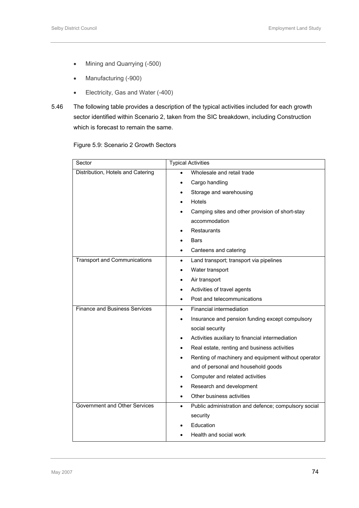- Mining and Quarrying (-500)
- Manufacturing (-900)
- Electricity, Gas and Water (-400)
- 5.46 The following table provides a description of the typical activities included for each growth sector identified within Scenario 2, taken from the SIC breakdown, including Construction which is forecast to remain the same.

Figure 5.9: Scenario 2 Growth Sectors

| Sector                               | <b>Typical Activities</b>                                         |  |  |
|--------------------------------------|-------------------------------------------------------------------|--|--|
| Distribution, Hotels and Catering    | Wholesale and retail trade                                        |  |  |
|                                      | Cargo handling<br>$\bullet$                                       |  |  |
|                                      | Storage and warehousing                                           |  |  |
|                                      | Hotels                                                            |  |  |
|                                      | Camping sites and other provision of short-stay                   |  |  |
|                                      | accommodation                                                     |  |  |
|                                      | <b>Restaurants</b>                                                |  |  |
|                                      | <b>Bars</b>                                                       |  |  |
|                                      | Canteens and catering                                             |  |  |
| <b>Transport and Communications</b>  | Land transport; transport via pipelines<br>$\bullet$              |  |  |
|                                      | Water transport                                                   |  |  |
|                                      | Air transport                                                     |  |  |
|                                      | Activities of travel agents                                       |  |  |
|                                      | Post and telecommunications                                       |  |  |
| <b>Finance and Business Services</b> | Financial intermediation<br>$\bullet$                             |  |  |
|                                      | Insurance and pension funding except compulsory                   |  |  |
|                                      | social security                                                   |  |  |
|                                      | Activities auxiliary to financial intermediation                  |  |  |
|                                      | Real estate, renting and business activities                      |  |  |
|                                      | Renting of machinery and equipment without operator               |  |  |
|                                      | and of personal and household goods                               |  |  |
|                                      | Computer and related activities<br>$\bullet$                      |  |  |
|                                      | Research and development                                          |  |  |
|                                      | Other business activities                                         |  |  |
| Government and Other Services        | Public administration and defence; compulsory social<br>$\bullet$ |  |  |
|                                      | security                                                          |  |  |
|                                      | Education                                                         |  |  |
|                                      | Health and social work                                            |  |  |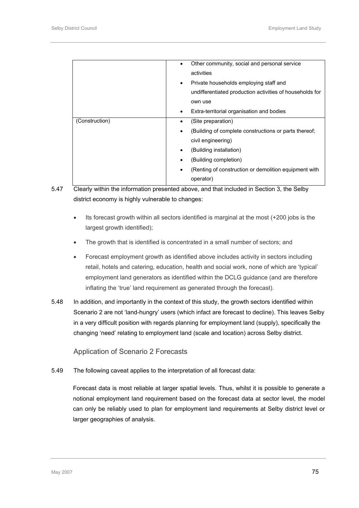|                | Other community, social and personal service<br>$\bullet$<br>activities<br>Private households employing staff and<br>$\bullet$<br>undifferentiated production activities of households for                                                            |
|----------------|-------------------------------------------------------------------------------------------------------------------------------------------------------------------------------------------------------------------------------------------------------|
|                | own use<br>Extra-territorial organisation and bodies<br>$\bullet$                                                                                                                                                                                     |
| (Construction) | (Site preparation)<br>(Building of complete constructions or parts thereof;<br>$\bullet$<br>civil engineering)<br>(Building installation)<br>(Building completion)<br>(Renting of construction or demolition equipment with<br>$\bullet$<br>operator) |

- 5.47 Clearly within the information presented above, and that included in Section 3, the Selby district economy is highly vulnerable to changes:
	- Its forecast growth within all sectors identified is marginal at the most (+200 jobs is the largest growth identified);
	- The growth that is identified is concentrated in a small number of sectors; and
	- Forecast employment growth as identified above includes activity in sectors including retail, hotels and catering, education, health and social work, none of which are 'typical' employment land generators as identified within the DCLG guidance (and are therefore inflating the 'true' land requirement as generated through the forecast).
- 5.48 In addition, and importantly in the context of this study, the growth sectors identified within Scenario 2 are not 'land-hungry' users (which infact are forecast to decline). This leaves Selby in a very difficult position with regards planning for employment land (supply), specifically the changing 'need' relating to employment land (scale and location) across Selby district.

Application of Scenario 2 Forecasts

5.49 The following caveat applies to the interpretation of all forecast data:

Forecast data is most reliable at larger spatial levels. Thus, whilst it is possible to generate a notional employment land requirement based on the forecast data at sector level, the model can only be reliably used to plan for employment land requirements at Selby district level or larger geographies of analysis.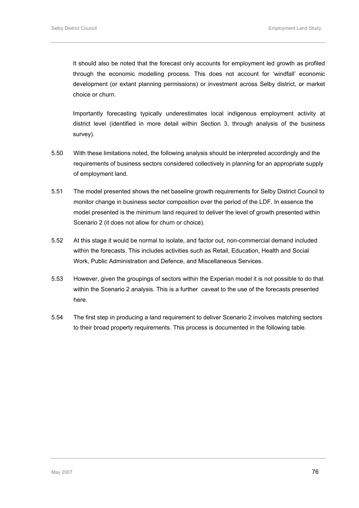It should also be noted that the forecast only accounts for employment led growth as profiled through the economic modelling process. This does not account for 'windfall' economic development (or extant planning permissions) or investment across Selby district, or market choice or churn.

Importantly forecasting typically underestimates local indigenous employment activity at district level (identified in more detail within Section 3, through analysis of the business survey).

- 5.50 With these limitations noted, the following analysis should be interpreted accordingly and the requirements of business sectors considered collectively in planning for an appropriate supply of employment land.
- 5.51 The model presented shows the net baseline growth requirements for Selby District Council to monitor change in business sector composition over the period of the LDF. In essence the model presented is the minimum land required to deliver the level of growth presented within Scenario 2 (it does not allow for churn or choice).
- 5.52 At this stage it would be normal to isolate, and factor out, non-commercial demand included within the forecasts. This includes activities such as Retail, Education, Health and Social Work, Public Administration and Defence, and Miscellaneous Services.
- 5.53 However, given the groupings of sectors within the Experian model it is not possible to do that within the Scenario 2 analysis. This is a further caveat to the use of the forecasts presented here.
- 5.54 The first step in producing a land requirement to deliver Scenario 2 involves matching sectors to their broad property requirements. This process is documented in the following table.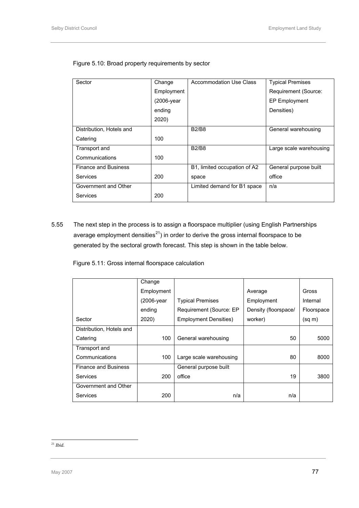| Sector                      | Change     | Accommodation Use Class      | <b>Typical Premises</b> |
|-----------------------------|------------|------------------------------|-------------------------|
|                             | Employment |                              | Requirement (Source:    |
|                             | (2006-year |                              | <b>EP Employment</b>    |
|                             | ending     |                              | Densities)              |
|                             | 2020)      |                              |                         |
| Distribution, Hotels and    |            | <b>B2/B8</b>                 | General warehousing     |
| Catering                    | 100        |                              |                         |
| Transport and               |            | <b>B2/B8</b>                 | Large scale warehousing |
| Communications              | 100        |                              |                         |
| <b>Finance and Business</b> |            | B1, limited occupation of A2 | General purpose built   |
| Services                    | 200        | space                        | office                  |
| Government and Other        |            | Limited demand for B1 space  | n/a                     |
| Services                    | 200        |                              |                         |

<span id="page-90-0"></span>Figure 5.10: Broad property requirements by sector

5.55 The next step in the process is to assign a floorspace multiplier (using English Partnerships average employment densities $^{21}$  $^{21}$  $^{21}$ ) in order to derive the gross internal floorspace to be generated by the sectoral growth forecast. This step is shown in the table below.

Figure 5.11: Gross internal floorspace calculation

|                             | Change     |                              |                      |            |
|-----------------------------|------------|------------------------------|----------------------|------------|
|                             | Employment |                              | Average              | Gross      |
|                             | (2006-year | <b>Typical Premises</b>      | Employment           | Internal   |
|                             | ending     | Requirement (Source: EP      | Density (floorspace/ | Floorspace |
| Sector                      | 2020)      | <b>Employment Densities)</b> | worker)              | (sq m)     |
| Distribution, Hotels and    |            |                              |                      |            |
| Catering                    | 100        | General warehousing          | 50                   | 5000       |
| Transport and               |            |                              |                      |            |
| Communications              | 100        | Large scale warehousing      | 80                   | 8000       |
| <b>Finance and Business</b> |            | General purpose built        |                      |            |
| Services                    | 200        | office                       | 19                   | 3800       |
| Government and Other        |            |                              |                      |            |
| Services                    | 200        | n/a                          | n/a                  |            |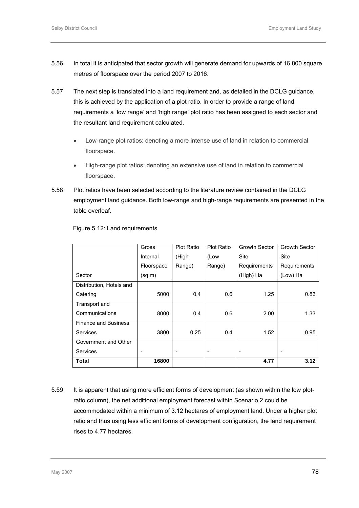- 5.56 In total it is anticipated that sector growth will generate demand for upwards of 16,800 square metres of floorspace over the period 2007 to 2016.
- 5.57 The next step is translated into a land requirement and, as detailed in the DCLG guidance, this is achieved by the application of a plot ratio. In order to provide a range of land requirements a 'low range' and 'high range' plot ratio has been assigned to each sector and the resultant land requirement calculated.
	- Low-range plot ratios: denoting a more intense use of land in relation to commercial floorspace.
	- High-range plot ratios: denoting an extensive use of land in relation to commercial floorspace.
- 5.58 Plot ratios have been selected according to the literature review contained in the DCLG employment land guidance. Both low-range and high-range requirements are presented in the table overleaf.

|                             | Gross       | <b>Plot Ratio</b> | <b>Plot Ratio</b> | Growth Sector | Growth Sector |
|-----------------------------|-------------|-------------------|-------------------|---------------|---------------|
|                             | Internal    | (High             | (Low              | <b>Site</b>   | <b>Site</b>   |
|                             | Floorspace  | Range)            | Range)            | Requirements  | Requirements  |
| Sector                      | $(sq \, m)$ |                   |                   | (High) Ha     | (Low) Ha      |
| Distribution, Hotels and    |             |                   |                   |               |               |
| Catering                    | 5000        | 0.4               | 0.6               | 1.25          | 0.83          |
| Transport and               |             |                   |                   |               |               |
| Communications              | 8000        | 0.4               | 0.6               | 2.00          | 1.33          |
| <b>Finance and Business</b> |             |                   |                   |               |               |
| <b>Services</b>             | 3800        | 0.25              | 0.4               | 1.52          | 0.95          |
| Government and Other        |             |                   |                   |               |               |
| Services                    |             |                   |                   |               |               |
| Total                       | 16800       |                   |                   | 4.77          | 3.12          |

#### Figure 5.12: Land requirements

5.59 It is apparent that using more efficient forms of development (as shown within the low plotratio column), the net additional employment forecast within Scenario 2 could be accommodated within a minimum of 3.12 hectares of employment land. Under a higher plot ratio and thus using less efficient forms of development configuration, the land requirement rises to 4.77 hectares.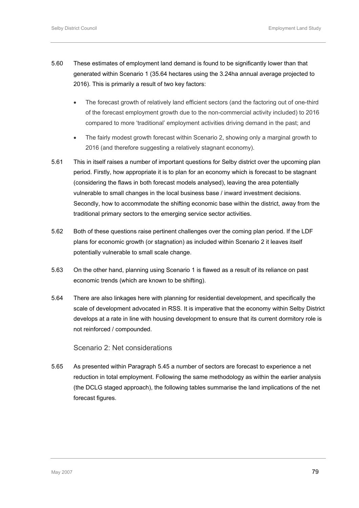- 5.60 These estimates of employment land demand is found to be significantly lower than that generated within Scenario 1 (35.64 hectares using the 3.24ha annual average projected to 2016). This is primarily a result of two key factors:
	- The forecast growth of relatively land efficient sectors (and the factoring out of one-third of the forecast employment growth due to the non-commercial activity included) to 2016 compared to more 'traditional' employment activities driving demand in the past; and
	- The fairly modest growth forecast within Scenario 2, showing only a marginal growth to 2016 (and therefore suggesting a relatively stagnant economy).
- 5.61 This in itself raises a number of important questions for Selby district over the upcoming plan period. Firstly, how appropriate it is to plan for an economy which is forecast to be stagnant (considering the flaws in both forecast models analysed), leaving the area potentially vulnerable to small changes in the local business base / inward investment decisions. Secondly, how to accommodate the shifting economic base within the district, away from the traditional primary sectors to the emerging service sector activities.
- 5.62 Both of these questions raise pertinent challenges over the coming plan period. If the LDF plans for economic growth (or stagnation) as included within Scenario 2 it leaves itself potentially vulnerable to small scale change.
- 5.63 On the other hand, planning using Scenario 1 is flawed as a result of its reliance on past economic trends (which are known to be shifting).
- 5.64 There are also linkages here with planning for residential development, and specifically the scale of development advocated in RSS. It is imperative that the economy within Selby District develops at a rate in line with housing development to ensure that its current dormitory role is not reinforced / compounded.

# Scenario 2: Net considerations

5.65 As presented within Paragraph 5.45 a number of sectors are forecast to experience a net reduction in total employment. Following the same methodology as within the earlier analysis (the DCLG staged approach), the following tables summarise the land implications of the net forecast figures.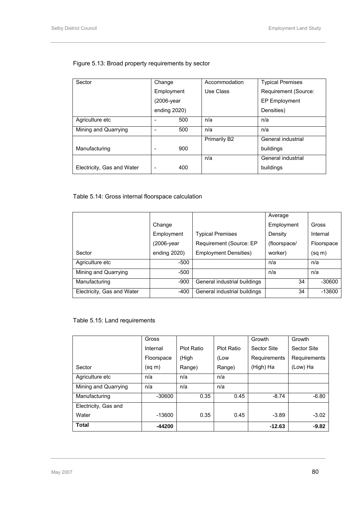| Sector                     | Change       | Accommodation | <b>Typical Premises</b> |
|----------------------------|--------------|---------------|-------------------------|
|                            | Employment   | Use Class     | Requirement (Source:    |
|                            | (2006-year   |               | EP Employment           |
|                            | ending 2020) |               | Densities)              |
| Agriculture etc            | 500          | n/a           | n/a                     |
| Mining and Quarrying       | 500          | n/a           | n/a                     |
|                            |              | Primarily B2  | General industrial      |
| Manufacturing              | 900          |               | buildings               |
|                            |              | n/a           | General industrial      |
| Electricity, Gas and Water | 400<br>-     |               | buildings               |

# Figure 5.13: Broad property requirements by sector

# Table 5.14: Gross internal floorspace calculation

|                            |              |                              | Average      |            |
|----------------------------|--------------|------------------------------|--------------|------------|
|                            | Change       |                              | Employment   | Gross      |
|                            | Employment   | <b>Typical Premises</b>      | Density      | Internal   |
|                            | (2006-year)  | Requirement (Source: EP      | (floorspace/ | Floorspace |
| Sector                     | ending 2020) | <b>Employment Densities)</b> | worker)      | (sq m)     |
| Agriculture etc            | -500         |                              | n/a          | n/a        |
| Mining and Quarrying       | -500         |                              | n/a          | n/a        |
| Manufacturing              | $-900$       | General industrial buildings | 34           | $-30600$   |
| Electricity, Gas and Water | -400         | General industrial buildings | 34           | $-13600$   |

# Table 5.15: Land requirements

|                      | Gross       |                   |                   | Growth       | Growth       |
|----------------------|-------------|-------------------|-------------------|--------------|--------------|
|                      | Internal    | <b>Plot Ratio</b> | <b>Plot Ratio</b> | Sector Site  | Sector Site  |
|                      | Floorspace  | (High             | (Low              | Requirements | Requirements |
| Sector               | $(sq \, m)$ | Range)            | Range)            | (High) Ha    | (Low) Ha     |
| Agriculture etc      | n/a         | n/a               | n/a               |              |              |
| Mining and Quarrying | n/a         | n/a               | n/a               |              |              |
| Manufacturing        | $-30600$    | 0.35              | 0.45              | $-8.74$      | $-6.80$      |
| Electricity, Gas and |             |                   |                   |              |              |
| Water                | $-13600$    | 0.35              | 0.45              | $-3.89$      | $-3.02$      |
| <b>Total</b>         | -44200      |                   |                   | $-12.63$     | $-9.82$      |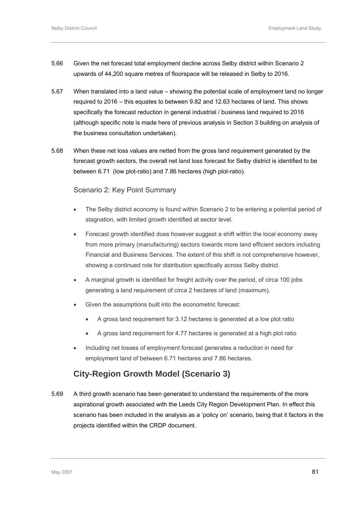- 5.66 Given the net forecast total employment decline across Selby district within Scenario 2 upwards of 44,200 square metres of floorspace will be released in Selby to 2016.
- 5.67 When translated into a land value showing the potential scale of employment land no longer required to 2016 – this equates to between 9.82 and 12.63 hectares of land. This shows specifically the forecast reduction in general industrial / business land required to 2016 (although specific note is made here of previous analysis in Section 3 building on analysis of the business consultation undertaken).
- 5.68 When these net loss values are netted from the gross land requirement generated by the forecast growth sectors, the overall net land loss forecast for Selby district is identified to be between 6.71 (low plot-ratio) and 7.86 hectares (high plot-ratio).

# Scenario 2: Key Point Summary

- The Selby district economy is found within Scenario 2 to be entering a potential period of stagnation, with limited growth identified at sector level.
- Forecast growth identified does however suggest a shift within the local economy away from more primary (manufacturing) sectors towards more land efficient sectors including Financial and Business Services. The extent of this shift is not comprehensive however, showing a continued role for distribution specifically across Selby district.
- A marginal growth is identified for freight activity over the period, of circa 100 jobs generating a land requirement of circa 2 hectares of land (maximum).
- Given the assumptions built into the econometric forecast:
	- A gross land requirement for 3.12 hectares is generated at a low plot ratio
	- A gross land requirement for 4.77 hectares is generated at a high plot ratio
- Including net losses of employment forecast generates a reduction in need for employment land of between 6.71 hectares and 7.86 hectares.

# **City-Region Growth Model (Scenario 3)**

5.69 A third growth scenario has been generated to understand the requirements of the more aspirational growth associated with the Leeds City Region Development Plan. In effect this scenario has been included in the analysis as a 'policy on' scenario, being that it factors in the projects identified within the CRDP document.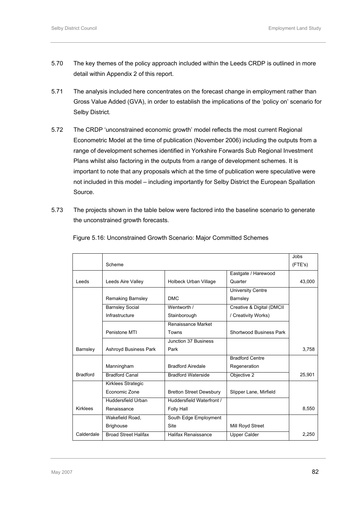- 5.70 The key themes of the policy approach included within the Leeds CRDP is outlined in more detail within Appendix 2 of this report.
- 5.71 The analysis included here concentrates on the forecast change in employment rather than Gross Value Added (GVA), in order to establish the implications of the 'policy on' scenario for Selby District.
- 5.72 The CRDP 'unconstrained economic growth' model reflects the most current Regional Econometric Model at the time of publication (November 2006) including the outputs from a range of development schemes identified in Yorkshire Forwards Sub Regional Investment Plans whilst also factoring in the outputs from a range of development schemes. It is important to note that any proposals which at the time of publication were speculative were not included in this model – including importantly for Selby District the European Spallation Source.
- 5.73 The projects shown in the table below were factored into the baseline scenario to generate the unconstrained growth forecasts.

|                 |                             |                                |                           | Jobs    |
|-----------------|-----------------------------|--------------------------------|---------------------------|---------|
|                 |                             |                                |                           |         |
|                 | Scheme                      |                                |                           | (FTE's) |
|                 |                             |                                | Eastgate / Harewood       |         |
| Leeds           | Leeds Aire Valley           | Holbeck Urban Village          | Quarter                   | 43,000  |
|                 |                             |                                | <b>University Centre</b>  |         |
|                 | Remaking Barnsley           | <b>DMC</b>                     | Barnsley                  |         |
|                 | <b>Barnsley Social</b>      | Wentworth /                    | Creative & Digital (DMCII |         |
|                 | Infrastructure              | Stainborough                   | / Creativity Works)       |         |
|                 |                             | Renaissance Market             |                           |         |
|                 | Penistone MTI               | Towns                          | Shortwood Business Park   |         |
|                 |                             | Junction 37 Business           |                           |         |
| Barnsley        | Ashroyd Business Park       | Park                           |                           | 3,758   |
|                 |                             |                                | <b>Bradford Centre</b>    |         |
|                 | Manningham                  | <b>Bradford Airedale</b>       | Regeneration              |         |
| <b>Bradford</b> | Bradford Canal              | <b>Bradford Waterside</b>      | Objective 2               | 25,901  |
|                 | Kirklees Strategic          |                                |                           |         |
|                 | Economic Zone               | <b>Bretton Street Dewsbury</b> | Slipper Lane, Mirfield    |         |
|                 | Huddersfield Urban          | Huddersfield Waterfront /      |                           |         |
| <b>Kirklees</b> | Renaissance                 | Folly Hall                     |                           | 8,550   |
|                 | Wakefield Road,             | South Edge Employment          |                           |         |
|                 | <b>Brighouse</b>            | Site                           | Mill Royd Street          |         |
| Calderdale      | <b>Broad Street Halifax</b> | Halifax Renaissance            | <b>Upper Calder</b>       | 2.250   |

Figure 5.16: Unconstrained Growth Scenario: Major Committed Schemes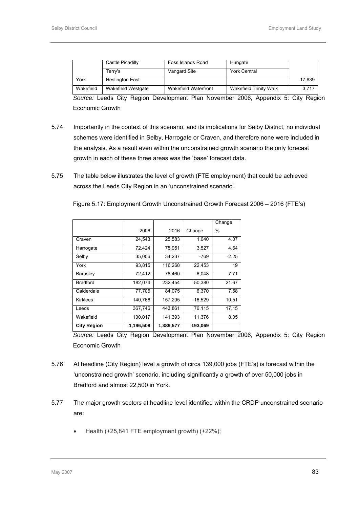|           | Castle Picadilly       | Foss Islands Road    | Hungate                |        |
|-----------|------------------------|----------------------|------------------------|--------|
|           | Terry's                | Vangard Site         | <b>York Central</b>    |        |
| York      | <b>Heslington East</b> |                      |                        | 17,839 |
| Wakefield | Wakefield Westgate     | Wakefield Waterfront | Wakefield Trinity Walk | 3,717  |

*Source:* Leeds City Region Development Plan November 2006, Appendix 5: City Region Economic Growth

- 5.74 Importantly in the context of this scenario, and its implications for Selby District, no individual schemes were identified in Selby, Harrogate or Craven, and therefore none were included in the analysis. As a result even within the unconstrained growth scenario the only forecast growth in each of these three areas was the 'base' forecast data.
- 5.75 The table below illustrates the level of growth (FTE employment) that could be achieved across the Leeds City Region in an 'unconstrained scenario'.

|                    |           |           |         | Change  |
|--------------------|-----------|-----------|---------|---------|
|                    | 2006      | 2016      | Change  | %       |
| Craven             | 24,543    | 25,583    | 1,040   | 4.07    |
| Harrogate          | 72,424    | 75,951    | 3,527   | 4.64    |
| Selby              | 35,006    | 34.237    | $-769$  | $-2.25$ |
| York               | 93.815    | 116,268   | 22,453  | 19      |
| Barnsley           | 72,412    | 78,460    | 6.048   | 7.71    |
| <b>Bradford</b>    | 182,074   | 232,454   | 50,380  | 21.67   |
| Calderdale         | 77.705    | 84.075    | 6.370   | 7.58    |
| <b>Kirklees</b>    | 140.766   | 157.295   | 16,529  | 10.51   |
| Leeds              | 367,746   | 443,861   | 76,115  | 17.15   |
| Wakefield          | 130.017   | 141,393   | 11,376  | 8.05    |
| <b>City Region</b> | 1,196,508 | 1,389,577 | 193,069 |         |

Figure 5.17: Employment Growth Unconstrained Growth Forecast 2006 – 2016 (FTE's)

*Source:* Leeds City Region Development Plan November 2006, Appendix 5: City Region Economic Growth

- 5.76 At headline (City Region) level a growth of circa 139,000 jobs (FTE's) is forecast within the 'unconstrained growth' scenario, including significantly a growth of over 50,000 jobs in Bradford and almost 22,500 in York.
- 5.77 The major growth sectors at headline level identified within the CRDP unconstrained scenario are:
	- Health (+25,841 FTE employment growth) (+22%);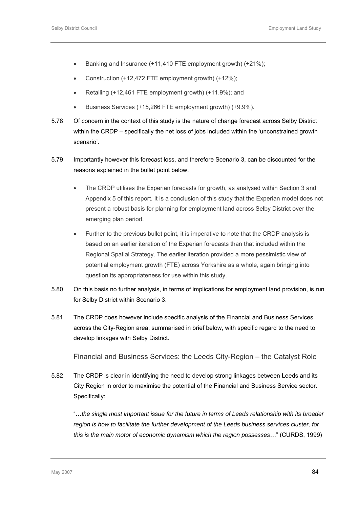- Banking and Insurance (+11,410 FTE employment growth) (+21%);
- Construction (+12,472 FTE employment growth) (+12%);
- Retailing (+12,461 FTE employment growth) (+11.9%); and
- Business Services (+15,266 FTE employment growth) (+9.9%).
- 5.78 Of concern in the context of this study is the nature of change forecast across Selby District within the CRDP – specifically the net loss of jobs included within the 'unconstrained growth scenario'.
- 5.79 Importantly however this forecast loss, and therefore Scenario 3, can be discounted for the reasons explained in the bullet point below.
	- The CRDP utilises the Experian forecasts for growth, as analysed within Section 3 and Appendix 5 of this report. It is a conclusion of this study that the Experian model does not present a robust basis for planning for employment land across Selby District over the emerging plan period.
	- Further to the previous bullet point, it is imperative to note that the CRDP analysis is based on an earlier iteration of the Experian forecasts than that included within the Regional Spatial Strategy. The earlier iteration provided a more pessimistic view of potential employment growth (FTE) across Yorkshire as a whole, again bringing into question its appropriateness for use within this study.
- 5.80 On this basis no further analysis, in terms of implications for employment land provision, is run for Selby District within Scenario 3.
- 5.81 The CRDP does however include specific analysis of the Financial and Business Services across the City-Region area, summarised in brief below, with specific regard to the need to develop linkages with Selby District.

Financial and Business Services: the Leeds City-Region – the Catalyst Role

5.82 The CRDP is clear in identifying the need to develop strong linkages between Leeds and its City Region in order to maximise the potential of the Financial and Business Service sector. Specifically:

"…*the single most important issue for the future in terms of Leeds relationship with its broader region is how to facilitate the further development of the Leeds business services cluster, for this is the main motor of economic dynamism which the region possesses*…" (CURDS, 1999)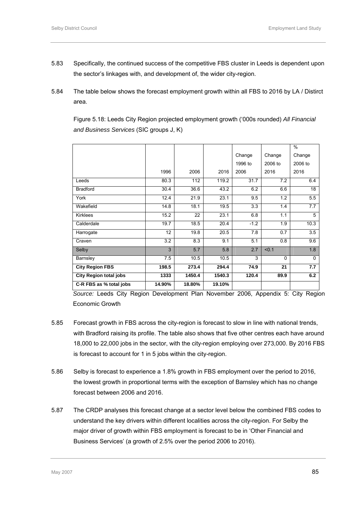- 5.83 Specifically, the continued success of the competitive FBS cluster in Leeds is dependent upon the sector's linkages with, and development of, the wider city-region.
- 5.84 The table below shows the forecast employment growth within all FBS to 2016 by LA / Distirct area.

Figure 5.18: Leeds City Region projected employment growth ('000s rounded) *All Financial and Business Services* (SIC groups J, K)

|                               |        |        |        |         |          | $\%$     |
|-------------------------------|--------|--------|--------|---------|----------|----------|
|                               |        |        |        | Change  | Change   | Change   |
|                               |        |        |        | 1996 to | 2006 to  | 2006 to  |
|                               | 1996   | 2006   | 2016   | 2006    | 2016     | 2016     |
| Leeds                         | 80.3   | 112    | 119.2  | 31.7    | 7.2      | 6.4      |
| <b>Bradford</b>               | 30.4   | 36.6   | 43.2   | 6.2     | 6.6      | 18       |
| York                          | 12.4   | 21.9   | 23.1   | 9.5     | 1.2      | 5.5      |
| Wakefield                     | 14.8   | 18.1   | 19.5   | 3.3     | 1.4      | 7.7      |
| <b>Kirklees</b>               | 15.2   | 22     | 23.1   | 6.8     | 1.1      | 5        |
| Calderdale                    | 19.7   | 18.5   | 20.4   | $-1.2$  | 1.9      | 10.3     |
| Harrogate                     | 12     | 19.8   | 20.5   | 7.8     | 0.7      | 3.5      |
| Craven                        | 3.2    | 8.3    | 9.1    | 5.1     | 0.8      | 9.6      |
| Selby                         | 3      | 5.7    | 5.8    | 2.7     | < 0.1    | 1.8      |
| Barnsley                      | 7.5    | 10.5   | 10.5   | 3       | $\Omega$ | $\Omega$ |
| <b>City Region FBS</b>        | 198.5  | 273.4  | 294.4  | 74.9    | 21       | 7.7      |
| <b>City Region total jobs</b> | 1333   | 1450.4 | 1540.3 | 120.4   | 89.9     | 6.2      |
| C-R FBS as % total jobs       | 14.90% | 18.80% | 19.10% |         |          |          |

*Source:* Leeds City Region Development Plan November 2006, Appendix 5: City Region Economic Growth

- 5.85 Forecast growth in FBS across the city-region is forecast to slow in line with national trends, with Bradford raising its profile. The table also shows that five other centres each have around 18,000 to 22,000 jobs in the sector, with the city-region employing over 273,000. By 2016 FBS is forecast to account for 1 in 5 jobs within the city-region.
- 5.86 Selby is forecast to experience a 1.8% growth in FBS employment over the period to 2016, the lowest growth in proportional terms with the exception of Barnsley which has no change forecast between 2006 and 2016.
- 5.87 The CRDP analyses this forecast change at a sector level below the combined FBS codes to understand the key drivers within different localities across the city-region. For Selby the major driver of growth within FBS employment is forecast to be in 'Other Financial and Business Services' (a growth of 2.5% over the period 2006 to 2016).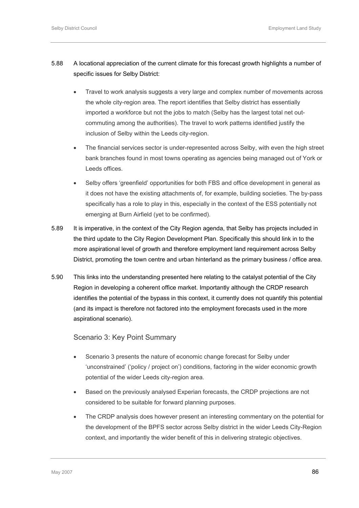- 5.88 A locational appreciation of the current climate for this forecast growth highlights a number of specific issues for Selby District:
	- Travel to work analysis suggests a very large and complex number of movements across the whole city-region area. The report identifies that Selby district has essentially imported a workforce but not the jobs to match (Selby has the largest total net outcommuting among the authorities). The travel to work patterns identified justify the inclusion of Selby within the Leeds city-region.
	- The financial services sector is under-represented across Selby, with even the high street bank branches found in most towns operating as agencies being managed out of York or Leeds offices.
	- Selby offers 'greenfield' opportunities for both FBS and office development in general as it does not have the existing attachments of, for example, building societies. The by-pass specifically has a role to play in this, especially in the context of the ESS potentially not emerging at Burn Airfield (yet to be confirmed).
- 5.89 It is imperative, in the context of the City Region agenda, that Selby has projects included in the third update to the City Region Development Plan. Specifically this should link in to the more aspirational level of growth and therefore employment land requirement across Selby District, promoting the town centre and urban hinterland as the primary business / office area.
- 5.90 This links into the understanding presented here relating to the catalyst potential of the City Region in developing a coherent office market. Importantly although the CRDP research identifies the potential of the bypass in this context, it currently does not quantify this potential (and its impact is therefore not factored into the employment forecasts used in the more aspirational scenario).

Scenario 3: Key Point Summary

- Scenario 3 presents the nature of economic change forecast for Selby under 'unconstrained' ('policy / project on') conditions, factoring in the wider economic growth potential of the wider Leeds city-region area.
- Based on the previously analysed Experian forecasts, the CRDP projections are not considered to be suitable for forward planning purposes.
- The CRDP analysis does however present an interesting commentary on the potential for the development of the BPFS sector across Selby district in the wider Leeds City-Region context, and importantly the wider benefit of this in delivering strategic objectives.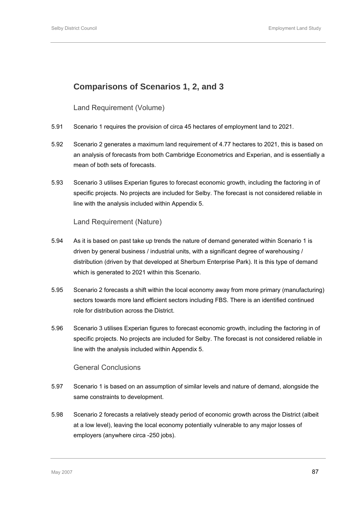# **Comparisons of Scenarios 1, 2, and 3**

# Land Requirement (Volume)

- 5.91 Scenario 1 requires the provision of circa 45 hectares of employment land to 2021.
- 5.92 Scenario 2 generates a maximum land requirement of 4.77 hectares to 2021, this is based on an analysis of forecasts from both Cambridge Econometrics and Experian, and is essentially a mean of both sets of forecasts.
- 5.93 Scenario 3 utilises Experian figures to forecast economic growth, including the factoring in of specific projects. No projects are included for Selby. The forecast is not considered reliable in line with the analysis included within Appendix 5.

Land Requirement (Nature)

- 5.94 As it is based on past take up trends the nature of demand generated within Scenario 1 is driven by general business / industrial units, with a significant degree of warehousing / distribution (driven by that developed at Sherburn Enterprise Park). It is this type of demand which is generated to 2021 within this Scenario.
- 5.95 Scenario 2 forecasts a shift within the local economy away from more primary (manufacturing) sectors towards more land efficient sectors including FBS. There is an identified continued role for distribution across the District.
- 5.96 Scenario 3 utilises Experian figures to forecast economic growth, including the factoring in of specific projects. No projects are included for Selby. The forecast is not considered reliable in line with the analysis included within Appendix 5.

### General Conclusions

- 5.97 Scenario 1 is based on an assumption of similar levels and nature of demand, alongside the same constraints to development.
- 5.98 Scenario 2 forecasts a relatively steady period of economic growth across the District (albeit at a low level), leaving the local economy potentially vulnerable to any major losses of employers (anywhere circa -250 jobs).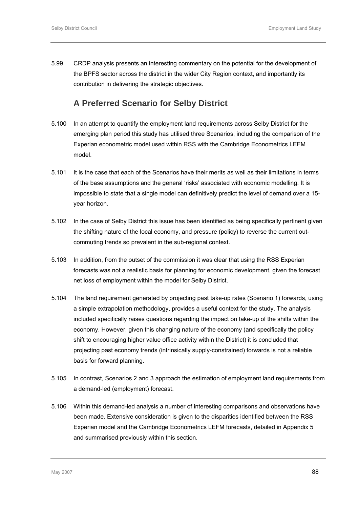5.99 CRDP analysis presents an interesting commentary on the potential for the development of the BPFS sector across the district in the wider City Region context, and importantly its contribution in delivering the strategic objectives.

# **A Preferred Scenario for Selby District**

- 5.100 In an attempt to quantify the employment land requirements across Selby District for the emerging plan period this study has utilised three Scenarios, including the comparison of the Experian econometric model used within RSS with the Cambridge Econometrics LEFM model.
- 5.101 It is the case that each of the Scenarios have their merits as well as their limitations in terms of the base assumptions and the general 'risks' associated with economic modelling. It is impossible to state that a single model can definitively predict the level of demand over a 15 year horizon.
- 5.102 In the case of Selby District this issue has been identified as being specifically pertinent given the shifting nature of the local economy, and pressure (policy) to reverse the current outcommuting trends so prevalent in the sub-regional context.
- 5.103 In addition, from the outset of the commission it was clear that using the RSS Experian forecasts was not a realistic basis for planning for economic development, given the forecast net loss of employment within the model for Selby District.
- 5.104 The land requirement generated by projecting past take-up rates (Scenario 1) forwards, using a simple extrapolation methodology, provides a useful context for the study. The analysis included specifically raises questions regarding the impact on take-up of the shifts within the economy. However, given this changing nature of the economy (and specifically the policy shift to encouraging higher value office activity within the District) it is concluded that projecting past economy trends (intrinsically supply-constrained) forwards is not a reliable basis for forward planning.
- 5.105 In contrast, Scenarios 2 and 3 approach the estimation of employment land requirements from a demand-led (employment) forecast.
- 5.106 Within this demand-led analysis a number of interesting comparisons and observations have been made. Extensive consideration is given to the disparities identified between the RSS Experian model and the Cambridge Econometrics LEFM forecasts, detailed in Appendix 5 and summarised previously within this section.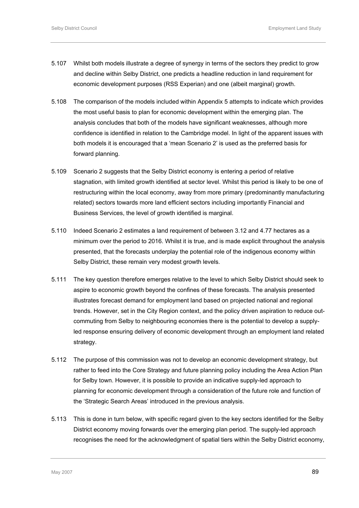- 5.107 Whilst both models illustrate a degree of synergy in terms of the sectors they predict to grow and decline within Selby District, one predicts a headline reduction in land requirement for economic development purposes (RSS Experian) and one (albeit marginal) growth.
- 5.108 The comparison of the models included within Appendix 5 attempts to indicate which provides the most useful basis to plan for economic development within the emerging plan. The analysis concludes that both of the models have significant weaknesses, although more confidence is identified in relation to the Cambridge model. In light of the apparent issues with both models it is encouraged that a 'mean Scenario 2' is used as the preferred basis for forward planning.
- 5.109 Scenario 2 suggests that the Selby District economy is entering a period of relative stagnation, with limited growth identified at sector level. Whilst this period is likely to be one of restructuring within the local economy, away from more primary (predominantly manufacturing related) sectors towards more land efficient sectors including importantly Financial and Business Services, the level of growth identified is marginal.
- 5.110 Indeed Scenario 2 estimates a land requirement of between 3.12 and 4.77 hectares as a minimum over the period to 2016. Whilst it is true, and is made explicit throughout the analysis presented, that the forecasts underplay the potential role of the indigenous economy within Selby District, these remain very modest growth levels.
- 5.111 The key question therefore emerges relative to the level to which Selby District should seek to aspire to economic growth beyond the confines of these forecasts. The analysis presented illustrates forecast demand for employment land based on projected national and regional trends. However, set in the City Region context, and the policy driven aspiration to reduce outcommuting from Selby to neighbouring economies there is the potential to develop a supplyled response ensuring delivery of economic development through an employment land related strategy.
- 5.112 The purpose of this commission was not to develop an economic development strategy, but rather to feed into the Core Strategy and future planning policy including the Area Action Plan for Selby town. However, it is possible to provide an indicative supply-led approach to planning for economic development through a consideration of the future role and function of the 'Strategic Search Areas' introduced in the previous analysis.
- 5.113 This is done in turn below, with specific regard given to the key sectors identified for the Selby District economy moving forwards over the emerging plan period. The supply-led approach recognises the need for the acknowledgment of spatial tiers within the Selby District economy,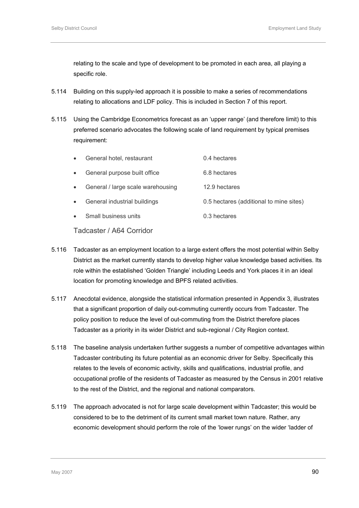relating to the scale and type of development to be promoted in each area, all playing a specific role.

- 5.114 Building on this supply-led approach it is possible to make a series of recommendations relating to allocations and LDF policy. This is included in Section 7 of this report.
- 5.115 Using the Cambridge Econometrics forecast as an 'upper range' (and therefore limit) to this preferred scenario advocates the following scale of land requirement by typical premises requirement:

| $\bullet$ | General hotel, restaurant         | 0.4 hectares                            |
|-----------|-----------------------------------|-----------------------------------------|
| $\bullet$ | General purpose built office      | 6.8 hectares                            |
| $\bullet$ | General / large scale warehousing | 12.9 hectares                           |
| $\bullet$ | General industrial buildings      | 0.5 hectares (additional to mine sites) |
|           | Small business units              | 0.3 hectares                            |

# Tadcaster / A64 Corridor

- 5.116 Tadcaster as an employment location to a large extent offers the most potential within Selby District as the market currently stands to develop higher value knowledge based activities. Its role within the established 'Golden Triangle' including Leeds and York places it in an ideal location for promoting knowledge and BPFS related activities.
- 5.117 Anecdotal evidence, alongside the statistical information presented in Appendix 3, illustrates that a significant proportion of daily out-commuting currently occurs from Tadcaster. The policy position to reduce the level of out-commuting from the District therefore places Tadcaster as a priority in its wider District and sub-regional / City Region context.
- 5.118 The baseline analysis undertaken further suggests a number of competitive advantages within Tadcaster contributing its future potential as an economic driver for Selby. Specifically this relates to the levels of economic activity, skills and qualifications, industrial profile, and occupational profile of the residents of Tadcaster as measured by the Census in 2001 relative to the rest of the District, and the regional and national comparators.
- 5.119 The approach advocated is not for large scale development within Tadcaster; this would be considered to be to the detriment of its current small market town nature. Rather, any economic development should perform the role of the 'lower rungs' on the wider 'ladder of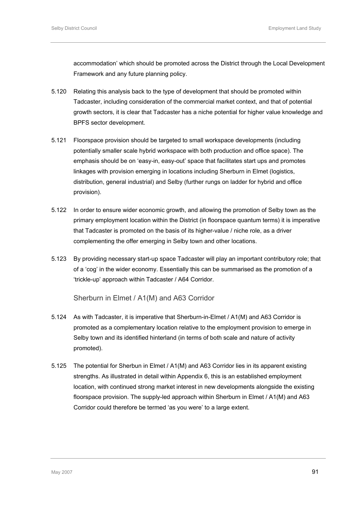accommodation' which should be promoted across the District through the Local Development Framework and any future planning policy.

- 5.120 Relating this analysis back to the type of development that should be promoted within Tadcaster, including consideration of the commercial market context, and that of potential growth sectors, it is clear that Tadcaster has a niche potential for higher value knowledge and BPFS sector development.
- 5.121 Floorspace provision should be targeted to small workspace developments (including potentially smaller scale hybrid workspace with both production and office space). The emphasis should be on 'easy-in, easy-out' space that facilitates start ups and promotes linkages with provision emerging in locations including Sherburn in Elmet (logistics, distribution, general industrial) and Selby (further rungs on ladder for hybrid and office provision).
- 5.122 In order to ensure wider economic growth, and allowing the promotion of Selby town as the primary employment location within the District (in floorspace quantum terms) it is imperative that Tadcaster is promoted on the basis of its higher-value / niche role, as a driver complementing the offer emerging in Selby town and other locations.
- 5.123 By providing necessary start-up space Tadcaster will play an important contributory role; that of a 'cog' in the wider economy. Essentially this can be summarised as the promotion of a 'trickle-up' approach within Tadcaster / A64 Corridor.

Sherburn in Elmet / A1(M) and A63 Corridor

- 5.124 As with Tadcaster, it is imperative that Sherburn-in-Elmet / A1(M) and A63 Corridor is promoted as a complementary location relative to the employment provision to emerge in Selby town and its identified hinterland (in terms of both scale and nature of activity promoted).
- 5.125 The potential for Sherbun in Elmet / A1(M) and A63 Corridor lies in its apparent existing strengths. As illustrated in detail within Appendix 6, this is an established employment location, with continued strong market interest in new developments alongside the existing floorspace provision. The supply-led approach within Sherburn in Elmet / A1(M) and A63 Corridor could therefore be termed 'as you were' to a large extent.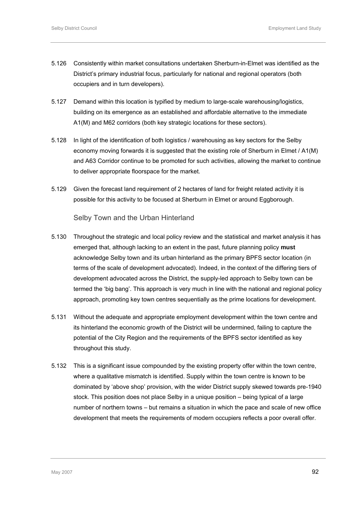- 5.126 Consistently within market consultations undertaken Sherburn-in-Elmet was identified as the District's primary industrial focus, particularly for national and regional operators (both occupiers and in turn developers).
- 5.127 Demand within this location is typified by medium to large-scale warehousing/logistics, building on its emergence as an established and affordable alternative to the immediate A1(M) and M62 corridors (both key strategic locations for these sectors).
- 5.128 In light of the identification of both logistics / warehousing as key sectors for the Selby economy moving forwards it is suggested that the existing role of Sherburn in Elmet / A1(M) and A63 Corridor continue to be promoted for such activities, allowing the market to continue to deliver appropriate floorspace for the market.
- 5.129 Given the forecast land requirement of 2 hectares of land for freight related activity it is possible for this activity to be focused at Sherburn in Elmet or around Eggborough.

Selby Town and the Urban Hinterland

- 5.130 Throughout the strategic and local policy review and the statistical and market analysis it has emerged that, although lacking to an extent in the past, future planning policy **must** acknowledge Selby town and its urban hinterland as the primary BPFS sector location (in terms of the scale of development advocated). Indeed, in the context of the differing tiers of development advocated across the District, the supply-led approach to Selby town can be termed the 'big bang'. This approach is very much in line with the national and regional policy approach, promoting key town centres sequentially as the prime locations for development.
- 5.131 Without the adequate and appropriate employment development within the town centre and its hinterland the economic growth of the District will be undermined, failing to capture the potential of the City Region and the requirements of the BPFS sector identified as key throughout this study.
- 5.132 This is a significant issue compounded by the existing property offer within the town centre, where a qualitative mismatch is identified. Supply within the town centre is known to be dominated by 'above shop' provision, with the wider District supply skewed towards pre-1940 stock. This position does not place Selby in a unique position – being typical of a large number of northern towns – but remains a situation in which the pace and scale of new office development that meets the requirements of modern occupiers reflects a poor overall offer.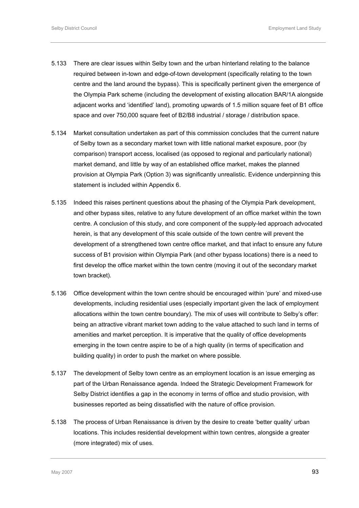- 5.133 There are clear issues within Selby town and the urban hinterland relating to the balance required between in-town and edge-of-town development (specifically relating to the town centre and the land around the bypass). This is specifically pertinent given the emergence of the Olympia Park scheme (including the development of existing allocation BAR/1A alongside adjacent works and 'identified' land), promoting upwards of 1.5 million square feet of B1 office space and over 750,000 square feet of B2/B8 industrial / storage / distribution space.
- 5.134 Market consultation undertaken as part of this commission concludes that the current nature of Selby town as a secondary market town with little national market exposure, poor (by comparison) transport access, localised (as opposed to regional and particularly national) market demand, and little by way of an established office market, makes the planned provision at Olympia Park (Option 3) was significantly unrealistic. Evidence underpinning this statement is included within Appendix 6.
- 5.135 Indeed this raises pertinent questions about the phasing of the Olympia Park development, and other bypass sites, relative to any future development of an office market within the town centre. A conclusion of this study, and core component of the supply-led approach advocated herein, is that any development of this scale outside of the town centre will prevent the development of a strengthened town centre office market, and that infact to ensure any future success of B1 provision within Olympia Park (and other bypass locations) there is a need to first develop the office market within the town centre (moving it out of the secondary market town bracket).
- 5.136 Office development within the town centre should be encouraged within 'pure' and mixed-use developments, including residential uses (especially important given the lack of employment allocations within the town centre boundary). The mix of uses will contribute to Selby's offer: being an attractive vibrant market town adding to the value attached to such land in terms of amenities and market perception. It is imperative that the quality of office developments emerging in the town centre aspire to be of a high quality (in terms of specification and building quality) in order to push the market on where possible.
- 5.137 The development of Selby town centre as an employment location is an issue emerging as part of the Urban Renaissance agenda. Indeed the Strategic Development Framework for Selby District identifies a gap in the economy in terms of office and studio provision, with businesses reported as being dissatisfied with the nature of office provision.
- 5.138 The process of Urban Renaissance is driven by the desire to create 'better quality' urban locations. This includes residential development within town centres, alongside a greater (more integrated) mix of uses.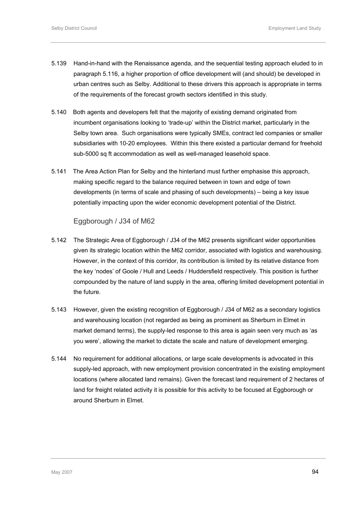- 5.139 Hand-in-hand with the Renaissance agenda, and the sequential testing approach eluded to in paragraph 5.116, a higher proportion of office development will (and should) be developed in urban centres such as Selby. Additional to these drivers this approach is appropriate in terms of the requirements of the forecast growth sectors identified in this study.
- 5.140 Both agents and developers felt that the majority of existing demand originated from incumbent organisations looking to 'trade-up' within the District market, particularly in the Selby town area. Such organisations were typically SMEs, contract led companies or smaller subsidiaries with 10-20 employees. Within this there existed a particular demand for freehold sub-5000 sq ft accommodation as well as well-managed leasehold space.
- 5.141 The Area Action Plan for Selby and the hinterland must further emphasise this approach, making specific regard to the balance required between in town and edge of town developments (in terms of scale and phasing of such developments) – being a key issue potentially impacting upon the wider economic development potential of the District.

# Eggborough / J34 of M62

- 5.142 The Strategic Area of Eggborough / J34 of the M62 presents significant wider opportunities given its strategic location within the M62 corridor, associated with logistics and warehousing. However, in the context of this corridor, its contribution is limited by its relative distance from the key 'nodes' of Goole / Hull and Leeds / Huddersfield respectively. This position is further compounded by the nature of land supply in the area, offering limited development potential in the future.
- 5.143 However, given the existing recognition of Eggborough / J34 of M62 as a secondary logistics and warehousing location (not regarded as being as prominent as Sherburn in Elmet in market demand terms), the supply-led response to this area is again seen very much as 'as you were', allowing the market to dictate the scale and nature of development emerging.
- 5.144 No requirement for additional allocations, or large scale developments is advocated in this supply-led approach, with new employment provision concentrated in the existing employment locations (where allocated land remains). Given the forecast land requirement of 2 hectares of land for freight related activity it is possible for this activity to be focused at Eggborough or around Sherburn in Elmet.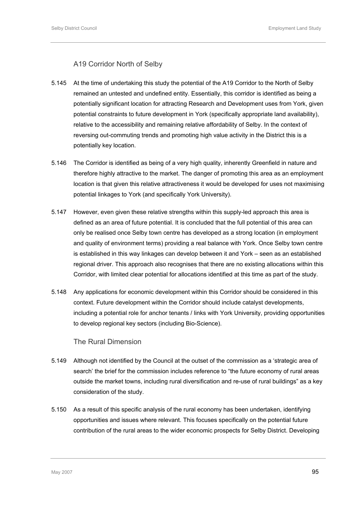# A19 Corridor North of Selby

- 5.145 At the time of undertaking this study the potential of the A19 Corridor to the North of Selby remained an untested and undefined entity. Essentially, this corridor is identified as being a potentially significant location for attracting Research and Development uses from York, given potential constraints to future development in York (specifically appropriate land availability), relative to the accessibility and remaining relative affordability of Selby. In the context of reversing out-commuting trends and promoting high value activity in the District this is a potentially key location.
- 5.146 The Corridor is identified as being of a very high quality, inherently Greenfield in nature and therefore highly attractive to the market. The danger of promoting this area as an employment location is that given this relative attractiveness it would be developed for uses not maximising potential linkages to York (and specifically York University).
- 5.147 However, even given these relative strengths within this supply-led approach this area is defined as an area of future potential. It is concluded that the full potential of this area can only be realised once Selby town centre has developed as a strong location (in employment and quality of environment terms) providing a real balance with York. Once Selby town centre is established in this way linkages can develop between it and York – seen as an established regional driver. This approach also recognises that there are no existing allocations within this Corridor, with limited clear potential for allocations identified at this time as part of the study.
- 5.148 Any applications for economic development within this Corridor should be considered in this context. Future development within the Corridor should include catalyst developments, including a potential role for anchor tenants / links with York University, providing opportunities to develop regional key sectors (including Bio-Science).

# The Rural Dimension

- 5.149 Although not identified by the Council at the outset of the commission as a 'strategic area of search' the brief for the commission includes reference to "the future economy of rural areas outside the market towns, including rural diversification and re-use of rural buildings" as a key consideration of the study.
- 5.150 As a result of this specific analysis of the rural economy has been undertaken, identifying opportunities and issues where relevant. This focuses specifically on the potential future contribution of the rural areas to the wider economic prospects for Selby District. Developing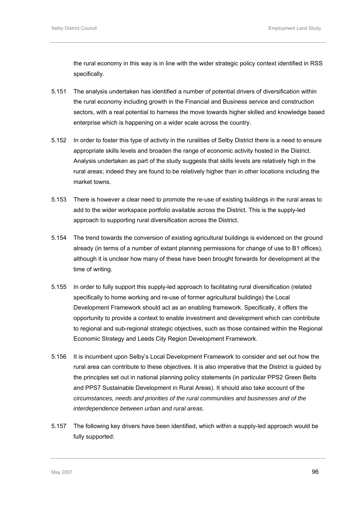the rural economy in this way is in line with the wider strategic policy context identified in RSS specifically.

- 5.151 The analysis undertaken has identified a number of potential drivers of diversification within the rural economy including growth in the Financial and Business service and construction sectors, with a real potential to harness the move towards higher skilled and knowledge based enterprise which is happening on a wider scale across the country.
- 5.152 In order to foster this type of activity in the ruralities of Selby District there is a need to ensure appropriate skills levels and broaden the range of economic activity hosted in the District. Analysis undertaken as part of the study suggests that skills levels are relatively high in the rural areas; indeed they are found to be relatively higher than in other locations including the market towns.
- 5.153 There is however a clear need to promote the re-use of existing buildings in the rural areas to add to the wider workspace portfolio available across the District. This is the supply-led approach to supporting rural diversification across the District.
- 5.154 The trend towards the conversion of existing agricultural buildings is evidenced on the ground already (in terms of a number of extant planning permissions for change of use to B1 offices), although it is unclear how many of these have been brought forwards for development at the time of writing.
- 5.155 In order to fully support this supply-led approach to facilitating rural diversification (related specifically to home working and re-use of former agricultural buildings) the Local Development Framework should act as an enabling framework. Specifically, it offers the opportunity to provide a context to enable investment and development which can contribute to regional and sub-regional strategic objectives, such as those contained within the Regional Economic Strategy and Leeds City Region Development Framework.
- 5.156 It is incumbent upon Selby's Local Development Framework to consider and set out how the rural area can contribute to these objectives. It is also imperative that the District is guided by the principles set out in national planning policy statements (in particular PPS2 Green Belts and PPS7 Sustainable Development in Rural Areas). It should also take account of the *circumstances, needs and priorities of the rural communities and businesses and of the interdependence between urban and rural areas.*
- 5.157 The following key drivers have been identified, which within a supply-led approach would be fully supported: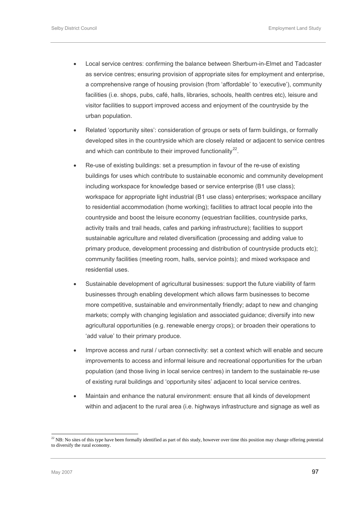- <span id="page-110-0"></span>• Local service centres: confirming the balance between Sherburn-in-Elmet and Tadcaster as service centres; ensuring provision of appropriate sites for employment and enterprise, a comprehensive range of housing provision (from 'affordable' to 'executive'), community facilities (i.e. shops, pubs, café, halls, libraries, schools, health centres etc), leisure and visitor facilities to support improved access and enjoyment of the countryside by the urban population.
- Related 'opportunity sites': consideration of groups or sets of farm buildings, or formally developed sites in the countryside which are closely related or adjacent to service centres and which can contribute to their improved functionality<sup>[2](#page-110-0)2</sup>.
- Re-use of existing buildings: set a presumption in favour of the re-use of existing buildings for uses which contribute to sustainable economic and community development including workspace for knowledge based or service enterprise (B1 use class); workspace for appropriate light industrial (B1 use class) enterprises; workspace ancillary to residential accommodation (home working); facilities to attract local people into the countryside and boost the leisure economy (equestrian facilities, countryside parks, activity trails and trail heads, cafes and parking infrastructure); facilities to support sustainable agriculture and related diversification (processing and adding value to primary produce, development processing and distribution of countryside products etc); community facilities (meeting room, halls, service points); and mixed workspace and residential uses.
- Sustainable development of agricultural businesses: support the future viability of farm businesses through enabling development which allows farm businesses to become more competitive, sustainable and environmentally friendly; adapt to new and changing markets; comply with changing legislation and associated guidance; diversify into new agricultural opportunities (e.g. renewable energy crops); or broaden their operations to 'add value' to their primary produce.
- Improve access and rural / urban connectivity: set a context which will enable and secure improvements to access and informal leisure and recreational opportunities for the urban population (and those living in local service centres) in tandem to the sustainable re-use of existing rural buildings and 'opportunity sites' adjacent to local service centres.
- Maintain and enhance the natural environment: ensure that all kinds of development within and adjacent to the rural area (i.e. highways infrastructure and signage as well as

-

 $^{22}$  NB: No sites of this type have been formally identified as part of this study, however over time this position may change offering potential to diversify the rural economy.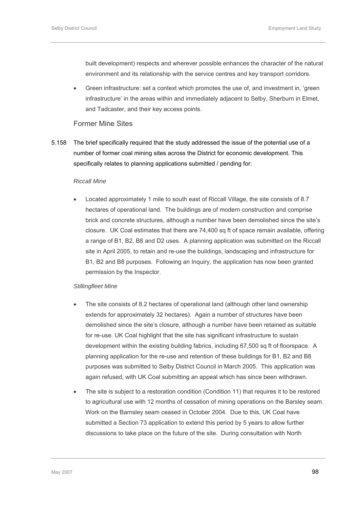built development) respects and wherever possible enhances the character of the natural environment and its relationship with the service centres and key transport corridors.

• Green infrastructure: set a context which promotes the use of, and investment in, 'green infrastructure' in the areas within and immediately adjacent to Selby, Sherburn in Elmet, and Tadcaster, and their key access points.

# Former Mine Sites

5.158 The brief specifically required that the study addressed the issue of the potential use of a number of former coal mining sites across the District for economic development. This specifically relates to planning applications submitted / pending for:

#### *Riccall Mine*

• Located approximately 1 mile to south east of Riccall Village, the site consists of 8.7 hectares of operational land. The buildings are of modern construction and comprise brick and concrete structures, although a number have been demolished since the site's closure. UK Coal estimates that there are 74,400 sq ft of space remain available, offering a range of B1, B2, B8 and D2 uses. A planning application was submitted on the Riccall site in April 2005, to retain and re-use the buildings, landscaping and infrastructure for B1, B2 and B8 purposes. Following an Inquiry, the application has now been granted permission by the Inspector.

## *Stillingfleet Mine*

- The site consists of 8.2 hectares of operational land (although other land ownership extends for approximately 32 hectares). Again a number of structures have been demolished since the site's closure, although a number have been retained as suitable for re-use. UK Coal highlight that the site has significant infrastructure to sustain development within the existing building fabrics, including 67,500 sq ft of floorspace. A planning application for the re-use and retention of these buildings for B1, B2 and B8 purposes was submitted to Selby District Council in March 2005. This application was again refused, with UK Coal submitting an appeal which has since been withdrawn.
- The site is subject to a restoration condition (Condition 11) that requires it to be restored to agricultural use with 12 months of cessation of mining operations on the Barsley seam. Work on the Barnsley seam ceased in October 2004. Due to this, UK Coal have submitted a Section 73 application to extend this period by 5 years to allow further discussions to take place on the future of the site. During consultation with North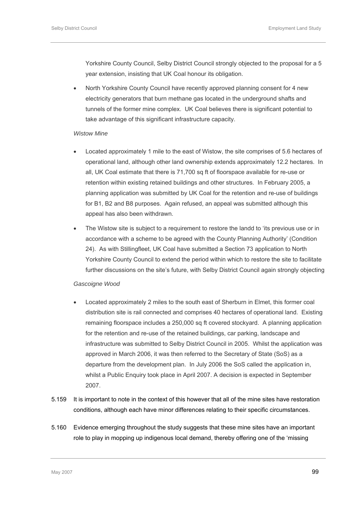Yorkshire County Council, Selby District Council strongly objected to the proposal for a 5 year extension, insisting that UK Coal honour its obligation.

• North Yorkshire County Council have recently approved planning consent for 4 new electricity generators that burn methane gas located in the underground shafts and tunnels of the former mine complex. UK Coal believes there is significant potential to take advantage of this significant infrastructure capacity.

#### *Wistow Mine*

- Located approximately 1 mile to the east of Wistow, the site comprises of 5.6 hectares of operational land, although other land ownership extends approximately 12.2 hectares. In all, UK Coal estimate that there is 71,700 sq ft of floorspace available for re-use or retention within existing retained buildings and other structures. In February 2005, a planning application was submitted by UK Coal for the retention and re-use of buildings for B1, B2 and B8 purposes. Again refused, an appeal was submitted although this appeal has also been withdrawn.
- The Wistow site is subject to a requirement to restore the landd to 'its previous use or in accordance with a scheme to be agreed with the County Planning Authority' (Condition 24). As with Stillingfleet, UK Coal have submitted a Section 73 application to North Yorkshire County Council to extend the period within which to restore the site to facilitate further discussions on the site's future, with Selby District Council again strongly objecting

#### *Gascoigne Wood*

- Located approximately 2 miles to the south east of Sherburn in Elmet, this former coal distribution site is rail connected and comprises 40 hectares of operational land. Existing remaining floorspace includes a 250,000 sq ft covered stockyard. A planning application for the retention and re-use of the retained buildings, car parking, landscape and infrastructure was submitted to Selby District Council in 2005. Whilst the application was approved in March 2006, it was then referred to the Secretary of State (SoS) as a departure from the development plan. In July 2006 the SoS called the application in, whilst a Public Enquiry took place in April 2007. A decision is expected in September 2007.
- 5.159 It is important to note in the context of this however that all of the mine sites have restoration conditions, although each have minor differences relating to their specific circumstances.
- 5.160 Evidence emerging throughout the study suggests that these mine sites have an important role to play in mopping up indigenous local demand, thereby offering one of the 'missing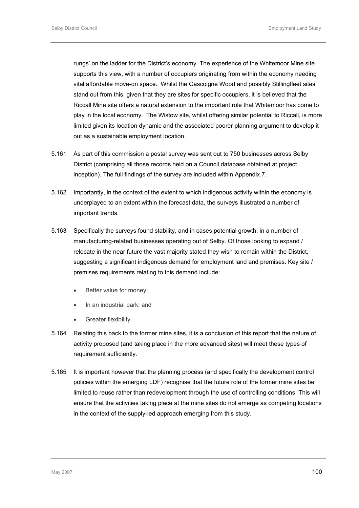rungs' on the ladder for the District's economy. The experience of the Whitemoor Mine site supports this view, with a number of occupiers originating from within the economy needing vital affordable move-on space. Whilst the Gascoigne Wood and possibly Stillingfleet sites stand out from this, given that they are sites for specific occupiers, it is believed that the Riccall Mine site offers a natural extension to the important role that Whitemoor has come to play in the local economy. The Wistow site, whilst offering similar potential to Riccall, is more limited given its location dynamic and the associated poorer planning argument to develop it out as a sustainable employment location.

- 5.161 As part of this commission a postal survey was sent out to 750 businesses across Selby District (comprising all those records held on a Council database obtained at project inception). The full findings of the survey are included within Appendix 7.
- 5.162 Importantly, in the context of the extent to which indigenous activity within the economy is underplayed to an extent within the forecast data, the surveys illustrated a number of important trends.
- 5.163 Specifically the surveys found stability, and in cases potential growth, in a number of manufacturing-related businesses operating out of Selby. Of those looking to expand / relocate in the near future the vast majority stated they wish to remain within the District, suggesting a significant indigenous demand for employment land and premises. Key site / premises requirements relating to this demand include:
	- Better value for money;
	- In an industrial park; and
	- Greater flexibility.
- 5.164 Relating this back to the former mine sites, it is a conclusion of this report that the nature of activity proposed (and taking place in the more advanced sites) will meet these types of requirement sufficiently.
- 5.165 It is important however that the planning process (and specifically the development control policies within the emerging LDF) recognise that the future role of the former mine sites be limited to reuse rather than redevelopment through the use of controlling conditions. This will ensure that the activities taking place at the mine sites do not emerge as competing locations in the context of the supply-led approach emerging from this study.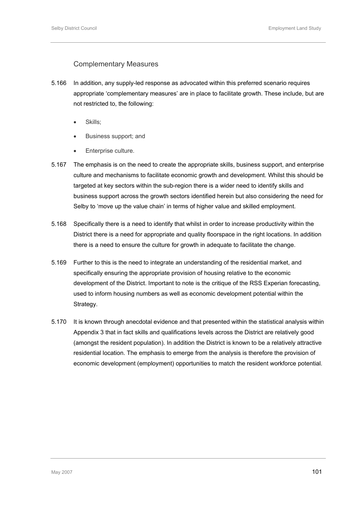# Complementary Measures

- 5.166 In addition, any supply-led response as advocated within this preferred scenario requires appropriate 'complementary measures' are in place to facilitate growth. These include, but are not restricted to, the following:
	- Skills:
	- Business support; and
	- Enterprise culture.
- 5.167 The emphasis is on the need to create the appropriate skills, business support, and enterprise culture and mechanisms to facilitate economic growth and development. Whilst this should be targeted at key sectors within the sub-region there is a wider need to identify skills and business support across the growth sectors identified herein but also considering the need for Selby to 'move up the value chain' in terms of higher value and skilled employment.
- 5.168 Specifically there is a need to identify that whilst in order to increase productivity within the District there is a need for appropriate and quality floorspace in the right locations. In addition there is a need to ensure the culture for growth in adequate to facilitate the change.
- 5.169 Further to this is the need to integrate an understanding of the residential market, and specifically ensuring the appropriate provision of housing relative to the economic development of the District. Important to note is the critique of the RSS Experian forecasting, used to inform housing numbers as well as economic development potential within the Strategy.
- 5.170 It is known through anecdotal evidence and that presented within the statistical analysis within Appendix 3 that in fact skills and qualifications levels across the District are relatively good (amongst the resident population). In addition the District is known to be a relatively attractive residential location. The emphasis to emerge from the analysis is therefore the provision of economic development (employment) opportunities to match the resident workforce potential.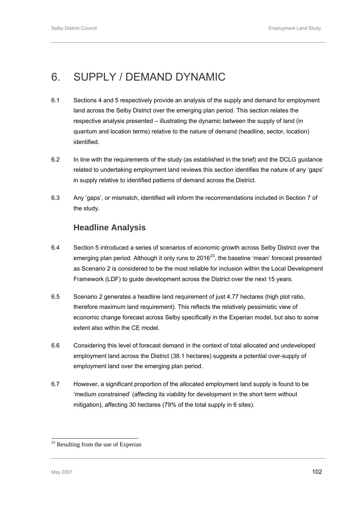# <span id="page-115-0"></span>6. SUPPLY / DEMAND DYNAMIC

- 6.1 Sections 4 and 5 respectively provide an analysis of the supply and demand for employment land across the Selby District over the emerging plan period. This section relates the respective analysis presented – illustrating the dynamic between the supply of land (in quantum and location terms) relative to the nature of demand (headline, sector, location) identified.
- 6.2 In line with the requirements of the study (as established in the brief) and the DCLG guidance related to undertaking employment land reviews this section identifies the nature of any 'gaps' in supply relative to identified patterns of demand across the District.
- 6.3 Any 'gaps', or mismatch, identified will inform the recommendations included in Section 7 of the study.

# **Headline Analysis**

- 6.4 Section 5 introduced a series of scenarios of economic growth across Selby District over the emerging plan period. Although it only runs to  $2016^{23}$  $2016^{23}$ , the baseline 'mean' forecast presented as Scenario 2 is considered to be the most reliable for inclusion within the Local Development Framework (LDF) to guide development across the District over the next 15 years.
- 6.5 Scenario 2 generates a headline land requirement of just 4.77 hectares (high plot ratio, therefore maximum land requirement). This reflects the relatively pessimistic view of economic change forecast across Selby specifically in the Experian model, but also to some extent also within the CE model.
- 6.6 Considering this level of forecast demand in the context of total allocated and undeveloped employment land across the District (38.1 hectares) suggests a potential over-supply of employment land over the emerging plan period.
- 6.7 However, a significant proportion of the allocated employment land supply is found to be 'medium constrained' (affecting its viability for development in the short term without mitigation), affecting 30 hectares (79% of the total supply in 6 sites).

l

<sup>&</sup>lt;sup>23</sup> Resulting from the use of Experian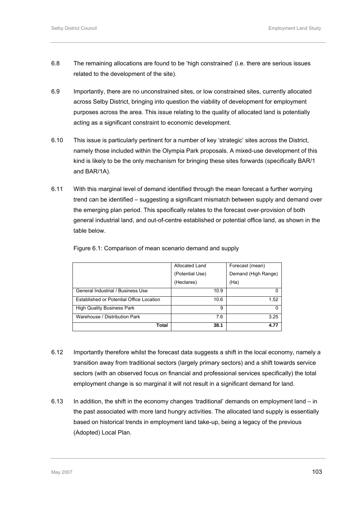- 6.8 The remaining allocations are found to be 'high constrained' (i.e. there are serious issues related to the development of the site).
- 6.9 Importantly, there are no unconstrained sites, or low constrained sites, currently allocated across Selby District, bringing into question the viability of development for employment purposes across the area. This issue relating to the quality of allocated land is potentially acting as a significant constraint to economic development.
- 6.10 This issue is particularly pertinent for a number of key 'strategic' sites across the District, namely those included within the Olympia Park proposals. A mixed-use development of this kind is likely to be the only mechanism for bringing these sites forwards (specifically BAR/1 and BAR/1A).
- 6.11 With this marginal level of demand identified through the mean forecast a further worrying trend can be identified – suggesting a significant mismatch between supply and demand over the emerging plan period. This specifically relates to the forecast over-provision of both general industrial land, and out-of-centre established or potential office land, as shown in the table below.

|                                          | Allocated Land  | Forecast (mean)     |
|------------------------------------------|-----------------|---------------------|
|                                          | (Potential Use) | Demand (High Range) |
|                                          | (Hectares)      | (Ha)                |
| General Industrial / Business Use        | 10.9            |                     |
| Established or Potential Office Location | 10.6            | 1.52                |
| <b>High Quality Business Park</b>        | 9               |                     |
| Warehouse / Distribution Park            | 7.6             | 3.25                |
| Total                                    | 38.1            | 4.77                |

Figure 6.1: Comparison of mean scenario demand and supply

- 6.12 Importantly therefore whilst the forecast data suggests a shift in the local economy, namely a transition away from traditional sectors (largely primary sectors) and a shift towards service sectors (with an observed focus on financial and professional services specifically) the total employment change is so marginal it will not result in a significant demand for land.
- 6.13 In addition, the shift in the economy changes 'traditional' demands on employment land in the past associated with more land hungry activities. The allocated land supply is essentially based on historical trends in employment land take-up, being a legacy of the previous (Adopted) Local Plan.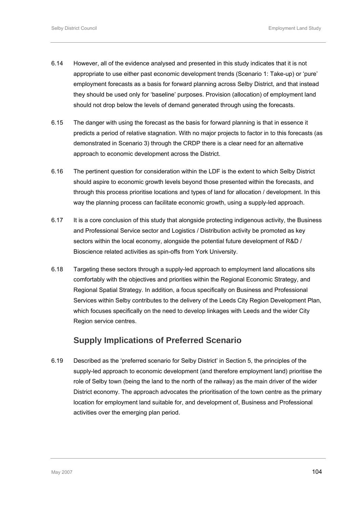- 6.14 However, all of the evidence analysed and presented in this study indicates that it is not appropriate to use either past economic development trends (Scenario 1: Take-up) or 'pure' employment forecasts as a basis for forward planning across Selby District, and that instead they should be used only for 'baseline' purposes. Provision (allocation) of employment land should not drop below the levels of demand generated through using the forecasts.
- 6.15 The danger with using the forecast as the basis for forward planning is that in essence it predicts a period of relative stagnation. With no major projects to factor in to this forecasts (as demonstrated in Scenario 3) through the CRDP there is a clear need for an alternative approach to economic development across the District.
- 6.16 The pertinent question for consideration within the LDF is the extent to which Selby District should aspire to economic growth levels beyond those presented within the forecasts, and through this process prioritise locations and types of land for allocation / development. In this way the planning process can facilitate economic growth, using a supply-led approach.
- 6.17 It is a core conclusion of this study that alongside protecting indigenous activity, the Business and Professional Service sector and Logistics / Distribution activity be promoted as key sectors within the local economy, alongside the potential future development of R&D / Bioscience related activities as spin-offs from York University.
- 6.18 Targeting these sectors through a supply-led approach to employment land allocations sits comfortably with the objectives and priorities within the Regional Economic Strategy, and Regional Spatial Strategy. In addition, a focus specifically on Business and Professional Services within Selby contributes to the delivery of the Leeds City Region Development Plan, which focuses specifically on the need to develop linkages with Leeds and the wider City Region service centres.

# **Supply Implications of Preferred Scenario**

6.19 Described as the 'preferred scenario for Selby District' in Section 5, the principles of the supply-led approach to economic development (and therefore employment land) prioritise the role of Selby town (being the land to the north of the railway) as the main driver of the wider District economy. The approach advocates the prioritisation of the town centre as the primary location for employment land suitable for, and development of, Business and Professional activities over the emerging plan period.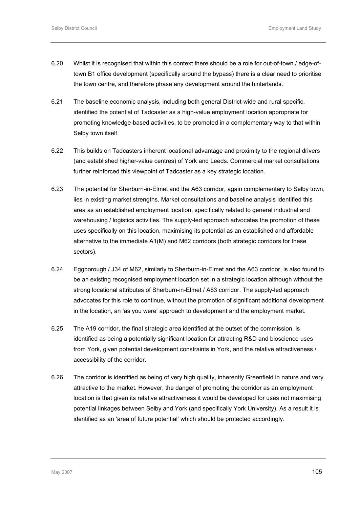- 6.20 Whilst it is recognised that within this context there should be a role for out-of-town / edge-oftown B1 office development (specifically around the bypass) there is a clear need to prioritise the town centre, and therefore phase any development around the hinterlands.
- 6.21 The baseline economic analysis, including both general District-wide and rural specific, identified the potential of Tadcaster as a high-value employment location appropriate for promoting knowledge-based activities, to be promoted in a complementary way to that within Selby town itself.
- 6.22 This builds on Tadcasters inherent locational advantage and proximity to the regional drivers (and established higher-value centres) of York and Leeds. Commercial market consultations further reinforced this viewpoint of Tadcaster as a key strategic location.
- 6.23 The potential for Sherburn-in-Elmet and the A63 corridor, again complementary to Selby town, lies in existing market strengths. Market consultations and baseline analysis identified this area as an established employment location, specifically related to general industrial and warehousing / logistics activities. The supply-led approach advocates the promotion of these uses specifically on this location, maximising its potential as an established and affordable alternative to the immediate A1(M) and M62 corridors (both strategic corridors for these sectors).
- 6.24 Eggborough / J34 of M62, similarly to Sherburn-in-Elmet and the A63 corridor, is also found to be an existing recognised employment location set in a strategic location although without the strong locational attributes of Sherburn-in-Elmet / A63 corridor. The supply-led approach advocates for this role to continue, without the promotion of significant additional development in the location, an 'as you were' approach to development and the employment market.
- 6.25 The A19 corridor, the final strategic area identified at the outset of the commission, is identified as being a potentially significant location for attracting R&D and bioscience uses from York, given potential development constraints in York, and the relative attractiveness / accessibility of the corridor.
- 6.26 The corridor is identified as being of very high quality, inherently Greenfield in nature and very attractive to the market. However, the danger of promoting the corridor as an employment location is that given its relative attractiveness it would be developed for uses not maximising potential linkages between Selby and York (and specifically York University). As a result it is identified as an 'area of future potential' which should be protected accordingly.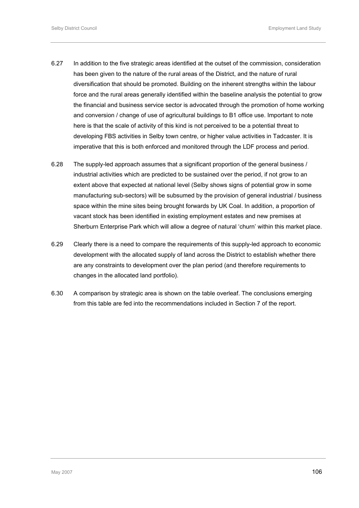- 6.27 In addition to the five strategic areas identified at the outset of the commission, consideration has been given to the nature of the rural areas of the District, and the nature of rural diversification that should be promoted. Building on the inherent strengths within the labour force and the rural areas generally identified within the baseline analysis the potential to grow the financial and business service sector is advocated through the promotion of home working and conversion / change of use of agricultural buildings to B1 office use. Important to note here is that the scale of activity of this kind is not perceived to be a potential threat to developing FBS activities in Selby town centre, or higher value activities in Tadcaster. It is imperative that this is both enforced and monitored through the LDF process and period.
- 6.28 The supply-led approach assumes that a significant proportion of the general business / industrial activities which are predicted to be sustained over the period, if not grow to an extent above that expected at national level (Selby shows signs of potential grow in some manufacturing sub-sectors) will be subsumed by the provision of general industrial / business space within the mine sites being brought forwards by UK Coal. In addition, a proportion of vacant stock has been identified in existing employment estates and new premises at Sherburn Enterprise Park which will allow a degree of natural 'churn' within this market place.
- 6.29 Clearly there is a need to compare the requirements of this supply-led approach to economic development with the allocated supply of land across the District to establish whether there are any constraints to development over the plan period (and therefore requirements to changes in the allocated land portfolio).
- 6.30 A comparison by strategic area is shown on the table overleaf. The conclusions emerging from this table are fed into the recommendations included in Section 7 of the report.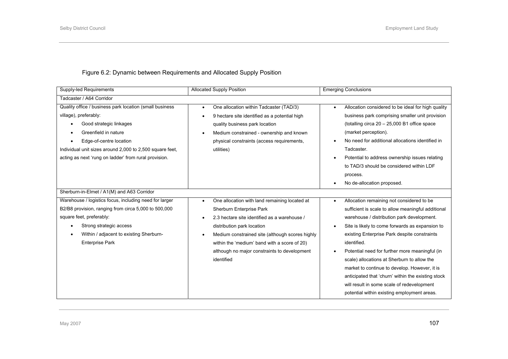# Figure 6.2: Dynamic between Requirements and Allocated Supply Position

| Supply-led Requirements                                  | <b>Allocated Supply Position</b>                           | <b>Emerging Conclusions</b>                                  |
|----------------------------------------------------------|------------------------------------------------------------|--------------------------------------------------------------|
| Tadcaster / A64 Corridor                                 |                                                            |                                                              |
| Quality office / business park location (small business  | One allocation within Tadcaster (TAD/3)                    | Allocation considered to be ideal for high quality           |
| village), preferably:                                    | 9 hectare site identified as a potential high              | business park comprising smaller unit provision              |
| Good strategic linkages<br>$\bullet$                     | quality business park location                             | (totalling circa $20 - 25,000$ B1 office space               |
| Greenfield in nature<br>$\bullet$                        | Medium constrained - ownership and known                   | (market perception).                                         |
| Edge-of-centre location                                  | physical constraints (access requirements,                 | No need for additional allocations identified in             |
| Individual unit sizes around 2,000 to 2,500 square feet. | utilities)                                                 | Tadcaster.                                                   |
| acting as next 'rung on ladder' from rural provision.    |                                                            | Potential to address ownership issues relating               |
|                                                          |                                                            | to TAD/3 should be considered within LDF                     |
|                                                          |                                                            | process.                                                     |
|                                                          |                                                            | No de-allocation proposed.                                   |
| Sherburn-in-Elmet / A1(M) and A63 Corridor               |                                                            |                                                              |
| Warehouse / logistics focus, including need for larger   | One allocation with land remaining located at<br>$\bullet$ | Allocation remaining not considered to be<br>$\bullet$       |
| B2/B8 provision, ranging from circa 5,000 to 500,000     | Sherburn Enterprise Park                                   | sufficient is scale to allow meaningful additional           |
| square feet, preferably:                                 | 2.3 hectare site identified as a warehouse /<br>$\bullet$  | warehouse / distribution park development.                   |
| Strong strategic access                                  | distribution park location                                 | Site is likely to come forwards as expansion to<br>$\bullet$ |
| Within / adjacent to existing Sherburn-                  | Medium constrained site (although scores highly            | existing Enterprise Park despite constraints                 |
| <b>Enterprise Park</b>                                   | within the 'medium' band with a score of 20)               | identified.                                                  |
|                                                          | although no major constraints to development               | Potential need for further more meaningful (in               |
|                                                          | identified                                                 | scale) allocations at Sherburn to allow the                  |
|                                                          |                                                            | market to continue to develop. However, it is                |
|                                                          |                                                            | anticipated that 'churn' within the existing stock           |
|                                                          |                                                            | will result in some scale of redevelopment                   |
|                                                          |                                                            | potential within existing employment areas.                  |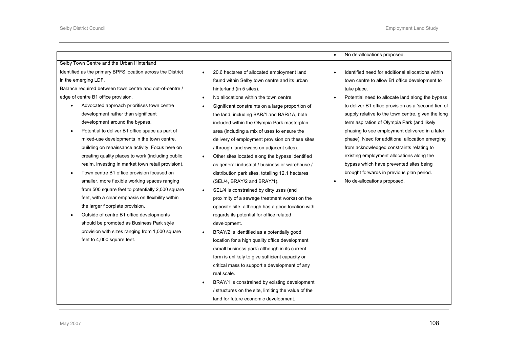|                                                             |                                                     | No de-allocations proposed.<br>$\bullet$                       |
|-------------------------------------------------------------|-----------------------------------------------------|----------------------------------------------------------------|
| Selby Town Centre and the Urban Hinterland                  |                                                     |                                                                |
| Identified as the primary BPFS location across the District | 20.6 hectares of allocated employment land          | Identified need for additional allocations within<br>$\bullet$ |
| in the emerging LDF.                                        | found within Selby town centre and its urban        | town centre to allow B1 office development to                  |
| Balance required between town centre and out-of-centre /    | hinterland (in 5 sites).                            | take place.                                                    |
| edge of centre B1 office provision.                         | No allocations within the town centre.              | Potential need to allocate land along the bypass<br>$\bullet$  |
| Advocated approach prioritises town centre                  | Significant constraints on a large proportion of    | to deliver B1 office provision as a 'second tier' of           |
| development rather than significant                         | the land, including BAR/1 and BAR/1A, both          | supply relative to the town centre, given the long             |
| development around the bypass.                              | included within the Olympia Park masterplan         | term aspiration of Olympia Park (and likely                    |
| Potential to deliver B1 office space as part of             | area (including a mix of uses to ensure the         | phasing to see employment delivered in a later                 |
| mixed-use developments in the town centre,                  | delivery of employment provision on these sites     | phase). Need for additional allocation emerging                |
| building on renaissance activity. Focus here on             | / through land swaps on adjacent sites).            | from acknowledged constraints relating to                      |
| creating quality places to work (including public           | Other sites located along the bypass identified     | existing employment allocations along the                      |
| realm, investing in market town retail provision).          | as general industrial / business or warehouse /     | bypass which have prevented sites being                        |
| Town centre B1 office provision focused on                  | distribution park sites, totalling 12.1 hectares    | brought forwards in previous plan period.                      |
| smaller, more flexible working spaces ranging               | (SEL/4, BRAY/2 and BRAY/1).                         | No de-allocations proposed.<br>$\bullet$                       |
| from 500 square feet to potentially 2,000 square            | SEL/4 is constrained by dirty uses (and             |                                                                |
| feet, with a clear emphasis on flexibility within           | proximity of a sewage treatment works) on the       |                                                                |
| the larger floorplate provision.                            | opposite site, although has a good location with    |                                                                |
| Outside of centre B1 office developments                    | regards its potential for office related            |                                                                |
| should be promoted as Business Park style                   | development.                                        |                                                                |
| provision with sizes ranging from 1,000 square              | BRAY/2 is identified as a potentially good          |                                                                |
| feet to 4,000 square feet.                                  | location for a high quality office development      |                                                                |
|                                                             | (small business park) although in its current       |                                                                |
|                                                             | form is unlikely to give sufficient capacity or     |                                                                |
|                                                             | critical mass to support a development of any       |                                                                |
|                                                             | real scale.                                         |                                                                |
|                                                             | BRAY/1 is constrained by existing development       |                                                                |
|                                                             | / structures on the site, limiting the value of the |                                                                |
|                                                             | land for future economic development.               |                                                                |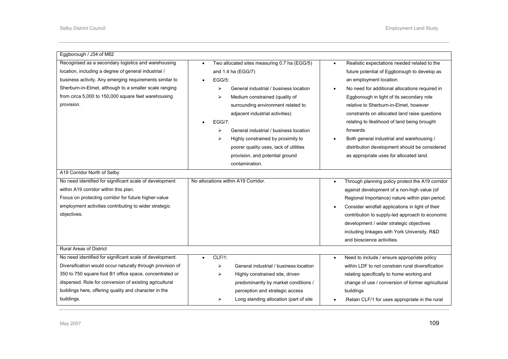| Eggborough / J34 of M62                                    |                                              |                                                               |
|------------------------------------------------------------|----------------------------------------------|---------------------------------------------------------------|
| Recognised as a secondary logistics and warehousing        | Two allocated sites measuring 0.7 ha (EGG/5) | Realistic expectations needed related to the<br>$\bullet$     |
| location, including a degree of general industrial /       | and 1.4 ha (EGG/7)                           | future potential of Eggborough to develop as                  |
| business activity. Any emerging requirements similar to    | <b>EGG/5:</b>                                | an employment location.                                       |
| Sherburn-in-Elmet, although to a smaller scale ranging     | General industrial / business location<br>⋗  | No need for additional allocations required in<br>$\bullet$   |
| from circa 5,000 to 150,000 square feet warehousing        | ↘<br>Medium constrained (quality of          | Eggborough in light of its secondary role                     |
| provision.                                                 | surrounding environment related to           | relative to Sherburn-in-Elmet, however                        |
|                                                            | adjacent industrial activities)              | constraints on allocated land raise questions                 |
|                                                            | <b>EGG/7:</b>                                | relating to likelihood of land being brought                  |
|                                                            | General industrial / business location<br>⋗  | forwards.                                                     |
|                                                            | Highly constrained by proximity to<br>⋗      | Both general industrial and warehousing /<br>$\bullet$        |
|                                                            | poorer quality uses, lack of utilities       | distribution development should be considered                 |
|                                                            | provision, and potential ground              | as appropriate uses for allocated land.                       |
|                                                            | contamination.                               |                                                               |
| A19 Corridor North of Selby                                |                                              |                                                               |
| No need identified for significant scale of development    | No allocations within A19 Corridor.          | Through planning policy protect the A19 corridor<br>$\bullet$ |
| within A19 corridor within this plan.                      |                                              | against development of a non-high value (of                   |
| Focus on protecting corridor for future higher-value       |                                              | Regional Importance) nature within plan period.               |
| employment activities contributing to wider strategic      |                                              | Consider windfall applications in light of their              |
| objectives.                                                |                                              | contribution to supply-led approach to economic               |
|                                                            |                                              | development / wider strategic objectives                      |
|                                                            |                                              | including linkages with York University, R&D                  |
|                                                            |                                              | and bioscience activities.                                    |
| <b>Rural Areas of District</b>                             |                                              |                                                               |
| No need identified for significant scale of development.   | $CLF/1$ :                                    | Need to include / ensure appropriate policy<br>$\bullet$      |
| Diversification would occur naturally through provision of | ➤<br>General industrial / business location  | within LDF to not constrain rural diversification             |
| 350 to 750 square foot B1 office space, concentrated or    | Highly constrained site, driven<br>⋗         | relating specifically to home working and                     |
| dispersed. Role for conversion of existing agricultural    | predominantly by market conditions /         | change of use / conversion of former agricultural             |
| buildings here, offering quality and character in the      | perception and strategic access              | buildings                                                     |
| buildings.                                                 | Long standing allocation (part of site<br>➤  | .Retain CLF/1 for uses appropriate in the rural<br>$\bullet$  |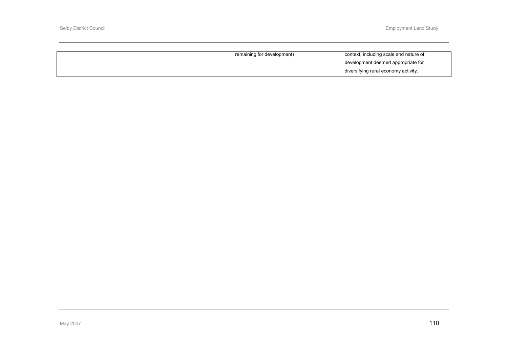| remaining for development) | context, including scale and nature of |
|----------------------------|----------------------------------------|
|                            | development deemed appropriate for     |
|                            | diversifying rural economy activity.   |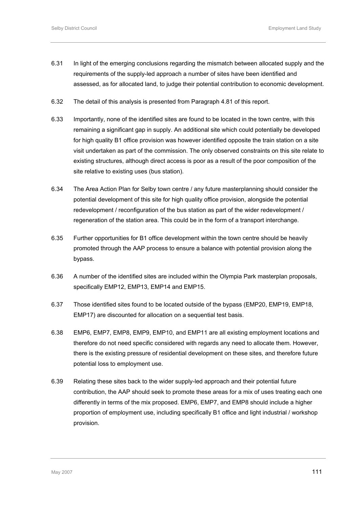- 6.31 In light of the emerging conclusions regarding the mismatch between allocated supply and the requirements of the supply-led approach a number of sites have been identified and assessed, as for allocated land, to judge their potential contribution to economic development.
- 6.32 The detail of this analysis is presented from Paragraph 4.81 of this report.
- 6.33 Importantly, none of the identified sites are found to be located in the town centre, with this remaining a significant gap in supply. An additional site which could potentially be developed for high quality B1 office provision was however identified opposite the train station on a site visit undertaken as part of the commission. The only observed constraints on this site relate to existing structures, although direct access is poor as a result of the poor composition of the site relative to existing uses (bus station).
- 6.34 The Area Action Plan for Selby town centre / any future masterplanning should consider the potential development of this site for high quality office provision, alongside the potential redevelopment / reconfiguration of the bus station as part of the wider redevelopment / regeneration of the station area. This could be in the form of a transport interchange.
- 6.35 Further opportunities for B1 office development within the town centre should be heavily promoted through the AAP process to ensure a balance with potential provision along the bypass.
- 6.36 A number of the identified sites are included within the Olympia Park masterplan proposals, specifically EMP12, EMP13, EMP14 and EMP15.
- 6.37 Those identified sites found to be located outside of the bypass (EMP20, EMP19, EMP18, EMP17) are discounted for allocation on a sequential test basis.
- 6.38 EMP6, EMP7, EMP8, EMP9, EMP10, and EMP11 are all existing employment locations and therefore do not need specific considered with regards any need to allocate them. However, there is the existing pressure of residential development on these sites, and therefore future potential loss to employment use.
- 6.39 Relating these sites back to the wider supply-led approach and their potential future contribution, the AAP should seek to promote these areas for a mix of uses treating each one differently in terms of the mix proposed. EMP6, EMP7, and EMP8 should include a higher proportion of employment use, including specifically B1 office and light industrial / workshop provision.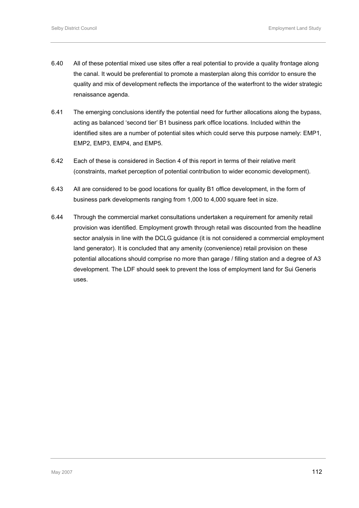- 6.40 All of these potential mixed use sites offer a real potential to provide a quality frontage along the canal. It would be preferential to promote a masterplan along this corridor to ensure the quality and mix of development reflects the importance of the waterfront to the wider strategic renaissance agenda.
- 6.41 The emerging conclusions identify the potential need for further allocations along the bypass, acting as balanced 'second tier' B1 business park office locations. Included within the identified sites are a number of potential sites which could serve this purpose namely: EMP1, EMP2, EMP3, EMP4, and EMP5.
- 6.42 Each of these is considered in Section 4 of this report in terms of their relative merit (constraints, market perception of potential contribution to wider economic development).
- 6.43 All are considered to be good locations for quality B1 office development, in the form of business park developments ranging from 1,000 to 4,000 square feet in size.
- 6.44 Through the commercial market consultations undertaken a requirement for amenity retail provision was identified. Employment growth through retail was discounted from the headline sector analysis in line with the DCLG guidance (it is not considered a commercial employment land generator). It is concluded that any amenity (convenience) retail provision on these potential allocations should comprise no more than garage / filling station and a degree of A3 development. The LDF should seek to prevent the loss of employment land for Sui Generis uses.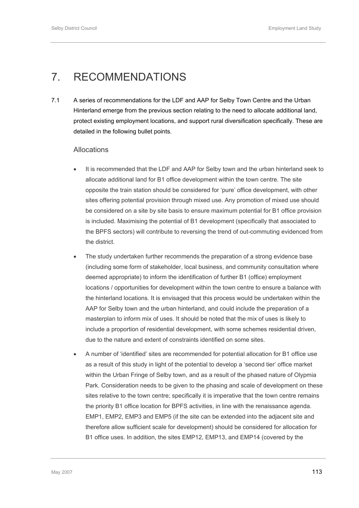# 7. RECOMMENDATIONS

7.1 A series of recommendations for the LDF and AAP for Selby Town Centre and the Urban Hinterland emerge from the previous section relating to the need to allocate additional land, protect existing employment locations, and support rural diversification specifically. These are detailed in the following bullet points.

# Allocations

- It is recommended that the LDF and AAP for Selby town and the urban hinterland seek to allocate additional land for B1 office development within the town centre. The site opposite the train station should be considered for 'pure' office development, with other sites offering potential provision through mixed use. Any promotion of mixed use should be considered on a site by site basis to ensure maximum potential for B1 office provision is included. Maximising the potential of B1 development (specifically that associated to the BPFS sectors) will contribute to reversing the trend of out-commuting evidenced from the district.
- The study undertaken further recommends the preparation of a strong evidence base (including some form of stakeholder, local business, and community consultation where deemed appropriate) to inform the identification of further B1 (office) employment locations / opportunities for development within the town centre to ensure a balance with the hinterland locations. It is envisaged that this process would be undertaken within the AAP for Selby town and the urban hinterland, and could include the preparation of a masterplan to inform mix of uses. It should be noted that the mix of uses is likely to include a proportion of residential development, with some schemes residential driven, due to the nature and extent of constraints identified on some sites.
- A number of 'identified' sites are recommended for potential allocation for B1 office use as a result of this study in light of the potential to develop a 'second tier' office market within the Urban Fringe of Selby town, and as a result of the phased nature of Olypmia Park. Consideration needs to be given to the phasing and scale of development on these sites relative to the town centre; specifically it is imperative that the town centre remains the priority B1 office location for BPFS activities, in line with the renaissance agenda. EMP1, EMP2, EMP3 and EMP5 (if the site can be extended into the adjacent site and therefore allow sufficient scale for development) should be considered for allocation for B1 office uses. In addition, the sites EMP12, EMP13, and EMP14 (covered by the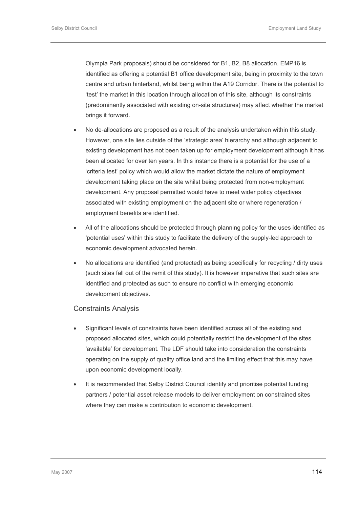Olympia Park proposals) should be considered for B1, B2, B8 allocation. EMP16 is identified as offering a potential B1 office development site, being in proximity to the town centre and urban hinterland, whilst being within the A19 Corridor. There is the potential to 'test' the market in this location through allocation of this site, although its constraints (predominantly associated with existing on-site structures) may affect whether the market brings it forward.

- No de-allocations are proposed as a result of the analysis undertaken within this study. However, one site lies outside of the 'strategic area' hierarchy and although adjacent to existing development has not been taken up for employment development although it has been allocated for over ten years. In this instance there is a potential for the use of a 'criteria test' policy which would allow the market dictate the nature of employment development taking place on the site whilst being protected from non-employment development. Any proposal permitted would have to meet wider policy objectives associated with existing employment on the adjacent site or where regeneration / employment benefits are identified.
- All of the allocations should be protected through planning policy for the uses identified as 'potential uses' within this study to facilitate the delivery of the supply-led approach to economic development advocated herein.
- No allocations are identified (and protected) as being specifically for recycling / dirty uses (such sites fall out of the remit of this study). It is however imperative that such sites are identified and protected as such to ensure no conflict with emerging economic development objectives.

## Constraints Analysis

- Significant levels of constraints have been identified across all of the existing and proposed allocated sites, which could potentially restrict the development of the sites 'available' for development. The LDF should take into consideration the constraints operating on the supply of quality office land and the limiting effect that this may have upon economic development locally.
- It is recommended that Selby District Council identify and prioritise potential funding partners / potential asset release models to deliver employment on constrained sites where they can make a contribution to economic development.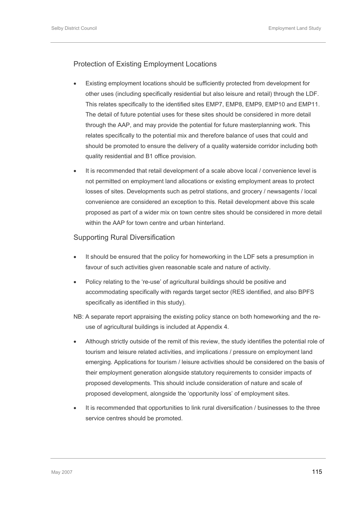# Protection of Existing Employment Locations

- Existing employment locations should be sufficiently protected from development for other uses (including specifically residential but also leisure and retail) through the LDF. This relates specifically to the identified sites EMP7, EMP8, EMP9, EMP10 and EMP11. The detail of future potential uses for these sites should be considered in more detail through the AAP, and may provide the potential for future masterplanning work. This relates specifically to the potential mix and therefore balance of uses that could and should be promoted to ensure the delivery of a quality waterside corridor including both quality residential and B1 office provision.
- It is recommended that retail development of a scale above local / convenience level is not permitted on employment land allocations or existing employment areas to protect losses of sites. Developments such as petrol stations, and grocery / newsagents / local convenience are considered an exception to this. Retail development above this scale proposed as part of a wider mix on town centre sites should be considered in more detail within the AAP for town centre and urban hinterland.

# Supporting Rural Diversification

- It should be ensured that the policy for homeworking in the LDF sets a presumption in favour of such activities given reasonable scale and nature of activity.
- Policy relating to the 're-use' of agricultural buildings should be positive and accommodating specifically with regards target sector (RES identified, and also BPFS specifically as identified in this study).
- NB: A separate report appraising the existing policy stance on both homeworking and the reuse of agricultural buildings is included at Appendix 4.
- Although strictly outside of the remit of this review, the study identifies the potential role of tourism and leisure related activities, and implications / pressure on employment land emerging. Applications for tourism / leisure activities should be considered on the basis of their employment generation alongside statutory requirements to consider impacts of proposed developments. This should include consideration of nature and scale of proposed development, alongside the 'opportunity loss' of employment sites.
- It is recommended that opportunities to link rural diversification / businesses to the three service centres should be promoted.